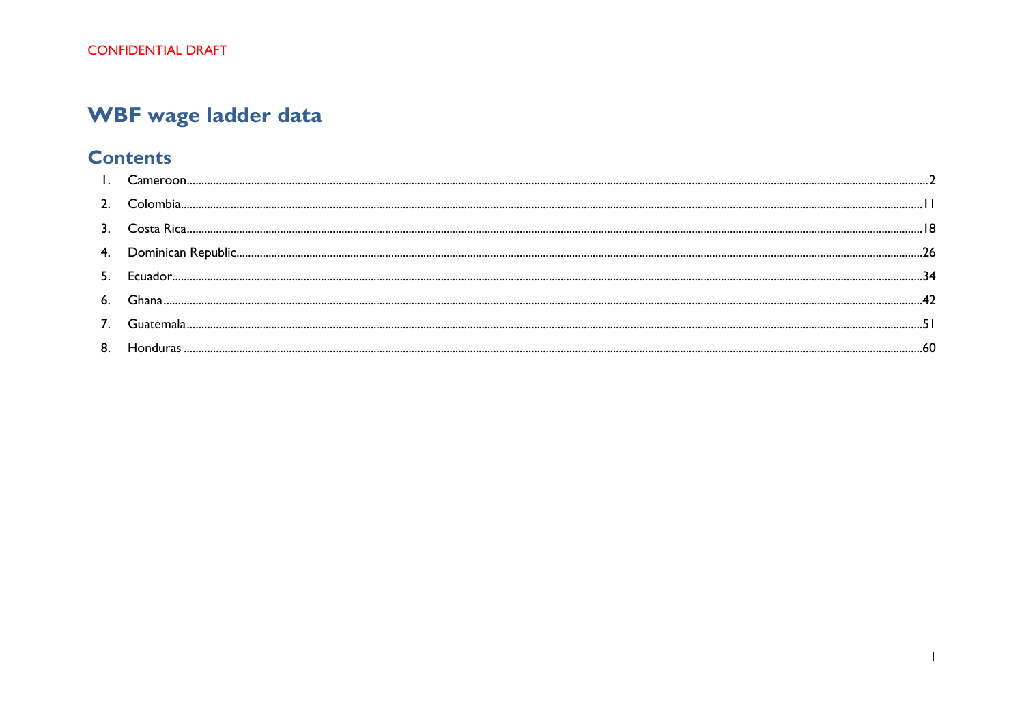# WBF wage ladder data

# **Contents**

<span id="page-0-0"></span>

| 4.  |  |
|-----|--|
| -5. |  |
| 6.  |  |
|     |  |
| 8.  |  |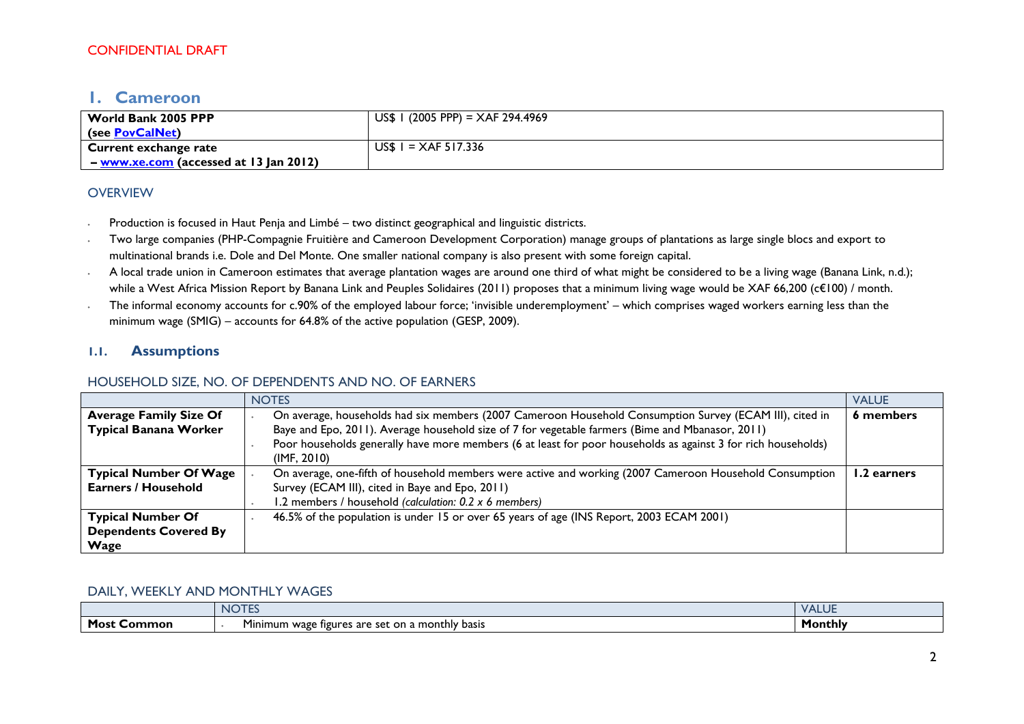# **1. Cameroon**

| World Bank 2005 PPP                      | US\$ 1 (2005 PPP) = $XAF$ 294.4969 |
|------------------------------------------|------------------------------------|
| (see PovCalNet)                          |                                    |
| Current exchange rate                    | US\$ $1 = XAF 517.336$             |
| $-$ www.xe.com (accessed at 13 Jan 2012) |                                    |

#### **OVERVIEW**

- ∙ Production is focused in Haut Penja and Limbé two distinct geographical and linguistic districts.
- ∙ Two large companies (PHP-Compagnie Fruitière and Cameroon Development Corporation) manage groups of plantations as large single blocs and export to multinational brands i.e. Dole and Del Monte. One smaller national company is also present with some foreign capital.
- ∙ A local trade union in Cameroon estimates that average plantation wages are around one third of what might be considered to be a living wage (Banana Link, n.d.); while a West Africa Mission Report by Banana Link and Peuples Solidaires (2011) proposes that a minimum living wage would be XAF 66,200 (c€100) / month.
- ∙ The informal economy accounts for c.90% of the employed labour force; 'invisible underemployment' which comprises waged workers earning less than the minimum wage (SMIG) – accounts for 64.8% of the active population (GESP, 2009).

### **1.1. Assumptions**

### HOUSEHOLD SIZE, NO. OF DEPENDENTS AND NO. OF EARNERS

|                                                                                                                                          | <b>NOTES</b>                                                                                                                 | <b>VALUE</b> |
|------------------------------------------------------------------------------------------------------------------------------------------|------------------------------------------------------------------------------------------------------------------------------|--------------|
| <b>Average Family Size Of</b>                                                                                                            | On average, households had six members (2007 Cameroon Household Consumption Survey (ECAM III), cited in                      | 6 members    |
| <b>Typical Banana Worker</b>                                                                                                             | Baye and Epo, 2011). Average household size of 7 for vegetable farmers (Bime and Mbanasor, 2011)                             |              |
|                                                                                                                                          | Poor households generally have more members (6 at least for poor households as against 3 for rich households)<br>(IMF, 2010) |              |
| <b>Typical Number Of Wage</b><br>On average, one-fifth of household members were active and working (2007 Cameroon Household Consumption |                                                                                                                              | 1.2 earners  |
| <b>Earners / Household</b>                                                                                                               | Survey (ECAM III), cited in Baye and Epo, 2011)                                                                              |              |
|                                                                                                                                          | 1.2 members / household (calculation: 0.2 x 6 members)                                                                       |              |
| <b>Typical Number Of</b>                                                                                                                 | 46.5% of the population is under 15 or over 65 years of age (INS Report, 2003 ECAM 2001)                                     |              |
| <b>Dependents Covered By</b>                                                                                                             |                                                                                                                              |              |
| <b>Wage</b>                                                                                                                              |                                                                                                                              |              |

#### DAILY, WEEKLY AND MONTHLY WAGES

|                | <b>ALCOHOL:</b><br>J I E:<br>NI                                                  | $-1$ A $+$ $+$<br>— 11 U L |
|----------------|----------------------------------------------------------------------------------|----------------------------|
| Most<br>Common | . .<br>monthly basis) ا<br>.set<br>on a<br>inimum<br>∵wagu<br>are<br>e figures : | Monthly                    |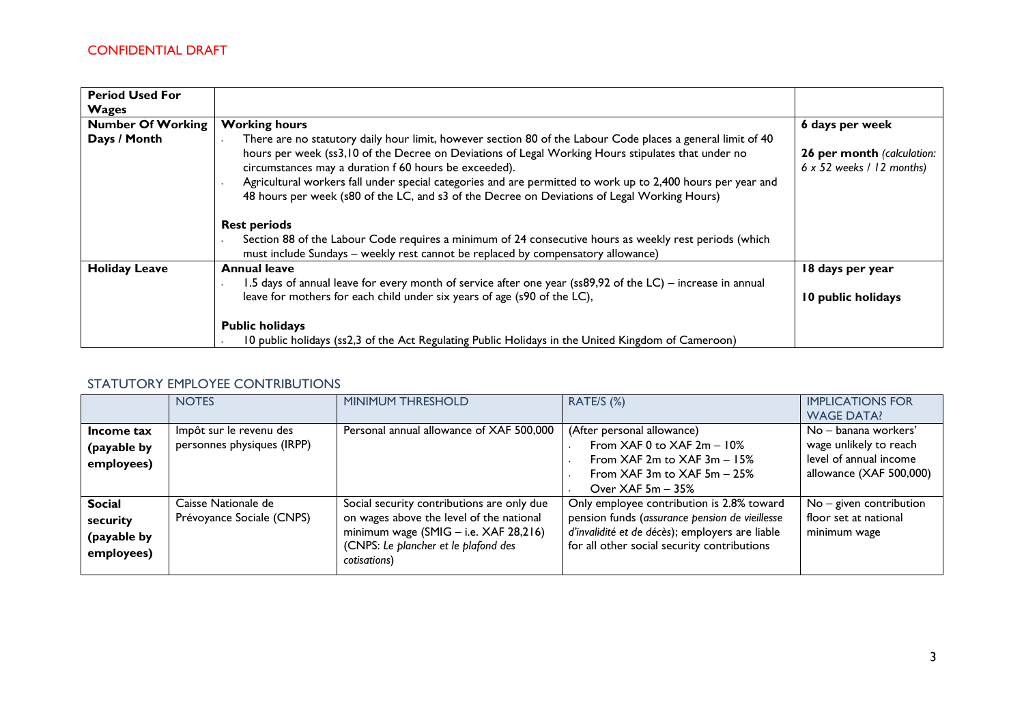| <b>Period Used For</b>   |                                                                                                                                                                                                                                                                                                                                                                                                                                                                                                                                                                                                                                                                                                                |                                                                |
|--------------------------|----------------------------------------------------------------------------------------------------------------------------------------------------------------------------------------------------------------------------------------------------------------------------------------------------------------------------------------------------------------------------------------------------------------------------------------------------------------------------------------------------------------------------------------------------------------------------------------------------------------------------------------------------------------------------------------------------------------|----------------------------------------------------------------|
| <b>Wages</b>             |                                                                                                                                                                                                                                                                                                                                                                                                                                                                                                                                                                                                                                                                                                                |                                                                |
| <b>Number Of Working</b> | <b>Working hours</b>                                                                                                                                                                                                                                                                                                                                                                                                                                                                                                                                                                                                                                                                                           | 6 days per week                                                |
| Days / Month             | There are no statutory daily hour limit, however section 80 of the Labour Code places a general limit of 40<br>hours per week (ss3,10 of the Decree on Deviations of Legal Working Hours stipulates that under no<br>circumstances may a duration f 60 hours be exceeded).<br>Agricultural workers fall under special categories and are permitted to work up to 2,400 hours per year and<br>48 hours per week (s80 of the LC, and s3 of the Decree on Deviations of Legal Working Hours)<br><b>Rest periods</b><br>Section 88 of the Labour Code requires a minimum of 24 consecutive hours as weekly rest periods (which<br>must include Sundays - weekly rest cannot be replaced by compensatory allowance) | 26 per month (calculation:<br>$6 \times 52$ weeks / 12 months) |
| <b>Holiday Leave</b>     | <b>Annual leave</b>                                                                                                                                                                                                                                                                                                                                                                                                                                                                                                                                                                                                                                                                                            | 18 days per year                                               |
|                          | 1.5 days of annual leave for every month of service after one year (ss89,92 of the LC) – increase in annual<br>leave for mothers for each child under six years of age (s90 of the LC),                                                                                                                                                                                                                                                                                                                                                                                                                                                                                                                        | 10 public holidays                                             |
|                          | <b>Public holidays</b><br>10 public holidays (ss2,3 of the Act Regulating Public Holidays in the United Kingdom of Cameroon)                                                                                                                                                                                                                                                                                                                                                                                                                                                                                                                                                                                   |                                                                |

### STATUTORY EMPLOYEE CONTRIBUTIONS

|                                                        | <b>NOTES</b>                                          | <b>MINIMUM THRESHOLD</b>                                                                                                                                                                  | RATE/S (%)                                                                                                                                                                                    | <b>IMPLICATIONS FOR</b><br><b>WAGE DATA!</b>                                                        |
|--------------------------------------------------------|-------------------------------------------------------|-------------------------------------------------------------------------------------------------------------------------------------------------------------------------------------------|-----------------------------------------------------------------------------------------------------------------------------------------------------------------------------------------------|-----------------------------------------------------------------------------------------------------|
| Income tax<br>(payable by<br>employees)                | Impôt sur le revenu des<br>personnes physiques (IRPP) | Personal annual allowance of XAF 500,000                                                                                                                                                  | (After personal allowance)<br>From XAF 0 to XAF $2m - 10%$<br>From $XAF$ 2m to $XAF$ 3m $-15%$<br>From $XAF$ 3m to $XAF$ 5m $-$ 25%<br>Over $XAF 5m - 35%$                                    | No – banana workers'<br>wage unlikely to reach<br>level of annual income<br>allowance (XAF 500,000) |
| <b>Social</b><br>security<br>(payable by<br>employees) | Caisse Nationale de<br>Prévoyance Sociale (CNPS)      | Social security contributions are only due<br>on wages above the level of the national<br>minimum wage $(SMIG - i.e. XAF 28,216)$<br>(CNPS: Le plancher et le plafond des<br>cotisations) | Only employee contribution is 2.8% toward<br>pension funds (assurance pension de vieillesse<br>d'invalidité et de décès); employers are liable<br>for all other social security contributions | $No - given contribution$<br>floor set at national<br>minimum wage                                  |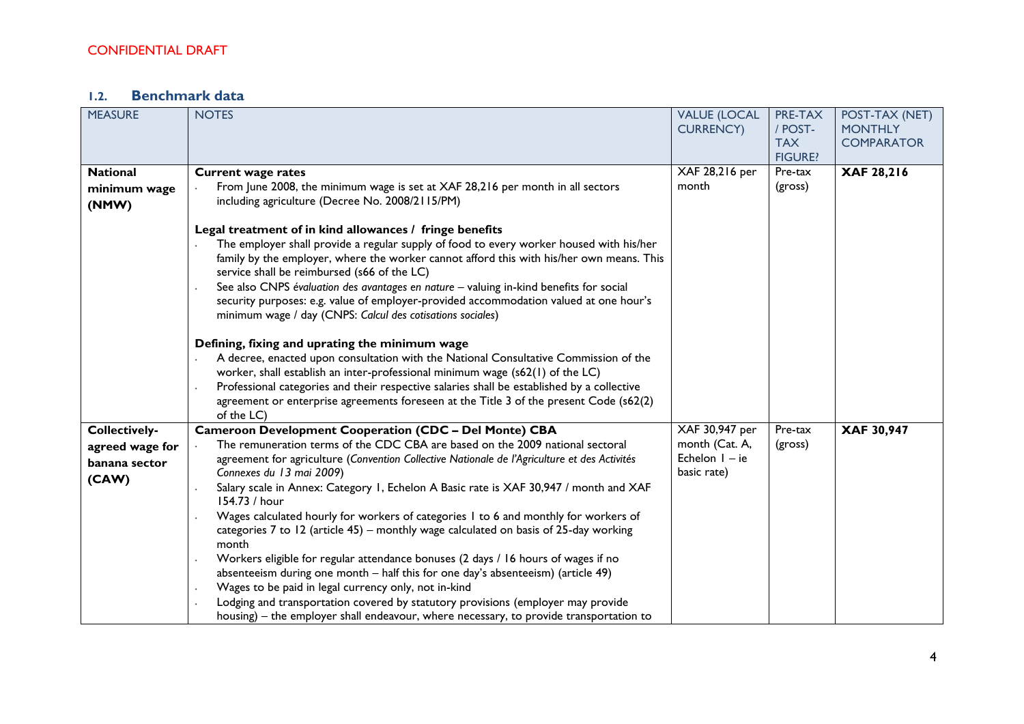# **1.2. Benchmark data**

| <b>MEASURE</b>  | <b>NOTES</b>                                                                                                                                                                        | <b>VALUE (LOCAL</b>                | PRE-TAX        | POST-TAX (NET)    |
|-----------------|-------------------------------------------------------------------------------------------------------------------------------------------------------------------------------------|------------------------------------|----------------|-------------------|
|                 |                                                                                                                                                                                     | <b>CURRENCY)</b>                   | / POST-        | <b>MONTHLY</b>    |
|                 |                                                                                                                                                                                     |                                    | <b>TAX</b>     | <b>COMPARATOR</b> |
|                 |                                                                                                                                                                                     |                                    | <b>FIGURE?</b> |                   |
| <b>National</b> | <b>Current wage rates</b>                                                                                                                                                           | XAF 28,216 per                     | Pre-tax        | XAF 28,216        |
| minimum wage    | From June 2008, the minimum wage is set at XAF 28,216 per month in all sectors                                                                                                      | month                              | (gross)        |                   |
| (NMW)           | including agriculture (Decree No. 2008/2115/PM)                                                                                                                                     |                                    |                |                   |
|                 |                                                                                                                                                                                     |                                    |                |                   |
|                 | Legal treatment of in kind allowances / fringe benefits                                                                                                                             |                                    |                |                   |
|                 | The employer shall provide a regular supply of food to every worker housed with his/her<br>family by the employer, where the worker cannot afford this with his/her own means. This |                                    |                |                   |
|                 | service shall be reimbursed (s66 of the LC)                                                                                                                                         |                                    |                |                   |
|                 | See also CNPS évaluation des avantages en nature - valuing in-kind benefits for social                                                                                              |                                    |                |                   |
|                 | security purposes: e.g. value of employer-provided accommodation valued at one hour's                                                                                               |                                    |                |                   |
|                 | minimum wage / day (CNPS: Calcul des cotisations sociales)                                                                                                                          |                                    |                |                   |
|                 |                                                                                                                                                                                     |                                    |                |                   |
|                 | Defining, fixing and uprating the minimum wage                                                                                                                                      |                                    |                |                   |
|                 | A decree, enacted upon consultation with the National Consultative Commission of the                                                                                                |                                    |                |                   |
|                 | worker, shall establish an inter-professional minimum wage (s62(1) of the LC)                                                                                                       |                                    |                |                   |
|                 | Professional categories and their respective salaries shall be established by a collective                                                                                          |                                    |                |                   |
|                 | agreement or enterprise agreements foreseen at the Title 3 of the present Code (s62(2)                                                                                              |                                    |                |                   |
|                 | of the LC)                                                                                                                                                                          |                                    |                |                   |
| Collectively-   | <b>Cameroon Development Cooperation (CDC - Del Monte) CBA</b>                                                                                                                       | XAF 30,947 per                     | Pre-tax        | XAF 30,947        |
| agreed wage for | The remuneration terms of the CDC CBA are based on the 2009 national sectoral                                                                                                       | month (Cat. A,<br>Echelon $I - ie$ | (gross)        |                   |
| banana sector   | agreement for agriculture (Convention Collective Nationale de l'Agriculture et des Activités<br>Connexes du 13 mai 2009)                                                            | basic rate)                        |                |                   |
| (CAW)           | Salary scale in Annex: Category 1, Echelon A Basic rate is XAF 30,947 / month and XAF                                                                                               |                                    |                |                   |
|                 | 154.73 / hour                                                                                                                                                                       |                                    |                |                   |
|                 | Wages calculated hourly for workers of categories 1 to 6 and monthly for workers of                                                                                                 |                                    |                |                   |
|                 | categories 7 to 12 (article 45) - monthly wage calculated on basis of 25-day working                                                                                                |                                    |                |                   |
|                 | month                                                                                                                                                                               |                                    |                |                   |
|                 | Workers eligible for regular attendance bonuses (2 days / 16 hours of wages if no                                                                                                   |                                    |                |                   |
|                 | absenteeism during one month - half this for one day's absenteeism) (article 49)                                                                                                    |                                    |                |                   |
|                 | Wages to be paid in legal currency only, not in-kind                                                                                                                                |                                    |                |                   |
|                 | Lodging and transportation covered by statutory provisions (employer may provide                                                                                                    |                                    |                |                   |
|                 | housing) – the employer shall endeavour, where necessary, to provide transportation to                                                                                              |                                    |                |                   |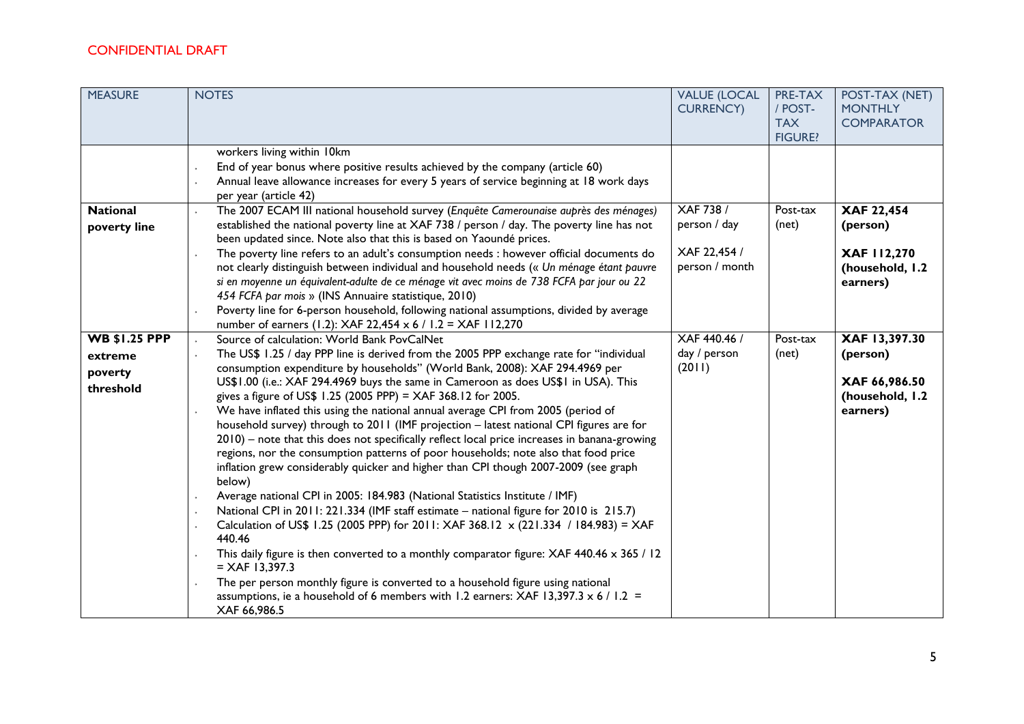| <b>MEASURE</b>                                          | <b>NOTES</b>                                                                                                                                                                                                                                                                                                                                                                                                                                                                                                                                                                                                                                                                                                                                                                                                                                                                                                                                                                                                                                                                                                                                                                                                                                                                                                                                                                                                                                     | <b>VALUE (LOCAL</b><br><b>CURRENCY)</b>                            | PRE-TAX<br>/ POST-<br><b>TAX</b><br><b>FIGURE?</b> | POST-TAX (NET)<br><b>MONTHLY</b><br><b>COMPARATOR</b>                     |
|---------------------------------------------------------|--------------------------------------------------------------------------------------------------------------------------------------------------------------------------------------------------------------------------------------------------------------------------------------------------------------------------------------------------------------------------------------------------------------------------------------------------------------------------------------------------------------------------------------------------------------------------------------------------------------------------------------------------------------------------------------------------------------------------------------------------------------------------------------------------------------------------------------------------------------------------------------------------------------------------------------------------------------------------------------------------------------------------------------------------------------------------------------------------------------------------------------------------------------------------------------------------------------------------------------------------------------------------------------------------------------------------------------------------------------------------------------------------------------------------------------------------|--------------------------------------------------------------------|----------------------------------------------------|---------------------------------------------------------------------------|
|                                                         | workers living within 10km<br>End of year bonus where positive results achieved by the company (article 60)<br>Annual leave allowance increases for every 5 years of service beginning at 18 work days<br>per year (article 42)                                                                                                                                                                                                                                                                                                                                                                                                                                                                                                                                                                                                                                                                                                                                                                                                                                                                                                                                                                                                                                                                                                                                                                                                                  |                                                                    |                                                    |                                                                           |
| <b>National</b><br>poverty line                         | The 2007 ECAM III national household survey (Enquête Camerounaise auprès des ménages)<br>established the national poverty line at XAF 738 / person / day. The poverty line has not<br>been updated since. Note also that this is based on Yaoundé prices.<br>The poverty line refers to an adult's consumption needs : however official documents do<br>not clearly distinguish between individual and household needs (« Un ménage étant pauvre<br>si en moyenne un équivalent-adulte de ce ménage vit avec moins de 738 FCFA par jour ou 22<br>454 FCFA par mois » (INS Annuaire statistique, 2010)<br>Poverty line for 6-person household, following national assumptions, divided by average<br>number of earners (1.2): XAF 22,454 x 6 / 1.2 = XAF 112,270                                                                                                                                                                                                                                                                                                                                                                                                                                                                                                                                                                                                                                                                                  | <b>XAF 738 /</b><br>person / day<br>XAF 22,454 /<br>person / month | Post-tax<br>(net)                                  | XAF 22,454<br>(person)<br>XAF 112,270<br>(household, I.2<br>earners)      |
| <b>WB \$1.25 PPP</b><br>extreme<br>poverty<br>threshold | Source of calculation: World Bank PovCalNet<br>The US\$ 1.25 / day PPP line is derived from the 2005 PPP exchange rate for "individual<br>consumption expenditure by households" (World Bank, 2008): XAF 294.4969 per<br>US\$1.00 (i.e.: XAF 294.4969 buys the same in Cameroon as does US\$1 in USA). This<br>gives a figure of US\$ 1.25 (2005 PPP) = XAF 368.12 for 2005.<br>We have inflated this using the national annual average CPI from 2005 (period of<br>household survey) through to 2011 (IMF projection - latest national CPI figures are for<br>2010) – note that this does not specifically reflect local price increases in banana-growing<br>regions, nor the consumption patterns of poor households; note also that food price<br>inflation grew considerably quicker and higher than CPI though 2007-2009 (see graph<br>below)<br>Average national CPI in 2005: 184.983 (National Statistics Institute / IMF)<br>National CPI in 2011: 221.334 (IMF staff estimate – national figure for 2010 is 215.7)<br>Calculation of US\$ 1.25 (2005 PPP) for 2011: XAF 368.12 x (221.334 / 184.983) = XAF<br>440.46<br>This daily figure is then converted to a monthly comparator figure: XAF 440.46 x 365 / 12<br>$= XAF 13,397.3$<br>The per person monthly figure is converted to a household figure using national<br>assumptions, ie a household of 6 members with 1.2 earners: XAF 13,397.3 $\times$ 6 / 1.2 =<br>XAF 66,986.5 | XAF 440.46 /<br>day / person<br>(2011)                             | Post-tax<br>(net)                                  | XAF 13,397.30<br>(person)<br>XAF 66,986.50<br>(household, I.2<br>earners) |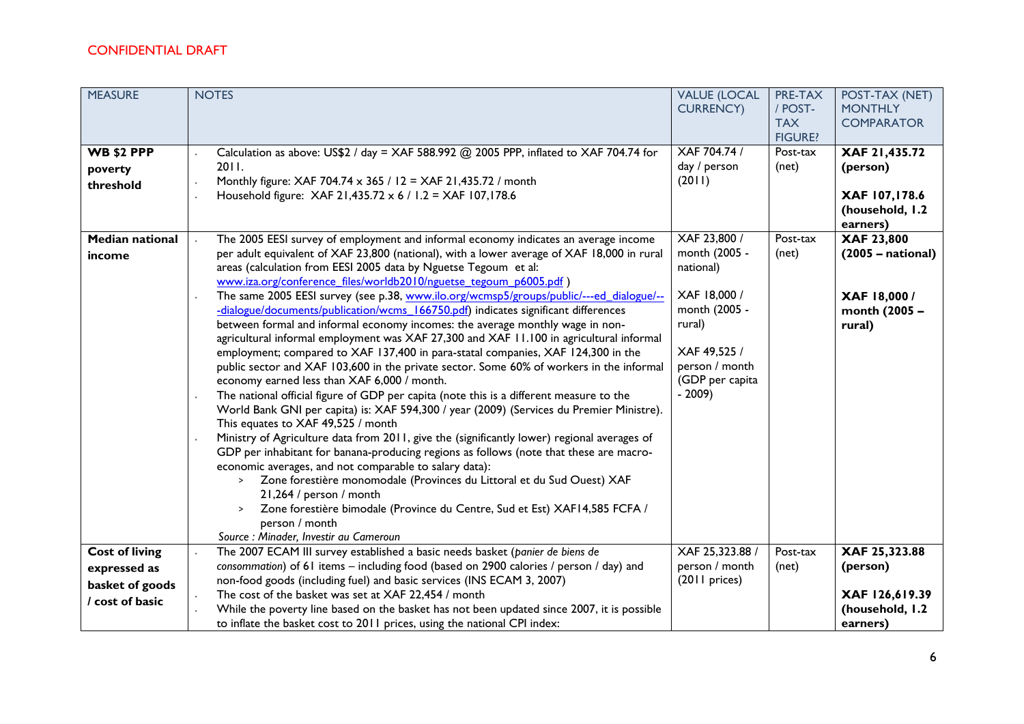| <b>MEASURE</b>                                                                | <b>NOTES</b>                                                                                                                                                                                                                                                                                                                                                                                                                                                                                                                                                                                                                                                                                                                                                                                                                                                                                                                                                                                                                                                                                                                                                                                                                                                                                                                                                                                                                                                                                                                                                                                                                                                                                                                                | <b>VALUE (LOCAL</b><br><b>CURRENCY)</b>                                                                                                                                                         | PRE-TAX<br>/ POST-<br><b>TAX</b><br><b>FIGURE?</b> | POST-TAX (NET)<br><b>MONTHLY</b><br><b>COMPARATOR</b>                                                                                                     |
|-------------------------------------------------------------------------------|---------------------------------------------------------------------------------------------------------------------------------------------------------------------------------------------------------------------------------------------------------------------------------------------------------------------------------------------------------------------------------------------------------------------------------------------------------------------------------------------------------------------------------------------------------------------------------------------------------------------------------------------------------------------------------------------------------------------------------------------------------------------------------------------------------------------------------------------------------------------------------------------------------------------------------------------------------------------------------------------------------------------------------------------------------------------------------------------------------------------------------------------------------------------------------------------------------------------------------------------------------------------------------------------------------------------------------------------------------------------------------------------------------------------------------------------------------------------------------------------------------------------------------------------------------------------------------------------------------------------------------------------------------------------------------------------------------------------------------------------|-------------------------------------------------------------------------------------------------------------------------------------------------------------------------------------------------|----------------------------------------------------|-----------------------------------------------------------------------------------------------------------------------------------------------------------|
| <b>WB \$2 PPP</b><br>poverty<br>threshold<br><b>Median national</b><br>income | Calculation as above: US\$2 / day = XAF 588.992 @ 2005 PPP, inflated to XAF 704.74 for<br>2011.<br>Monthly figure: XAF 704.74 x 365 / 12 = XAF 21,435.72 / month<br>Household figure: XAF 21,435.72 x 6 / 1.2 = XAF 107,178.6<br>The 2005 EESI survey of employment and informal economy indicates an average income<br>per adult equivalent of XAF 23,800 (national), with a lower average of XAF 18,000 in rural<br>areas (calculation from EESI 2005 data by Nguetse Tegoum et al:<br>www.iza.org/conference files/worldb2010/nguetse tegoum p6005.pdf)<br>The same 2005 EESI survey (see p.38, www.ilo.org/wcmsp5/groups/public/---ed dialogue/--<br>-dialogue/documents/publication/wcms 166750.pdf) indicates significant differences<br>between formal and informal economy incomes: the average monthly wage in non-<br>agricultural informal employment was XAF 27,300 and XAF 11.100 in agricultural informal<br>employment; compared to XAF 137,400 in para-statal companies, XAF 124,300 in the<br>public sector and XAF 103,600 in the private sector. Some 60% of workers in the informal<br>economy earned less than XAF 6,000 / month.<br>The national official figure of GDP per capita (note this is a different measure to the<br>World Bank GNI per capita) is: XAF 594,300 / year (2009) (Services du Premier Ministre).<br>This equates to XAF 49,525 / month<br>Ministry of Agriculture data from 2011, give the (significantly lower) regional averages of<br>GDP per inhabitant for banana-producing regions as follows (note that these are macro-<br>economic averages, and not comparable to salary data):<br>Zone forestière monomodale (Provinces du Littoral et du Sud Ouest) XAF<br>21,264 / person / month | XAF 704.74 /<br>day / person<br>(2011)<br>XAF 23,800 /<br>month (2005 -<br>national)<br>XAF 18,000 /<br>month (2005 -<br>rural)<br>XAF 49,525 /<br>person / month<br>(GDP per capita<br>$-2009$ | Post-tax<br>(net)<br>Post-tax<br>(net)             | XAF 21,435.72<br>(person)<br>XAF 107,178.6<br>(household, I.2<br>earners)<br>XAF 23,800<br>$(2005 - national)$<br>XAF 18,000 /<br>month (2005 -<br>rural) |
| <b>Cost of living</b><br>expressed as<br>basket of goods<br>/ cost of basic   | Zone forestière bimodale (Province du Centre, Sud et Est) XAF14,585 FCFA /<br>$\geq$<br>person / month<br>Source : Minader, Investir au Cameroun<br>The 2007 ECAM III survey established a basic needs basket (panier de biens de<br>consommation) of 61 items - including food (based on 2900 calories / person / day) and<br>non-food goods (including fuel) and basic services (INS ECAM 3, 2007)<br>The cost of the basket was set at XAF 22,454 / month<br>While the poverty line based on the basket has not been updated since 2007, it is possible<br>to inflate the basket cost to 2011 prices, using the national CPI index:                                                                                                                                                                                                                                                                                                                                                                                                                                                                                                                                                                                                                                                                                                                                                                                                                                                                                                                                                                                                                                                                                                      | XAF 25,323.88 /<br>person / month<br>(2011 prices)                                                                                                                                              | Post-tax<br>(net)                                  | XAF 25,323.88<br>(person)<br>XAF 126,619.39<br>(household, I.2<br>earners)                                                                                |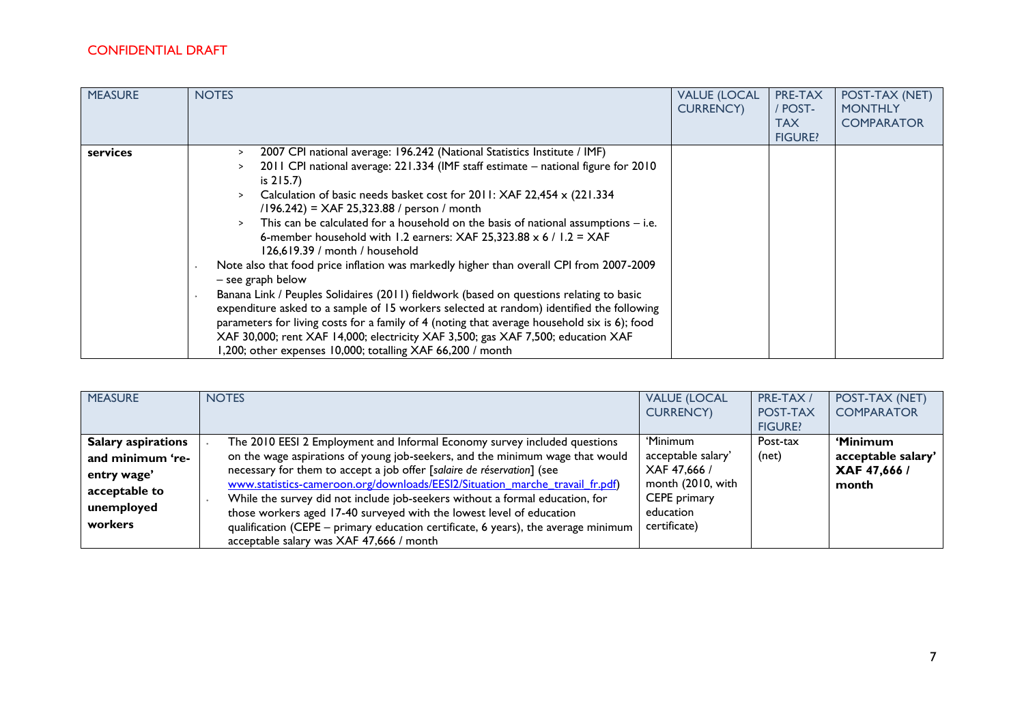| <b>MEASURE</b> | <b>NOTES</b>                                                                                                                                                                                                                                                                                                                                                                                                                                                                                                                                                                                                                                                                                                                                                                                                                                                                                                                                                                                                                                                                                | <b>VALUE (LOCAL</b><br><b>CURRENCY</b> ) | PRE-TAX<br>/ POST-<br><b>TAX</b><br><b>FIGURE?</b> | POST-TAX (NET)<br><b>MONTHLY</b><br><b>COMPARATOR</b> |
|----------------|---------------------------------------------------------------------------------------------------------------------------------------------------------------------------------------------------------------------------------------------------------------------------------------------------------------------------------------------------------------------------------------------------------------------------------------------------------------------------------------------------------------------------------------------------------------------------------------------------------------------------------------------------------------------------------------------------------------------------------------------------------------------------------------------------------------------------------------------------------------------------------------------------------------------------------------------------------------------------------------------------------------------------------------------------------------------------------------------|------------------------------------------|----------------------------------------------------|-------------------------------------------------------|
| services       | 2007 CPI national average: 196.242 (National Statistics Institute / IMF)<br>$\geq$<br>2011 CPI national average: 221.334 (IMF staff estimate - national figure for 2010<br>is $215.7$ )<br>Calculation of basic needs basket cost for 2011: XAF 22,454 x (221.334<br>$\geq$<br>$(196.242)$ = XAF 25,323.88 / person / month<br>This can be calculated for a household on the basis of national assumptions $-$ i.e.<br>6-member household with 1.2 earners: XAF 25,323.88 $\times$ 6 / 1.2 = XAF<br>126,619.39 / month / household<br>Note also that food price inflation was markedly higher than overall CPI from 2007-2009<br>- see graph below<br>Banana Link / Peuples Solidaires (2011) fieldwork (based on questions relating to basic<br>expenditure asked to a sample of 15 workers selected at random) identified the following<br>parameters for living costs for a family of 4 (noting that average household six is 6); food<br>XAF 30,000; rent XAF 14,000; electricity XAF 3,500; gas XAF 7,500; education XAF<br>1,200; other expenses 10,000; totalling XAF 66,200 / month |                                          |                                                    |                                                       |

| <b>MEASURE</b>            | <b>NOTES</b>                                                                       | <b>VALUE (LOCAL</b> | PRE-TAX /      | POST-TAX (NET)     |
|---------------------------|------------------------------------------------------------------------------------|---------------------|----------------|--------------------|
|                           |                                                                                    | <b>CURRENCY)</b>    | POST-TAX       | <b>COMPARATOR</b>  |
|                           |                                                                                    |                     | <b>FIGURE?</b> |                    |
| <b>Salary aspirations</b> | The 2010 EESI 2 Employment and Informal Economy survey included questions          | 'Minimum            | Post-tax       | 'Minimum           |
| and minimum 're-          | on the wage aspirations of young job-seekers, and the minimum wage that would      | acceptable salary'  | (net)          | acceptable salary' |
| entry wage'               | necessary for them to accept a job offer [salaire de réservation] (see             | XAF 47,666 /        |                | XAF 47,666 /       |
| acceptable to             | www.statistics-cameroon.org/downloads/EESI2/Situation marche travail fr.pdf)       | month (2010, with   |                | month              |
|                           | While the survey did not include job-seekers without a formal education, for       | CEPE primary        |                |                    |
| unemployed                | those workers aged 17-40 surveyed with the lowest level of education               | education           |                |                    |
| workers                   | qualification (CEPE – primary education certificate, 6 years), the average minimum | certificate)        |                |                    |
|                           | acceptable salary was XAF 47,666 / month                                           |                     |                |                    |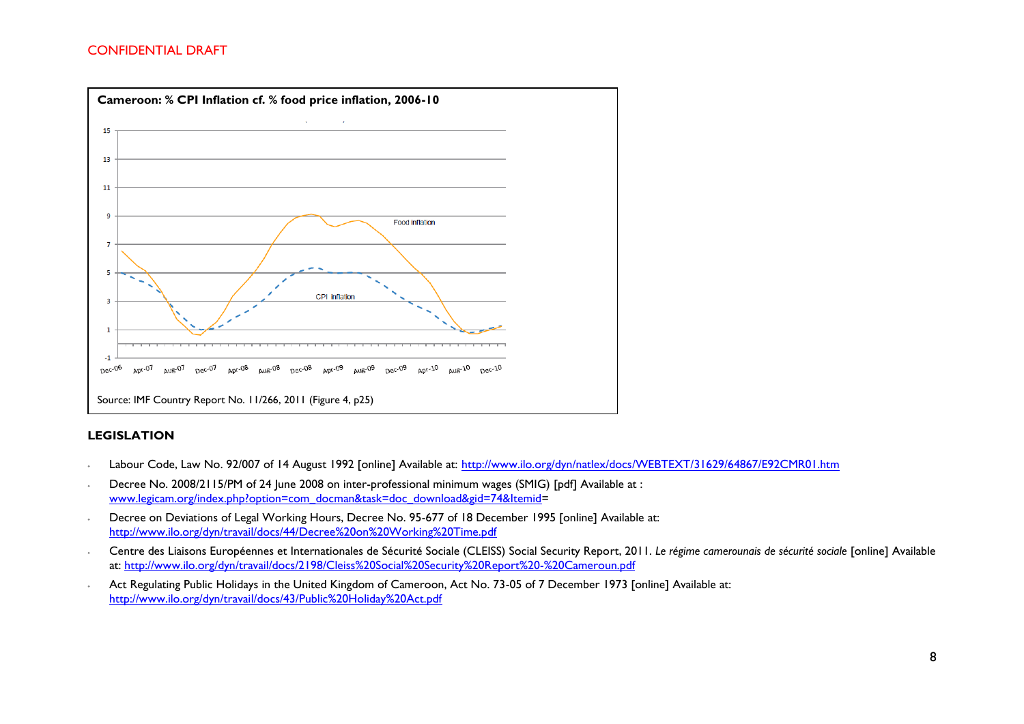

#### **LEGISLATION**

- ∙ Labour Code, Law No. 92/007 of 14 August 1992 [online] Available at:<http://www.ilo.org/dyn/natlex/docs/WEBTEXT/31629/64867/E92CMR01.htm>
- ∙ Decree No. 2008/2115/PM of 24 June 2008 on inter-professional minimum wages (SMIG) [pdf] Available at : [www.legicam.org/index.php?option=com\\_docman&task=doc\\_download&gid=74&Itemid=](http://www.legicam.org/index.php?option=com_docman&task=doc_download&gid=74&Itemid)
- ∙ Decree on Deviations of Legal Working Hours, Decree No. 95-677 of 18 December 1995 [online] Available at: <http://www.ilo.org/dyn/travail/docs/44/Decree%20on%20Working%20Time.pdf>
- ∙ Centre des Liaisons Européennes et Internationales de Sécurité Sociale (CLEISS) Social Security Report, 2011. *Le régime camerounais de sécurité sociale* [online] Available at:<http://www.ilo.org/dyn/travail/docs/2198/Cleiss%20Social%20Security%20Report%20-%20Cameroun.pdf>
- ∙ Act Regulating Public Holidays in the United Kingdom of Cameroon, Act No. 73-05 of 7 December 1973 [online] Available at: <http://www.ilo.org/dyn/travail/docs/43/Public%20Holiday%20Act.pdf>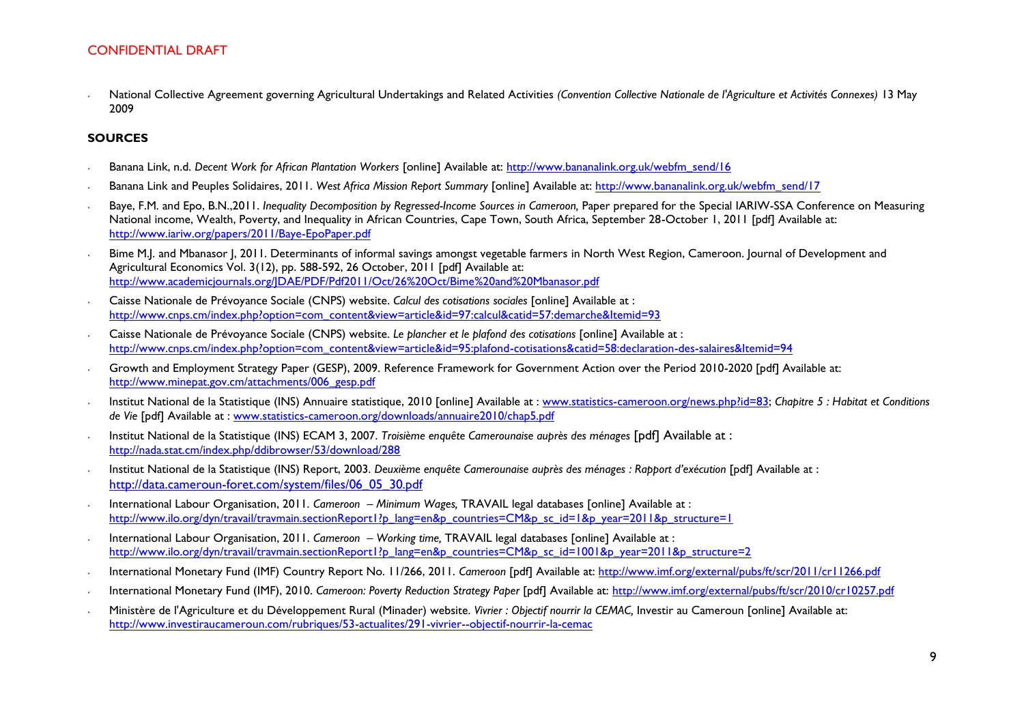∙ National Collective Agreement governing Agricultural Undertakings and Related Activities *(Convention Collective Nationale de l'Agriculture et Activités Connexes)* 13 May 2009

#### **SOURCES**

- ∙ Banana Link, n.d. *Decent Work for African Plantation Workers* [online] Available at: [http://www.bananalink.org.uk/webfm\\_send/16](http://www.bananalink.org.uk/webfm_send/16)
- ∙ Banana Link and Peuples Solidaires, 2011. *West Africa Mission Report Summary* [online] Available at: [http://www.bananalink.org.uk/webfm\\_send/17](http://www.bananalink.org.uk/webfm_send/17)
- Baye, F.M. and Epo, B.N.,2011. *Inequality Decomposition by Regressed-Income Sources in Cameroon*, Paper prepared for the Special IARIW-SSA Conference on Measuring National income, Wealth, Poverty, and Inequality in African Countries, Cape Town, South Africa, September 28-October 1, 2011 [pdf] Available at: <http://www.iariw.org/papers/2011/Baye-EpoPaper.pdf>
- ∙ Bime M.J. and Mbanasor J, 2011. Determinants of informal savings amongst vegetable farmers in North West Region, Cameroon. Journal of Development and Agricultural Economics Vol. 3(12), pp. 588-592, 26 October, 2011 [pdf] Available at: <http://www.academicjournals.org/JDAE/PDF/Pdf2011/Oct/26%20Oct/Bime%20and%20Mbanasor.pdf>
- ∙ Caisse Nationale de Prévoyance Sociale (CNPS) website. *Calcul des cotisations sociales* [online] Available at : [http://www.cnps.cm/index.php?option=com\\_content&view=article&id=97:calcul&catid=57:demarche&Itemid=93](http://www.cnps.cm/index.php?option=com_content&view=article&id=97:calcul&catid=57:demarche&Itemid=93)
- ∙ Caisse Nationale de Prévoyance Sociale (CNPS) website. *Le plancher et le plafond des cotisations* [online] Available at : [http://www.cnps.cm/index.php?option=com\\_content&view=article&id=95:plafond-cotisations&catid=58:declaration-des-salaires&Itemid=94](http://www.cnps.cm/index.php?option=com_content&view=article&id=95:plafond-cotisations&catid=58:declaration-des-salaires&Itemid=94)
- ∙ Growth and Employment Strategy Paper (GESP), 2009. Reference Framework for Government Action over the Period 2010-2020 [pdf] Available at: [http://www.minepat.gov.cm/attachments/006\\_gesp.pdf](http://www.minepat.gov.cm/attachments/006_gesp.pdf)
- ∙ Institut National de la Statistique (INS) Annuaire statistique, 2010 [online] Available at : [www.statistics-cameroon.org/news.php?id=83;](http://www.statistics-cameroon.org/news.php?id=83) *Chapitre 5 : Habitat et Conditions de Vie* [pdf] Available at : [www.statistics-cameroon.org/downloads/annuaire2010/chap5.pdf](http://www.statistics-cameroon.org/downloads/annuaire2010/chap5.pdf)
- ∙ Institut National de la Statistique (INS) ECAM 3, 2007. *Troisième enquête Camerounaise auprès des ménages* [pdf] Available at : <http://nada.stat.cm/index.php/ddibrowser/53/download/288>
- ∙ Institut National de la Statistique (INS) Report, 2003. *Deuxième enquête Camerounaise auprès des ménages : Rapport d'exécution* [pdf] Available at : [http://data.cameroun-foret.com/system/files/06\\_05\\_30.pdf](http://data.cameroun-foret.com/system/files/06_05_30.pdf)
- ∙ International Labour Organisation, 2011. *Cameroon – Minimum Wages,* TRAVAIL legal databases [online] Available at : [http://www.ilo.org/dyn/travail/travmain.sectionReport1?p\\_lang=en&p\\_countries=CM&p\\_sc\\_id=1&p\\_year=2011&p\\_structure=1](http://www.ilo.org/dyn/travail/travmain.sectionReport1?p_lang=en&p_countries=CM&p_sc_id=1&p_year=2011&p_structure=1)
- ∙ International Labour Organisation, 2011. *Cameroon – Working time,* TRAVAIL legal databases [online] Available at : [http://www.ilo.org/dyn/travail/travmain.sectionReport1?p\\_lang=en&p\\_countries=CM&p\\_sc\\_id=1001&p\\_year=2011&p\\_structure=2](http://www.ilo.org/dyn/travail/travmain.sectionReport1?p_lang=en&p_countries=CM&p_sc_id=1001&p_year=2011&p_structure=2)
- ∙ International Monetary Fund (IMF) Country Report No. 11/266, 2011. *Cameroon* [pdf] Available at:<http://www.imf.org/external/pubs/ft/scr/2011/cr11266.pdf>
- ∙ International Monetary Fund (IMF), 2010. *Cameroon: Poverty Reduction Strategy Paper* [pdf] Available at:<http://www.imf.org/external/pubs/ft/scr/2010/cr10257.pdf>
- ∙ Ministère de l'Agriculture et du Développement Rural (Minader) website. *Vivrier : Objectif nourrir la CEMAC,* Investir au Cameroun [online] Available at: <http://www.investiraucameroun.com/rubriques/53-actualites/291-vivrier--objectif-nourrir-la-cemac>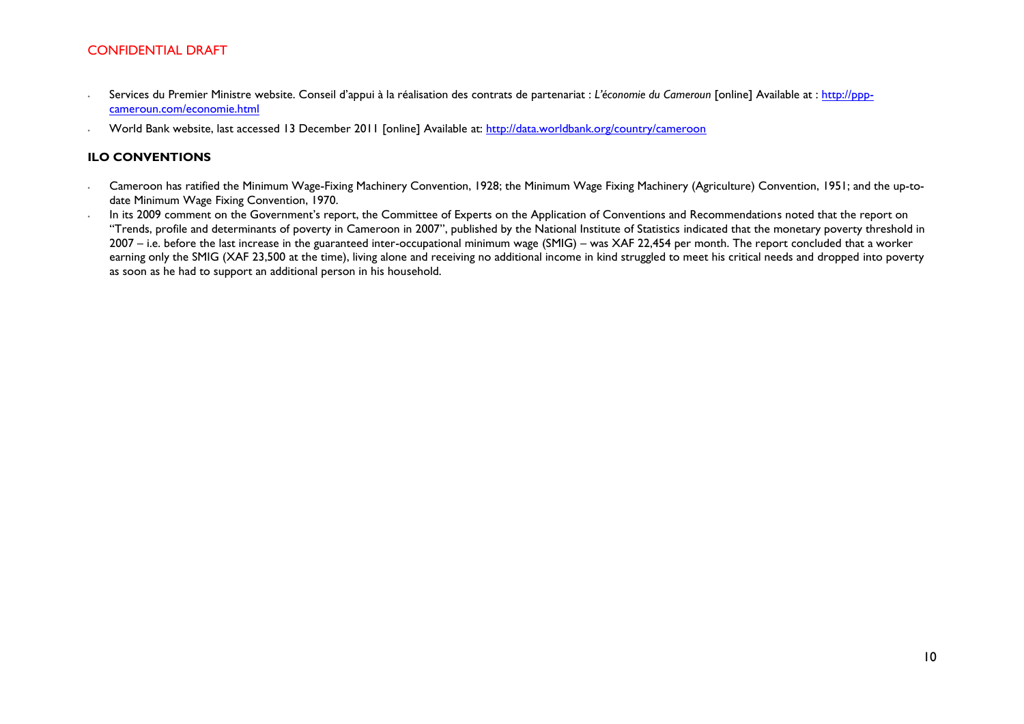- ∙ Services du Premier Ministre website. Conseil d'appui à la réalisation des contrats de partenariat : *L'économie du Cameroun* [online] Available at : [http://ppp](http://ppp-cameroun.com/economie.html)[cameroun.com/economie.html](http://ppp-cameroun.com/economie.html)
- ∙ World Bank website, last accessed 13 December 2011 [online] Available at: <http://data.worldbank.org/country/cameroon>

#### **ILO CONVENTIONS**

- ∙ Cameroon has ratified the Minimum Wage-Fixing Machinery Convention, 1928; the Minimum Wage Fixing Machinery (Agriculture) Convention, 1951; and the up-todate Minimum Wage Fixing Convention, 1970.
- ∙ In its 2009 comment on the Government's report, the Committee of Experts on the Application of Conventions and Recommendations noted that the report on "Trends, profile and determinants of poverty in Cameroon in 2007", published by the National Institute of Statistics indicated that the monetary poverty threshold in 2007 – i.e. before the last increase in the guaranteed inter-occupational minimum wage (SMIG) – was XAF 22,454 per month. The report concluded that a worker earning only the SMIG (XAF 23,500 at the time), living alone and receiving no additional income in kind struggled to meet his critical needs and dropped into poverty as soon as he had to support an additional person in his household.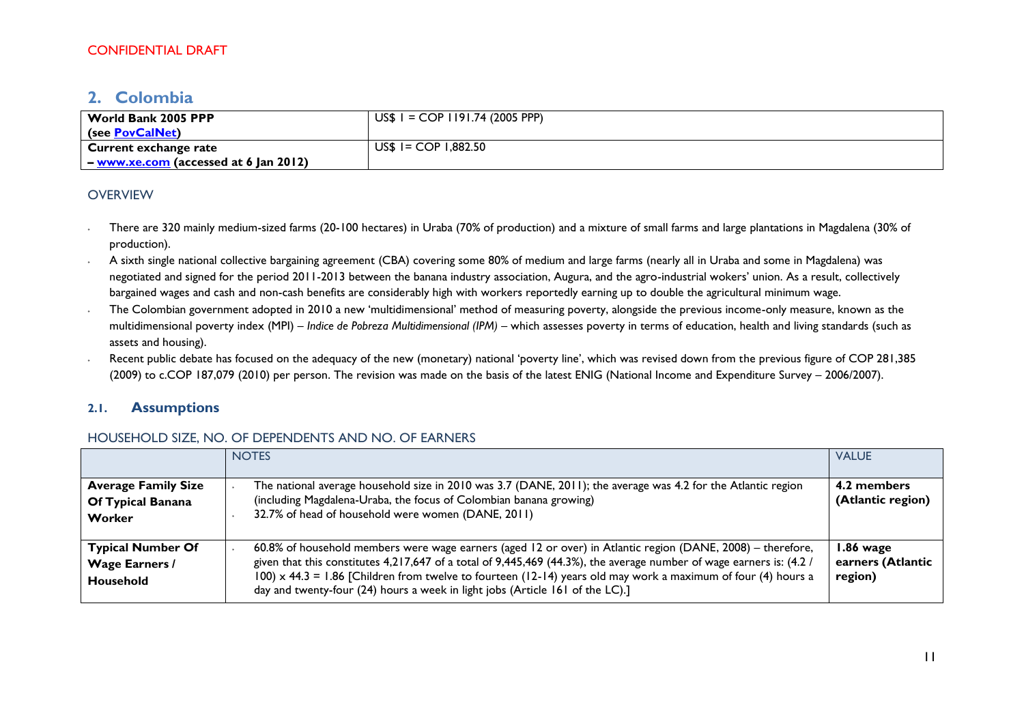# <span id="page-10-0"></span>**2. Colombia**

| World Bank 2005 PPP                          | $US$ I = COP I191.74 (2005 PPP)$ |
|----------------------------------------------|----------------------------------|
| (see PovCalNet)                              |                                  |
| Current exchange rate                        | $US$ I = COP I,882.50$           |
| – <u>www.xe.com</u> (accessed at 6 Jan 2012) |                                  |

### **OVERVIEW**

- ∙ There are 320 mainly medium-sized farms (20-100 hectares) in Uraba (70% of production) and a mixture of small farms and large plantations in Magdalena (30% of production).
- ∙ A sixth single national collective bargaining agreement (CBA) covering some 80% of medium and large farms (nearly all in Uraba and some in Magdalena) was negotiated and signed for the period 2011-2013 between the banana industry association, Augura, and the agro-industrial wokers' union. As a result, collectively bargained wages and cash and non-cash benefits are considerably high with workers reportedly earning up to double the agricultural minimum wage.
- The Colombian government adopted in 2010 a new 'multidimensional' method of measuring poverty, alongside the previous income-only measure, known as the multidimensional poverty index (MPI) – *Indice de Pobreza Multidimensional (IPM) –* which assesses poverty in terms of education, health and living standards (such as assets and housing).
- ∙ Recent public debate has focused on the adequacy of the new (monetary) national 'poverty line', which was revised down from the previous figure of COP 281,385 (2009) to c.COP 187,079 (2010) per person. The revision was made on the basis of the latest ENIG (National Income and Expenditure Survey – 2006/2007).

### **2.1. Assumptions**

### HOUSEHOLD SIZE, NO. OF DEPENDENTS AND NO. OF EARNERS

|                                                                | <b>NOTES</b>                                                                                                                                                                                                                                                                                                                                                                                                                                | <b>VALUE</b>                              |
|----------------------------------------------------------------|---------------------------------------------------------------------------------------------------------------------------------------------------------------------------------------------------------------------------------------------------------------------------------------------------------------------------------------------------------------------------------------------------------------------------------------------|-------------------------------------------|
| <b>Average Family Size</b><br>Of Typical Banana<br>Worker      | The national average household size in 2010 was 3.7 (DANE, 2011); the average was 4.2 for the Atlantic region<br>(including Magdalena-Uraba, the focus of Colombian banana growing)<br>32.7% of head of household were women (DANE, 2011)                                                                                                                                                                                                   | 4.2 members<br>(Atlantic region)          |
| <b>Typical Number Of</b><br><b>Wage Earners /</b><br>Household | 60.8% of household members were wage earners (aged 12 or over) in Atlantic region (DANE, 2008) – therefore,<br>given that this constitutes 4,217,647 of a total of 9,445,469 (44.3%), the average number of wage earners is: (4.2 /<br>$100 \times 44.3 = 1.86$ [Children from twelve to fourteen (12-14) years old may work a maximum of four (4) hours a<br>day and twenty-four (24) hours a week in light jobs (Article 161 of the LC).] | 1.86 wage<br>earners (Atlantic<br>region) |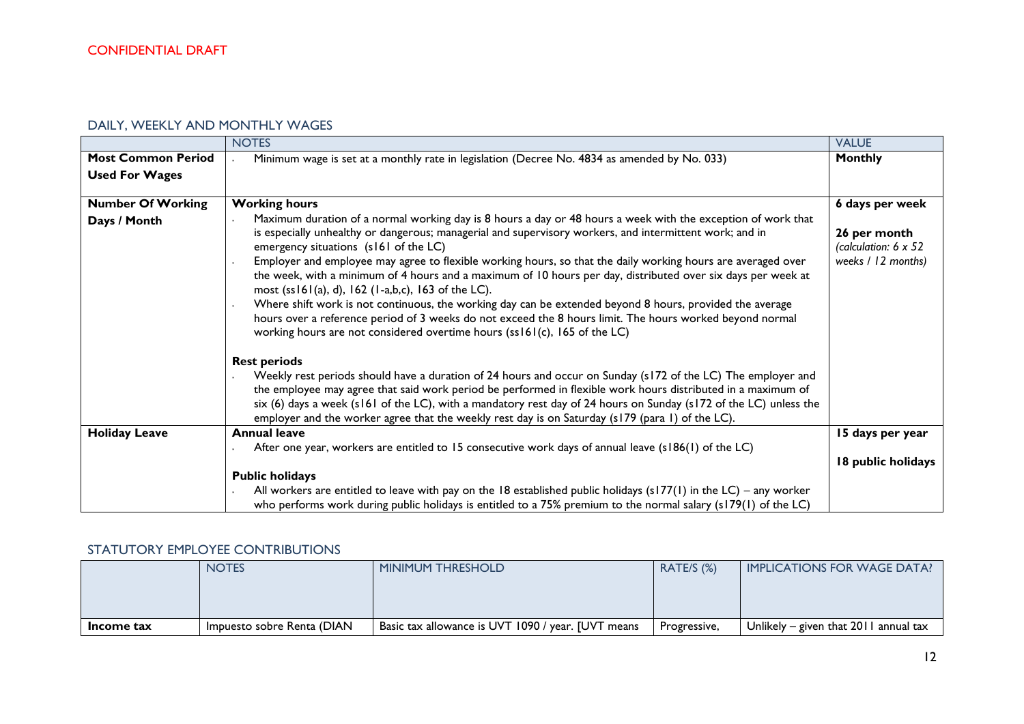# DAILY, WEEKLY AND MONTHLY WAGES

|                                                    | <b>NOTES</b>                                                                                                                                                                                                                                                                                                                                                                                                                                                                                                                                                                                                                                                                                                                                                                                                                                                   | <b>VALUE</b>                                               |
|----------------------------------------------------|----------------------------------------------------------------------------------------------------------------------------------------------------------------------------------------------------------------------------------------------------------------------------------------------------------------------------------------------------------------------------------------------------------------------------------------------------------------------------------------------------------------------------------------------------------------------------------------------------------------------------------------------------------------------------------------------------------------------------------------------------------------------------------------------------------------------------------------------------------------|------------------------------------------------------------|
| <b>Most Common Period</b><br><b>Used For Wages</b> | Minimum wage is set at a monthly rate in legislation (Decree No. 4834 as amended by No. 033)                                                                                                                                                                                                                                                                                                                                                                                                                                                                                                                                                                                                                                                                                                                                                                   | <b>Monthly</b>                                             |
| <b>Number Of Working</b>                           | <b>Working hours</b>                                                                                                                                                                                                                                                                                                                                                                                                                                                                                                                                                                                                                                                                                                                                                                                                                                           | 6 days per week                                            |
| Days / Month                                       | Maximum duration of a normal working day is 8 hours a day or 48 hours a week with the exception of work that<br>is especially unhealthy or dangerous; managerial and supervisory workers, and intermittent work; and in<br>emergency situations (s161 of the LC)<br>Employer and employee may agree to flexible working hours, so that the daily working hours are averaged over<br>the week, with a minimum of 4 hours and a maximum of 10 hours per day, distributed over six days per week at<br>most $(ssl61(a), d)$ , 162 (1-a,b,c), 163 of the LC).<br>Where shift work is not continuous, the working day can be extended beyond 8 hours, provided the average<br>hours over a reference period of 3 weeks do not exceed the 8 hours limit. The hours worked beyond normal<br>working hours are not considered overtime hours (ss161(c), 165 of the LC) | 26 per month<br>(calculation: 6 x 52<br>weeks / 12 months) |
|                                                    | <b>Rest periods</b><br>Weekly rest periods should have a duration of 24 hours and occur on Sunday (s172 of the LC) The employer and<br>the employee may agree that said work period be performed in flexible work hours distributed in a maximum of<br>six (6) days a week (s161 of the LC), with a mandatory rest day of 24 hours on Sunday (s172 of the LC) unless the<br>employer and the worker agree that the weekly rest day is on Saturday (s179 (para 1) of the LC).                                                                                                                                                                                                                                                                                                                                                                                   |                                                            |
| <b>Holiday Leave</b>                               | <b>Annual leave</b>                                                                                                                                                                                                                                                                                                                                                                                                                                                                                                                                                                                                                                                                                                                                                                                                                                            | 15 days per year                                           |
|                                                    | After one year, workers are entitled to 15 consecutive work days of annual leave (s186(1) of the LC)<br><b>Public holidays</b>                                                                                                                                                                                                                                                                                                                                                                                                                                                                                                                                                                                                                                                                                                                                 | 18 public holidays                                         |
|                                                    | All workers are entitled to leave with pay on the 18 established public holidays ( $s177(1)$ ) in the LC) – any worker<br>who performs work during public holidays is entitled to a 75% premium to the normal salary (s179(1) of the LC)                                                                                                                                                                                                                                                                                                                                                                                                                                                                                                                                                                                                                       |                                                            |

### STATUTORY EMPLOYEE CONTRIBUTIONS

|            | <b>NOTES</b>               | <b>MINIMUM THRESHOLD</b>                           | RATE/S $(%)$ | <b>IMPLICATIONS FOR WAGE DATA?</b>      |
|------------|----------------------------|----------------------------------------------------|--------------|-----------------------------------------|
|            |                            |                                                    |              |                                         |
|            |                            |                                                    |              |                                         |
|            |                            |                                                    |              |                                         |
| Income tax | Impuesto sobre Renta (DIAN | Basic tax allowance is UVT 1090 / year. JUVT means | Progressive, | Unlikely – given that $2011$ annual tax |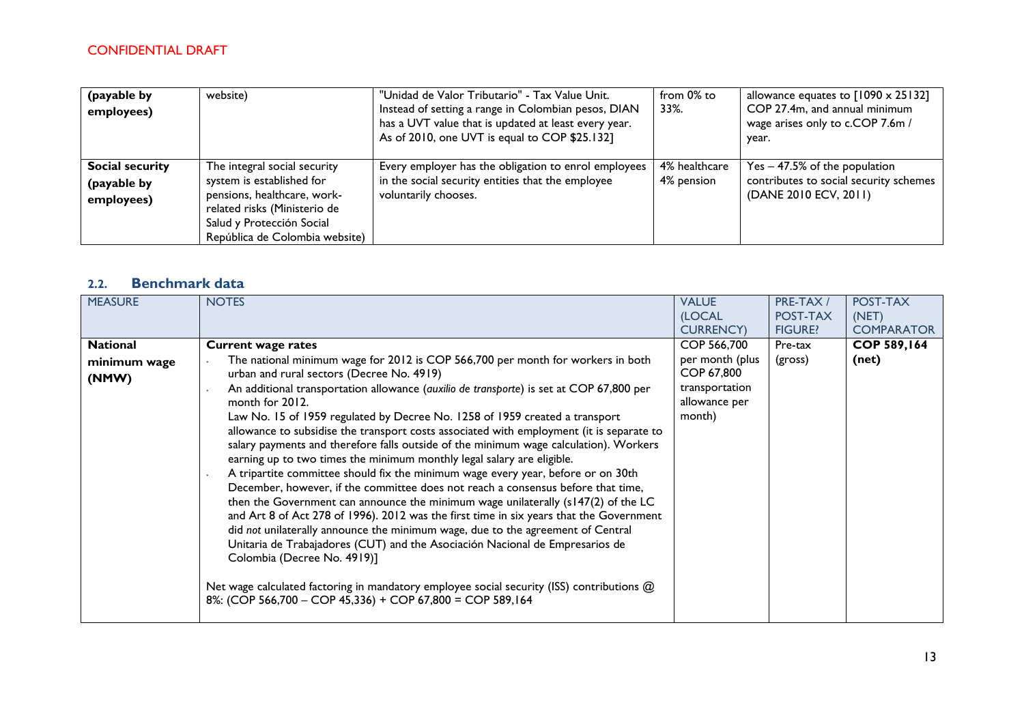| (payable by<br>employees)                           | website)                                                                                                                                                                                | "Unidad de Valor Tributario" - Tax Value Unit.<br>Instead of setting a range in Colombian pesos, DIAN<br>has a UVT value that is updated at least every year.<br>As of 2010, one UVT is equal to COP \$25.132] | from 0% to<br>33%.          | allowance equates to $[1090 \times 25132]$<br>COP 27.4m, and annual minimum<br>wage arises only to c.COP 7.6m /<br>year. |
|-----------------------------------------------------|-----------------------------------------------------------------------------------------------------------------------------------------------------------------------------------------|----------------------------------------------------------------------------------------------------------------------------------------------------------------------------------------------------------------|-----------------------------|--------------------------------------------------------------------------------------------------------------------------|
| <b>Social security</b><br>(payable by<br>employees) | The integral social security<br>system is established for<br>pensions, healthcare, work-<br>related risks (Ministerio de<br>Salud y Protección Social<br>República de Colombia website) | Every employer has the obligation to enrol employees<br>in the social security entities that the employee<br>voluntarily chooses.                                                                              | 4% healthcare<br>4% pension | $Yes - 47.5%$ of the population<br>contributes to social security schemes<br>(DANE 2010 ECV, 2011)                       |

# **2.2. Benchmark data**

| <b>MEASURE</b>                           | <b>NOTES</b>                                                                                                                                                                                                                                                                                                                                                                                                                                                                                                                                                                                                                                                                                                                                                                                                                                                                                                                                                                                                                                                                                                                                                                                                                                                                                                                              | <b>VALUE</b><br>(LOCAL                                                                    | PRE-TAX /<br>POST-TAX | POST-TAX<br>(NET)           |
|------------------------------------------|-------------------------------------------------------------------------------------------------------------------------------------------------------------------------------------------------------------------------------------------------------------------------------------------------------------------------------------------------------------------------------------------------------------------------------------------------------------------------------------------------------------------------------------------------------------------------------------------------------------------------------------------------------------------------------------------------------------------------------------------------------------------------------------------------------------------------------------------------------------------------------------------------------------------------------------------------------------------------------------------------------------------------------------------------------------------------------------------------------------------------------------------------------------------------------------------------------------------------------------------------------------------------------------------------------------------------------------------|-------------------------------------------------------------------------------------------|-----------------------|-----------------------------|
|                                          |                                                                                                                                                                                                                                                                                                                                                                                                                                                                                                                                                                                                                                                                                                                                                                                                                                                                                                                                                                                                                                                                                                                                                                                                                                                                                                                                           | <b>CURRENCY</b> )                                                                         | <b>FIGURE?</b>        | <b>COMPARATOR</b>           |
| <b>National</b><br>minimum wage<br>(NMW) | <b>Current wage rates</b><br>The national minimum wage for 2012 is COP 566,700 per month for workers in both<br>urban and rural sectors (Decree No. 4919)<br>An additional transportation allowance (auxilio de transporte) is set at COP 67,800 per<br>month for 2012.<br>Law No. 15 of 1959 regulated by Decree No. 1258 of 1959 created a transport<br>allowance to subsidise the transport costs associated with employment (it is separate to<br>salary payments and therefore falls outside of the minimum wage calculation). Workers<br>earning up to two times the minimum monthly legal salary are eligible.<br>A tripartite committee should fix the minimum wage every year, before or on 30th<br>December, however, if the committee does not reach a consensus before that time,<br>then the Government can announce the minimum wage unilaterally (s147(2) of the LC<br>and Art 8 of Act 278 of 1996). 2012 was the first time in six years that the Government<br>did not unilaterally announce the minimum wage, due to the agreement of Central<br>Unitaria de Trabajadores (CUT) and the Asociación Nacional de Empresarios de<br>Colombia (Decree No. 4919)]<br>Net wage calculated factoring in mandatory employee social security (ISS) contributions @<br>8%: (COP 566,700 - COP 45,336) + COP 67,800 = COP 589,164 | COP 566,700<br>per month (plus<br>COP 67,800<br>transportation<br>allowance per<br>month) | Pre-tax<br>(gross)    | <b>COP 589,164</b><br>(net) |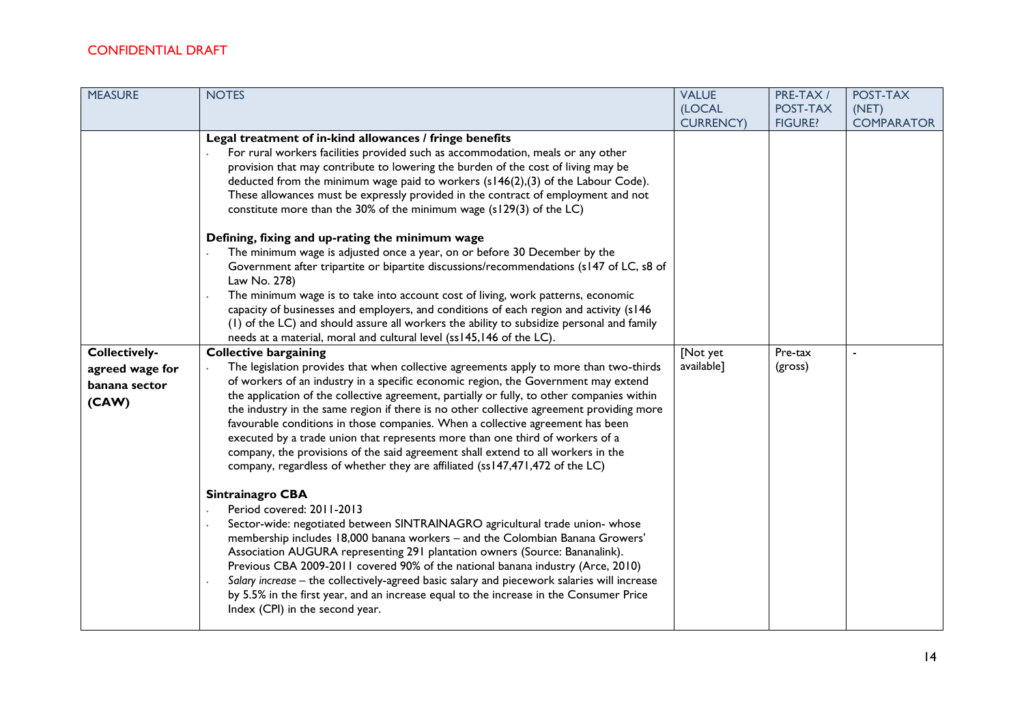| Legal treatment of in-kind allowances / fringe benefits<br>For rural workers facilities provided such as accommodation, meals or any other<br>provision that may contribute to lowering the burden of the cost of living may be<br>deducted from the minimum wage paid to workers (s146(2),(3) of the Labour Code).<br>These allowances must be expressly provided in the contract of employment and not<br>constitute more than the 30% of the minimum wage (s129(3) of the LC)                                                                                                                                                                                                                                                                                                                                                                                                                                                                                                                                                                                                                                                                                                                                                                                                                                                 | (LOCAL<br><b>CURRENCY</b> ) | POST-TAX<br><b>FIGURE?</b> | (NET)<br><b>COMPARATOR</b> |
|----------------------------------------------------------------------------------------------------------------------------------------------------------------------------------------------------------------------------------------------------------------------------------------------------------------------------------------------------------------------------------------------------------------------------------------------------------------------------------------------------------------------------------------------------------------------------------------------------------------------------------------------------------------------------------------------------------------------------------------------------------------------------------------------------------------------------------------------------------------------------------------------------------------------------------------------------------------------------------------------------------------------------------------------------------------------------------------------------------------------------------------------------------------------------------------------------------------------------------------------------------------------------------------------------------------------------------|-----------------------------|----------------------------|----------------------------|
|                                                                                                                                                                                                                                                                                                                                                                                                                                                                                                                                                                                                                                                                                                                                                                                                                                                                                                                                                                                                                                                                                                                                                                                                                                                                                                                                  |                             |                            |                            |
|                                                                                                                                                                                                                                                                                                                                                                                                                                                                                                                                                                                                                                                                                                                                                                                                                                                                                                                                                                                                                                                                                                                                                                                                                                                                                                                                  |                             |                            |                            |
| Defining, fixing and up-rating the minimum wage<br>The minimum wage is adjusted once a year, on or before 30 December by the<br>Government after tripartite or bipartite discussions/recommendations (s147 of LC, s8 of<br>Law No. 278)<br>The minimum wage is to take into account cost of living, work patterns, economic<br>capacity of businesses and employers, and conditions of each region and activity (s146<br>(I) of the LC) and should assure all workers the ability to subsidize personal and family<br>needs at a material, moral and cultural level (ss145,146 of the LC).<br><b>Collectively-</b><br><b>Collective bargaining</b><br>The legislation provides that when collective agreements apply to more than two-thirds<br>agreed wage for<br>of workers of an industry in a specific economic region, the Government may extend<br>banana sector<br>the application of the collective agreement, partially or fully, to other companies within<br>(CAW)<br>the industry in the same region if there is no other collective agreement providing more<br>favourable conditions in those companies. When a collective agreement has been<br>executed by a trade union that represents more than one third of workers of a<br>company, the provisions of the said agreement shall extend to all workers in the | [Not yet<br>available]      | Pre-tax<br>(gross)         |                            |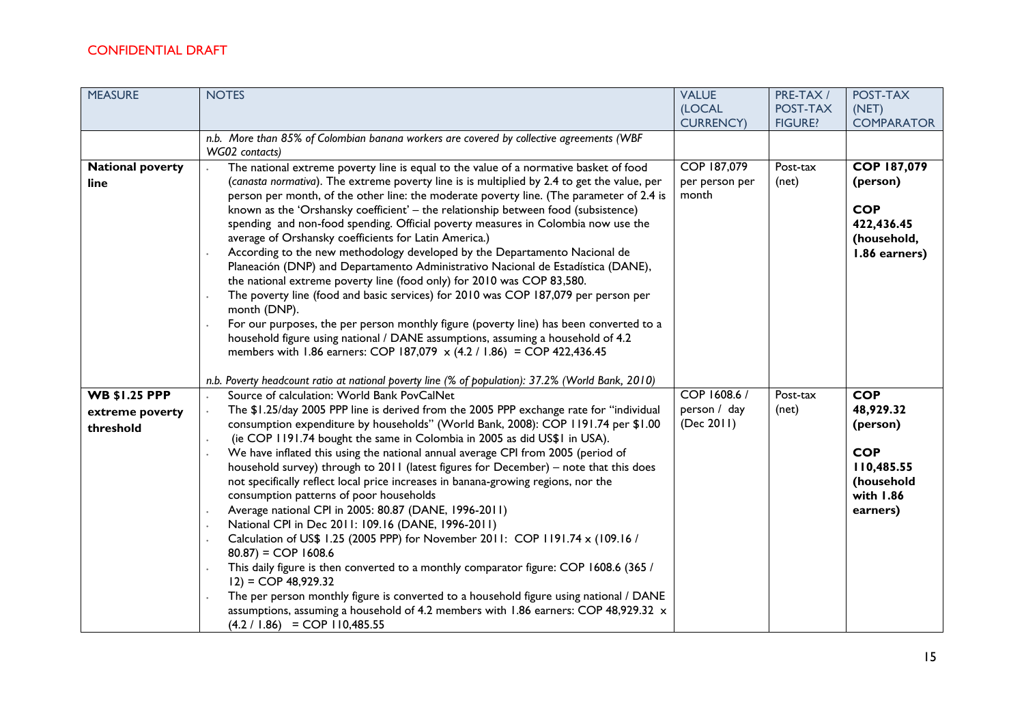| <b>MEASURE</b>                                       | <b>NOTES</b>                                                                                                                                                                                                                                                                                                                                                                                                                                                                                                                                                                                                                                                                                                                                                                                                                                                                                                                                                                                                                                                                                                                                                                                                                                                                              | <b>VALUE</b><br>(LOCAL<br><b>CURRENCY)</b> | PRE-TAX /<br>POST-TAX<br><b>FIGURE?</b> | POST-TAX<br>(NET)<br><b>COMPARATOR</b>                                                                 |
|------------------------------------------------------|-------------------------------------------------------------------------------------------------------------------------------------------------------------------------------------------------------------------------------------------------------------------------------------------------------------------------------------------------------------------------------------------------------------------------------------------------------------------------------------------------------------------------------------------------------------------------------------------------------------------------------------------------------------------------------------------------------------------------------------------------------------------------------------------------------------------------------------------------------------------------------------------------------------------------------------------------------------------------------------------------------------------------------------------------------------------------------------------------------------------------------------------------------------------------------------------------------------------------------------------------------------------------------------------|--------------------------------------------|-----------------------------------------|--------------------------------------------------------------------------------------------------------|
|                                                      | n.b. More than 85% of Colombian banana workers are covered by collective agreements (WBF<br>WG02 contacts)                                                                                                                                                                                                                                                                                                                                                                                                                                                                                                                                                                                                                                                                                                                                                                                                                                                                                                                                                                                                                                                                                                                                                                                |                                            |                                         |                                                                                                        |
| <b>National poverty</b><br>line                      | The national extreme poverty line is equal to the value of a normative basket of food<br>(canasta normativa). The extreme poverty line is is multiplied by 2.4 to get the value, per<br>person per month, of the other line: the moderate poverty line. (The parameter of 2.4 is<br>known as the 'Orshansky coefficient' - the relationship between food (subsistence)<br>spending and non-food spending. Official poverty measures in Colombia now use the<br>average of Orshansky coefficients for Latin America.)<br>According to the new methodology developed by the Departamento Nacional de<br>Planeación (DNP) and Departamento Administrativo Nacional de Estadística (DANE),<br>the national extreme poverty line (food only) for 2010 was COP 83,580.<br>The poverty line (food and basic services) for 2010 was COP 187,079 per person per<br>month (DNP).<br>For our purposes, the per person monthly figure (poverty line) has been converted to a<br>household figure using national / DANE assumptions, assuming a household of 4.2<br>members with 1.86 earners: COP 187,079 x (4.2 / 1.86) = COP 422,436.45                                                                                                                                                             | COP 187,079<br>per person per<br>month     | Post-tax<br>(net)                       | COP 187,079<br>(person)<br><b>COP</b><br>422,436.45<br>(household,<br>1.86 earners)                    |
| <b>WB \$1.25 PPP</b><br>extreme poverty<br>threshold | n.b. Poverty headcount ratio at national poverty line (% of population): 37.2% (World Bank, 2010)<br>Source of calculation: World Bank PovCalNet<br>The \$1.25/day 2005 PPP line is derived from the 2005 PPP exchange rate for "individual<br>consumption expenditure by households" (World Bank, 2008): COP 1191.74 per \$1.00<br>(ie COP 1191.74 bought the same in Colombia in 2005 as did US\$1 in USA).<br>We have inflated this using the national annual average CPI from 2005 (period of<br>household survey) through to 2011 (latest figures for December) – note that this does<br>not specifically reflect local price increases in banana-growing regions, nor the<br>consumption patterns of poor households<br>Average national CPI in 2005: 80.87 (DANE, 1996-2011)<br>National CPI in Dec 2011: 109.16 (DANE, 1996-2011)<br>Calculation of US\$ 1.25 (2005 PPP) for November 2011: COP 1191.74 x (109.16 /<br>$80.87$ = COP 1608.6<br>This daily figure is then converted to a monthly comparator figure: COP 1608.6 (365 /<br>$12) = COP 48,929.32$<br>The per person monthly figure is converted to a household figure using national / DANE<br>assumptions, assuming a household of 4.2 members with 1.86 earners: COP 48,929.32 x<br>$(4.2 / 1.86) = COP 110,485.55$ | COP 1608.6 /<br>person / day<br>(Dec 2011) | Post-tax<br>(net)                       | <b>COP</b><br>48,929.32<br>(person)<br><b>COP</b><br>110,485.55<br>(household<br>with 1.86<br>earners) |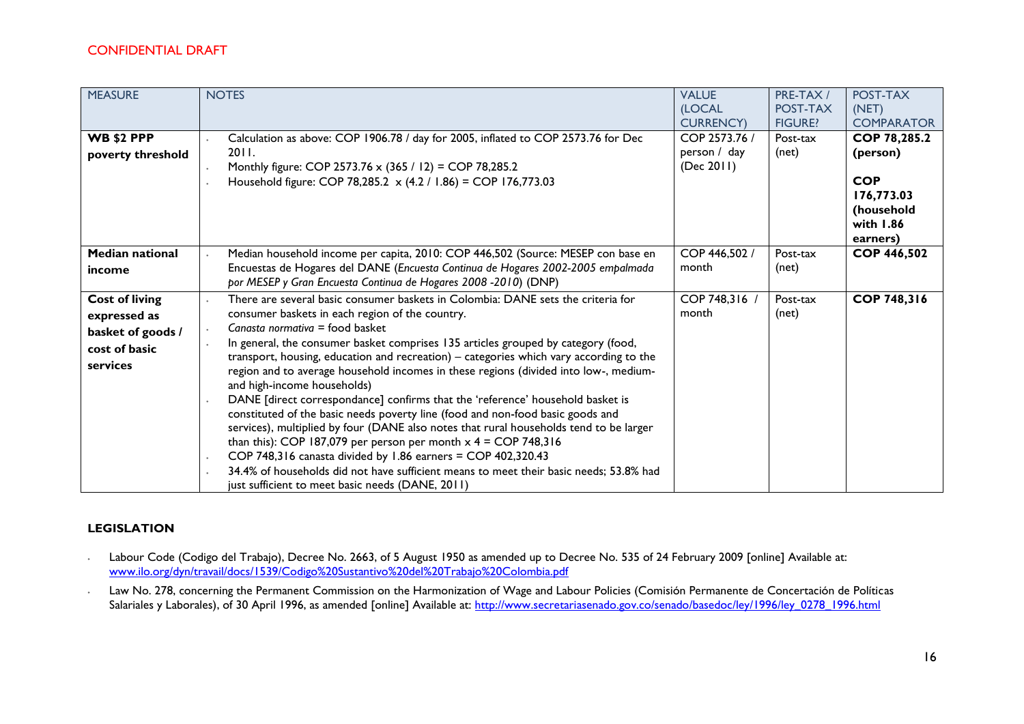| <b>MEASURE</b><br><b>WB \$2 PPP</b><br>poverty threshold                                | <b>NOTES</b><br>Calculation as above: COP 1906.78 / day for 2005, inflated to COP 2573.76 for Dec<br>2011.<br>Monthly figure: COP 2573.76 x (365 / 12) = COP 78,285.2<br>Household figure: COP 78,285.2 x (4.2 / 1.86) = COP 176,773.03                                                                                                                                                                                                                                                                                                                                                                                                                                                                                                                                                                                                                                                                                                                                                                                      | <b>VALUE</b><br>(LOCAL<br><b>CURRENCY)</b><br>COP 2573.76 /<br>person / day<br>(Dec 2011) | PRE-TAX /<br>POST-TAX<br><b>FIGURE?</b><br>Post-tax<br>(net) | POST-TAX<br>(NET)<br><b>COMPARATOR</b><br><b>COP 78,285.2</b><br>(person)<br><b>COP</b><br>176,773.03<br>(household |
|-----------------------------------------------------------------------------------------|------------------------------------------------------------------------------------------------------------------------------------------------------------------------------------------------------------------------------------------------------------------------------------------------------------------------------------------------------------------------------------------------------------------------------------------------------------------------------------------------------------------------------------------------------------------------------------------------------------------------------------------------------------------------------------------------------------------------------------------------------------------------------------------------------------------------------------------------------------------------------------------------------------------------------------------------------------------------------------------------------------------------------|-------------------------------------------------------------------------------------------|--------------------------------------------------------------|---------------------------------------------------------------------------------------------------------------------|
| <b>Median national</b>                                                                  | Median household income per capita, 2010: COP 446,502 (Source: MESEP con base en                                                                                                                                                                                                                                                                                                                                                                                                                                                                                                                                                                                                                                                                                                                                                                                                                                                                                                                                             | COP 446,502 /                                                                             | Post-tax                                                     | with 1.86<br>earners)<br><b>COP 446,502</b>                                                                         |
| income                                                                                  | Encuestas de Hogares del DANE (Encuesta Continua de Hogares 2002-2005 empalmada<br>por MESEP y Gran Encuesta Continua de Hogares 2008 -2010) (DNP)                                                                                                                                                                                                                                                                                                                                                                                                                                                                                                                                                                                                                                                                                                                                                                                                                                                                           | month                                                                                     | (net)                                                        |                                                                                                                     |
| <b>Cost of living</b><br>expressed as<br>basket of goods /<br>cost of basic<br>services | There are several basic consumer baskets in Colombia: DANE sets the criteria for<br>consumer baskets in each region of the country.<br>Canasta normativa = food basket<br>In general, the consumer basket comprises 135 articles grouped by category (food,<br>transport, housing, education and recreation) - categories which vary according to the<br>region and to average household incomes in these regions (divided into low-, medium-<br>and high-income households)<br>DANE [direct correspondance] confirms that the 'reference' household basket is<br>constituted of the basic needs poverty line (food and non-food basic goods and<br>services), multiplied by four (DANE also notes that rural households tend to be larger<br>than this): COP 187,079 per person per month $x$ 4 = COP 748,316<br>COP 748,316 canasta divided by 1.86 earners = COP 402,320.43<br>34.4% of households did not have sufficient means to meet their basic needs; 53.8% had<br>just sufficient to meet basic needs (DANE, 2011) | COP 748,316 /<br>month                                                                    | Post-tax<br>(net)                                            | COP 748,316                                                                                                         |

#### **LEGISLATION**

- ∙ Labour Code (Codigo del Trabajo), Decree No. 2663, of 5 August 1950 as amended up to Decree No. 535 of 24 February 2009 [online] Available at: [www.ilo.org/dyn/travail/docs/1539/Codigo%20Sustantivo%20del%20Trabajo%20Colombia.pdf](http://www.ilo.org/dyn/travail/docs/1539/Codigo%20Sustantivo%20del%20Trabajo%20Colombia.pdf)
- ∙ Law No. 278, concerning the Permanent Commission on the Harmonization of Wage and Labour Policies (Comisión Permanente de Concertación de Políticas Salariales y Laborales), of 30 April 1996, as amended [online] Available at: [http://www.secretariasenado.gov.co/senado/basedoc/ley/1996/ley\\_0278\\_1996.html](http://www.secretariasenado.gov.co/senado/basedoc/ley/1996/ley_0278_1996.html)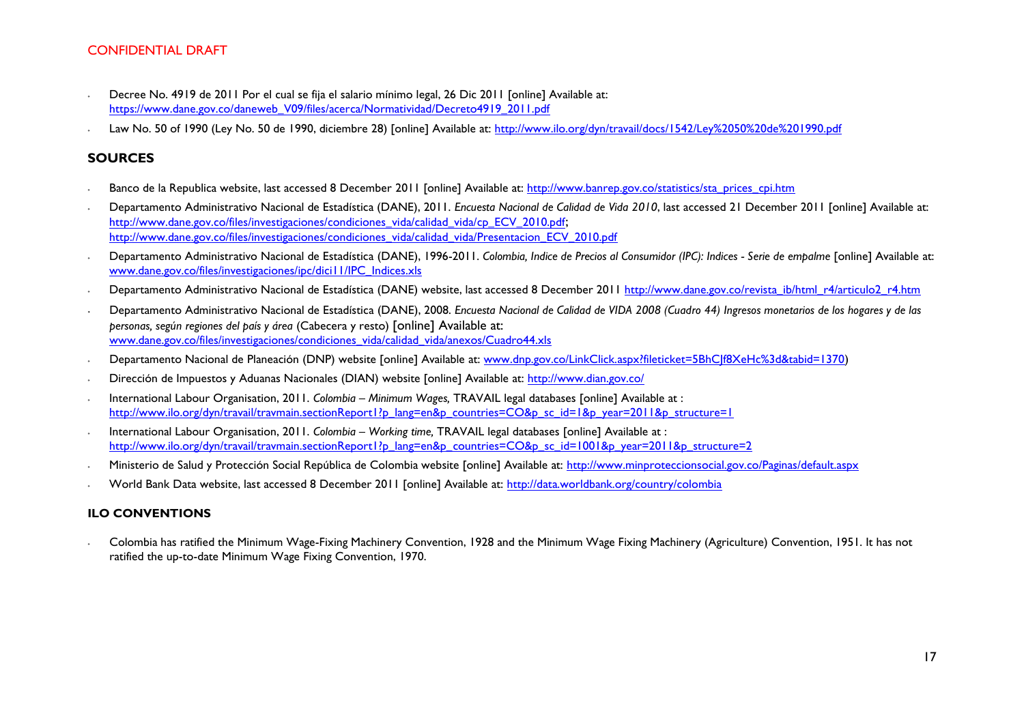- ∙ Decree No. 4919 de 2011 Por el cual se fija el salario mínimo legal, 26 Dic 2011 [online] Available at: [https://www.dane.gov.co/daneweb\\_V09/files/acerca/Normatividad/Decreto4919\\_2011.pdf](https://www.dane.gov.co/daneweb_V09/files/acerca/Normatividad/Decreto4919_2011.pdf)
- ∙ Law No. 50 of 1990 (Ley No. 50 de 1990, diciembre 28) [online] Available at:<http://www.ilo.org/dyn/travail/docs/1542/Ley%2050%20de%201990.pdf>

#### **SOURCES**

- Banco de la Republica website, last accessed 8 December 2011 [online] Available at: [http://www.banrep.gov.co/statistics/sta\\_prices\\_cpi.htm](http://www.banrep.gov.co/statistics/sta_prices_cpi.htm)
- ∙ Departamento Administrativo Nacional de Estadística (DANE), 2011. *Encuesta Nacional de Calidad de Vida 2010*, last accessed 21 December 2011 [online] Available at: [http://www.dane.gov.co/files/investigaciones/condiciones\\_vida/calidad\\_vida/cp\\_ECV\\_2010.pdf](http://www.dane.gov.co/files/investigaciones/condiciones_vida/calidad_vida/cp_ECV_2010.pdf); [http://www.dane.gov.co/files/investigaciones/condiciones\\_vida/calidad\\_vida/Presentacion\\_ECV\\_2010.pdf](http://www.dane.gov.co/files/investigaciones/condiciones_vida/calidad_vida/Presentacion_ECV_2010.pdf)
- ∙ Departamento Administrativo Nacional de Estadística (DANE), 1996-2011. *Colombia, Indice de Precios al Consumidor (IPC): Indices - Serie de empalme* [online] Available at: [www.dane.gov.co/files/investigaciones/ipc/dici11/IPC\\_Indices.xls](http://www.dane.gov.co/files/investigaciones/ipc/dici11/IPC_Indices.xls)
- Departamento Administrativo Nacional de Estadística (DANE) website, last accessed 8 December 2011 [http://www.dane.gov.co/revista\\_ib/html\\_r4/articulo2\\_r4.htm](http://www.dane.gov.co/revista_ib/html_r4/articulo2_r4.htm)
- ∙ Departamento Administrativo Nacional de Estadística (DANE), 2008. *Encuesta Nacional de Calidad de VIDA 2008 (Cuadro 44) Ingresos monetarios de los hogares y de las personas, según regiones del país y área* (Cabecera y resto) [online] Available at: [www.dane.gov.co/files/investigaciones/condiciones\\_vida/calidad\\_vida/anexos/Cuadro44.xls](http://www.dane.gov.co/files/investigaciones/condiciones_vida/calidad_vida/anexos/Cuadro44.xls)
- ∙ Departamento Nacional de Planeación (DNP) website [online] Available at: [www.dnp.gov.co/LinkClick.aspx?fileticket=5BhCJf8XeHc%3d&tabid=1370\)](http://www.dnp.gov.co/LinkClick.aspx?fileticket=5BhCJf8XeHc%3d&tabid=1370)
- Dirección de Impuestos y Aduanas Nacionales (DIAN) website [online] Available at:<http://www.dian.gov.co/>
- ∙ International Labour Organisation, 2011. *Colombia – Minimum Wages,* TRAVAIL legal databases [online] Available at : [http://www.ilo.org/dyn/travail/travmain.sectionReport1?p\\_lang=en&p\\_countries=CO&p\\_sc\\_id=1&p\\_year=2011&p\\_structure=1](http://www.ilo.org/dyn/travail/travmain.sectionReport1?p_lang=en&p_countries=CO&p_sc_id=1&p_year=2011&p_structure=1)
- ∙ International Labour Organisation, 2011. *Colombia – Working time,* TRAVAIL legal databases [online] Available at : [http://www.ilo.org/dyn/travail/travmain.sectionReport1?p\\_lang=en&p\\_countries=CO&p\\_sc\\_id=1001&p\\_year=2011&p\\_structure=2](http://www.ilo.org/dyn/travail/travmain.sectionReport1?p_lang=en&p_countries=CO&p_sc_id=1001&p_year=2011&p_structure=2)
- ∙ Ministerio de Salud y Protección Social República de Colombia website [online] Available at:<http://www.minproteccionsocial.gov.co/Paginas/default.aspx>
- ∙ World Bank Data website, last accessed 8 December 2011 [online] Available at:<http://data.worldbank.org/country/colombia>

#### **ILO CONVENTIONS**

∙ Colombia has ratified the Minimum Wage-Fixing Machinery Convention, 1928 and the Minimum Wage Fixing Machinery (Agriculture) Convention, 1951. It has not ratified the up-to-date Minimum Wage Fixing Convention, 1970.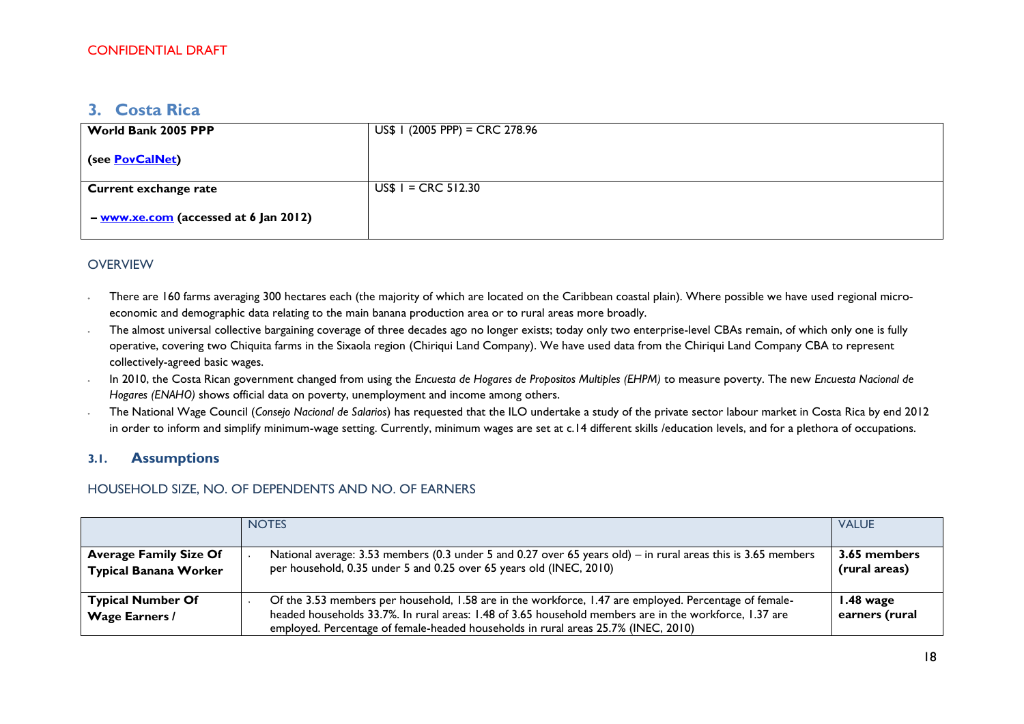# <span id="page-17-0"></span>**3. Costa Rica**

| World Bank 2005 PPP                   | $US$$   (2005 PPP) = CRC 278.96 |
|---------------------------------------|---------------------------------|
| (see <b>PovCalNet</b> )               |                                 |
| <b>Current exchange rate</b>          | $US$ I = CRC 512.30$            |
| - www.xe.com (accessed at 6 Jan 2012) |                                 |

### **OVERVIEW**

- There are 160 farms averaging 300 hectares each (the majority of which are located on the Caribbean coastal plain). Where possible we have used regional microeconomic and demographic data relating to the main banana production area or to rural areas more broadly.
- ∙ The almost universal collective bargaining coverage of three decades ago no longer exists; today only two enterprise-level CBAs remain, of which only one is fully operative, covering two Chiquita farms in the Sixaola region (Chiriqui Land Company). We have used data from the Chiriqui Land Company CBA to represent collectively-agreed basic wages.
- ∙ In 2010, the Costa Rican government changed from using the *Encuesta de Hogares de Propositos Multiples (EHPM)* to measure poverty. The new *Encuesta Nacional de Hogares (ENAHO)* shows official data on poverty, unemployment and income among others.
- ∙ The National Wage Council (*Consejo Nacional de Salarios*) has requested that the ILO undertake a study of the private sector labour market in Costa Rica by end 2012 in order to inform and simplify minimum-wage setting. Currently, minimum wages are set at c.14 different skills /education levels, and for a plethora of occupations.

### **3.1. Assumptions**

### HOUSEHOLD SIZE, NO. OF DEPENDENTS AND NO. OF EARNERS

|                                                               | <b>NOTES</b>                                                                                                                                                                                                                                                                                           | <b>VALUE</b>                          |
|---------------------------------------------------------------|--------------------------------------------------------------------------------------------------------------------------------------------------------------------------------------------------------------------------------------------------------------------------------------------------------|---------------------------------------|
| <b>Average Family Size Of</b><br><b>Typical Banana Worker</b> | National average: 3.53 members (0.3 under 5 and 0.27 over 65 years old) – in rural areas this is 3.65 members<br>per household, 0.35 under 5 and 0.25 over 65 years old (INEC, 2010)                                                                                                                   | 3.65 members<br>(rural areas)         |
| <b>Typical Number Of</b><br><b>Wage Earners /</b>             | Of the 3.53 members per household, 1.58 are in the workforce, 1.47 are employed. Percentage of female-<br>headed households 33.7%. In rural areas: 1.48 of 3.65 household members are in the workforce, 1.37 are<br>employed. Percentage of female-headed households in rural areas 25.7% (INEC, 2010) | $1.48 \text{ wage}$<br>earners (rural |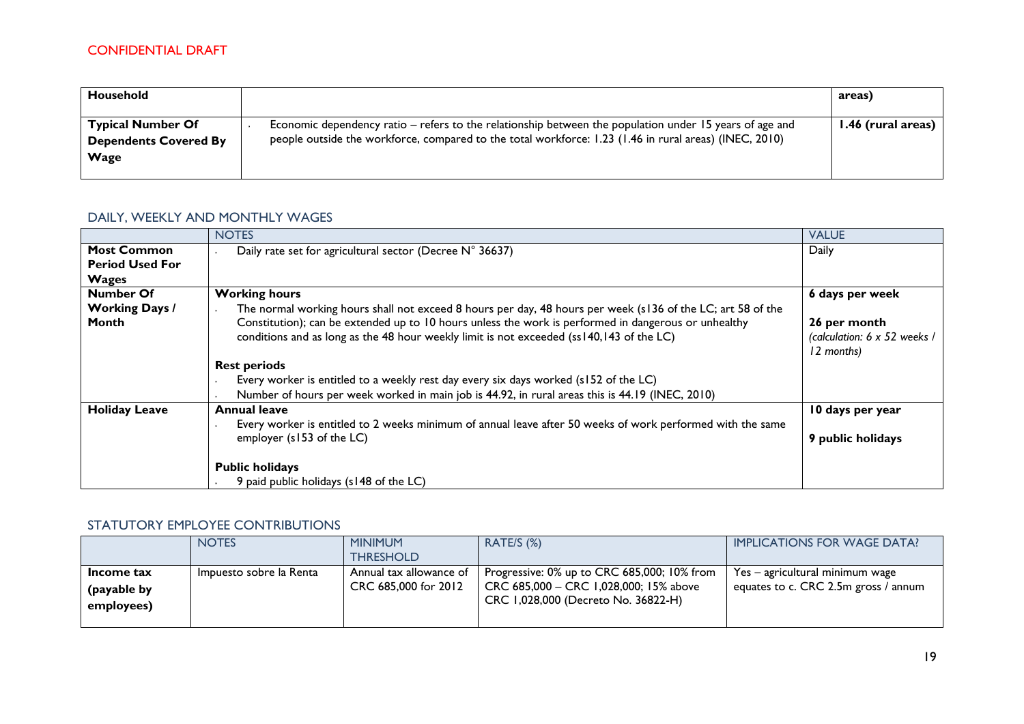| Household                                                        |                                                                                                                                                                                                                   | areas)             |
|------------------------------------------------------------------|-------------------------------------------------------------------------------------------------------------------------------------------------------------------------------------------------------------------|--------------------|
| <b>Typical Number Of</b><br><b>Dependents Covered By</b><br>Wage | Economic dependency ratio – refers to the relationship between the population under 15 years of age and<br>people outside the workforce, compared to the total workforce: 1.23 (1.46 in rural areas) (INEC, 2010) | 1.46 (rural areas) |

### DAILY, WEEKLY AND MONTHLY WAGES

|                                | <b>NOTES</b>                                                                                                                                                                                                                                                                                                    | <b>VALUE</b>                                               |
|--------------------------------|-----------------------------------------------------------------------------------------------------------------------------------------------------------------------------------------------------------------------------------------------------------------------------------------------------------------|------------------------------------------------------------|
| <b>Most Common</b>             | Daily rate set for agricultural sector (Decree N° 36637)                                                                                                                                                                                                                                                        | Daily                                                      |
| <b>Period Used For</b>         |                                                                                                                                                                                                                                                                                                                 |                                                            |
| <b>Wages</b>                   |                                                                                                                                                                                                                                                                                                                 |                                                            |
| <b>Number Of</b>               | <b>Working hours</b>                                                                                                                                                                                                                                                                                            | 6 days per week                                            |
| <b>Working Days /</b><br>Month | The normal working hours shall not exceed 8 hours per day, 48 hours per week (s136 of the LC; art 58 of the<br>Constitution); can be extended up to 10 hours unless the work is performed in dangerous or unhealthy<br>conditions and as long as the 48 hour weekly limit is not exceeded (ss140,143 of the LC) | 26 per month<br>(calculation: 6 x 52 weeks /<br>12 months) |
|                                | <b>Rest periods</b>                                                                                                                                                                                                                                                                                             |                                                            |
|                                | Every worker is entitled to a weekly rest day every six days worked (s152 of the LC)                                                                                                                                                                                                                            |                                                            |
|                                | Number of hours per week worked in main job is 44.92, in rural areas this is 44.19 (INEC, 2010)                                                                                                                                                                                                                 |                                                            |
| <b>Holiday Leave</b>           | <b>Annual leave</b>                                                                                                                                                                                                                                                                                             | 10 days per year                                           |
|                                | Every worker is entitled to 2 weeks minimum of annual leave after 50 weeks of work performed with the same<br>employer (s153 of the LC)                                                                                                                                                                         | 9 public holidays                                          |
|                                | <b>Public holidays</b>                                                                                                                                                                                                                                                                                          |                                                            |
|                                | 9 paid public holidays (s148 of the LC)                                                                                                                                                                                                                                                                         |                                                            |

### STATUTORY EMPLOYEE CONTRIBUTIONS

|                                         | <b>NOTES</b>            | <b>MINIMUM</b><br><b>THRESHOLD</b>              | RATE/S (%)                                                                                                                   | <b>IMPLICATIONS FOR WAGE DATA?</b>                                        |
|-----------------------------------------|-------------------------|-------------------------------------------------|------------------------------------------------------------------------------------------------------------------------------|---------------------------------------------------------------------------|
| Income tax<br>(payable by<br>employees) | Impuesto sobre la Renta | Annual tax allowance of<br>CRC 685,000 for 2012 | Progressive: 0% up to CRC 685,000; 10% from<br>CRC 685,000 - CRC 1,028,000; 15% above<br>CRC 1,028,000 (Decreto No. 36822-H) | $Yes - agricultural minimum wage$<br>equates to c. CRC 2.5m gross / annum |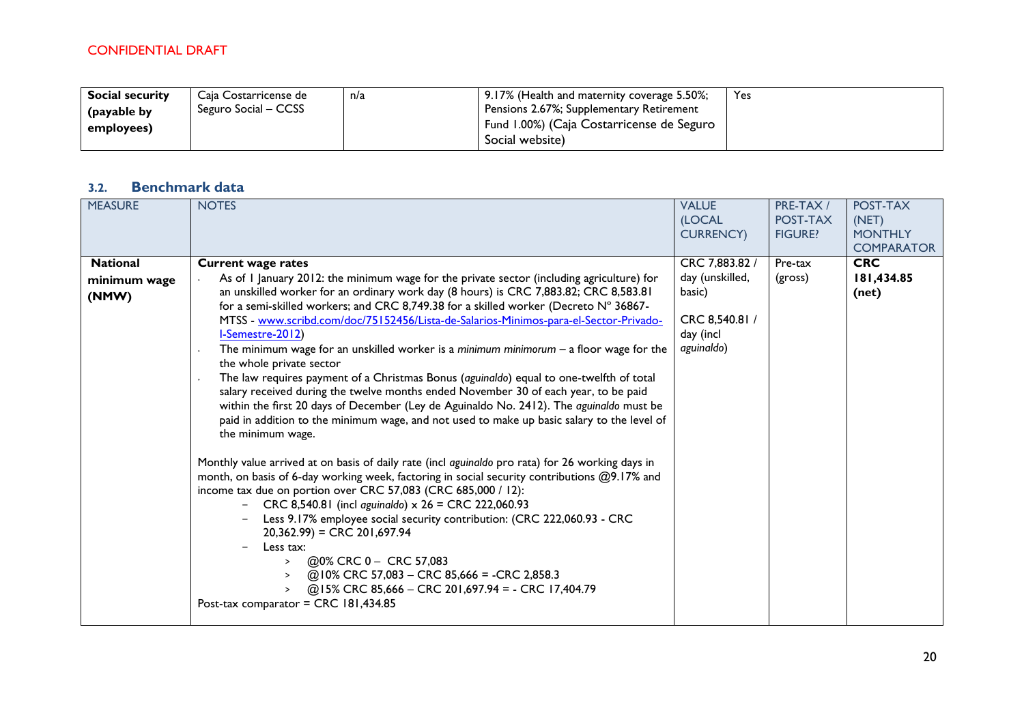| <b>Social security</b> | Caja Costarricense de | n/a | 9.17% (Health and maternity coverage 5.50%; | Yes |
|------------------------|-----------------------|-----|---------------------------------------------|-----|
| (payable by            | Seguro Social – CCSS  |     | Pensions 2.67%; Supplementary Retirement    |     |
| employees)             |                       |     | Fund 1.00%) (Caja Costarricense de Seguro   |     |
|                        |                       |     | Social website)                             |     |

# **3.2. Benchmark data**

| <b>MEASURE</b>                           | <b>NOTES</b>                                                                                                                                                                                                                                                                                                                                                                                                                                                                                                                                                                                                                                                                                                                                                                                                                                                                                                                                                                                                                                                                                                                                                                                                                                                                                                                                                                                                                                                                                                                                                                                                 | <b>VALUE</b><br>(LOCAL<br><b>CURRENCY)</b>                                               | PRE-TAX /<br>POST-TAX<br><b>FIGURE?</b> | POST-TAX<br>(NET)<br><b>MONTHLY</b><br><b>COMPARATOR</b> |
|------------------------------------------|--------------------------------------------------------------------------------------------------------------------------------------------------------------------------------------------------------------------------------------------------------------------------------------------------------------------------------------------------------------------------------------------------------------------------------------------------------------------------------------------------------------------------------------------------------------------------------------------------------------------------------------------------------------------------------------------------------------------------------------------------------------------------------------------------------------------------------------------------------------------------------------------------------------------------------------------------------------------------------------------------------------------------------------------------------------------------------------------------------------------------------------------------------------------------------------------------------------------------------------------------------------------------------------------------------------------------------------------------------------------------------------------------------------------------------------------------------------------------------------------------------------------------------------------------------------------------------------------------------------|------------------------------------------------------------------------------------------|-----------------------------------------|----------------------------------------------------------|
| <b>National</b><br>minimum wage<br>(NMW) | <b>Current wage rates</b><br>As of I January 2012: the minimum wage for the private sector (including agriculture) for<br>an unskilled worker for an ordinary work day (8 hours) is CRC 7,883.82; CRC 8,583.81<br>for a semi-skilled workers; and CRC 8,749.38 for a skilled worker (Decreto N° 36867-<br>MTSS - www.scribd.com/doc/75152456/Lista-de-Salarios-Minimos-para-el-Sector-Privado-<br>I-Semestre-2012)<br>The minimum wage for an unskilled worker is a minimum minimorum $-$ a floor wage for the<br>the whole private sector<br>The law requires payment of a Christmas Bonus (aguinaldo) equal to one-twelfth of total<br>salary received during the twelve months ended November 30 of each year, to be paid<br>within the first 20 days of December (Ley de Aguinaldo No. 2412). The aguinaldo must be<br>paid in addition to the minimum wage, and not used to make up basic salary to the level of<br>the minimum wage.<br>Monthly value arrived at on basis of daily rate (incl aguinaldo pro rata) for 26 working days in<br>month, on basis of 6-day working week, factoring in social security contributions @9.17% and<br>income tax due on portion over CRC 57,083 (CRC 685,000 / 12):<br>- CRC 8,540.81 (incl aguinaldo) $\times$ 26 = CRC 222,060.93<br>Less 9.17% employee social security contribution: (CRC 222,060.93 - CRC<br>$20,362.99$ = CRC 201,697.94<br>Less tax:<br>@0% CRC 0 - CRC 57,083<br>$\geq$<br>@10% CRC 57,083 - CRC 85,666 = -CRC 2,858.3<br>$\geq$<br>@15% CRC 85,666 - CRC 201,697.94 = - CRC 17,404.79<br>$\geq$<br>Post-tax comparator = CRC 181,434.85 | CRC 7,883.82 /<br>day (unskilled,<br>basic)<br>CRC 8,540.81 /<br>day (incl<br>aguinaldo) | Pre-tax<br>(gross)                      | <b>CRC</b><br>181,434.85<br>(net)                        |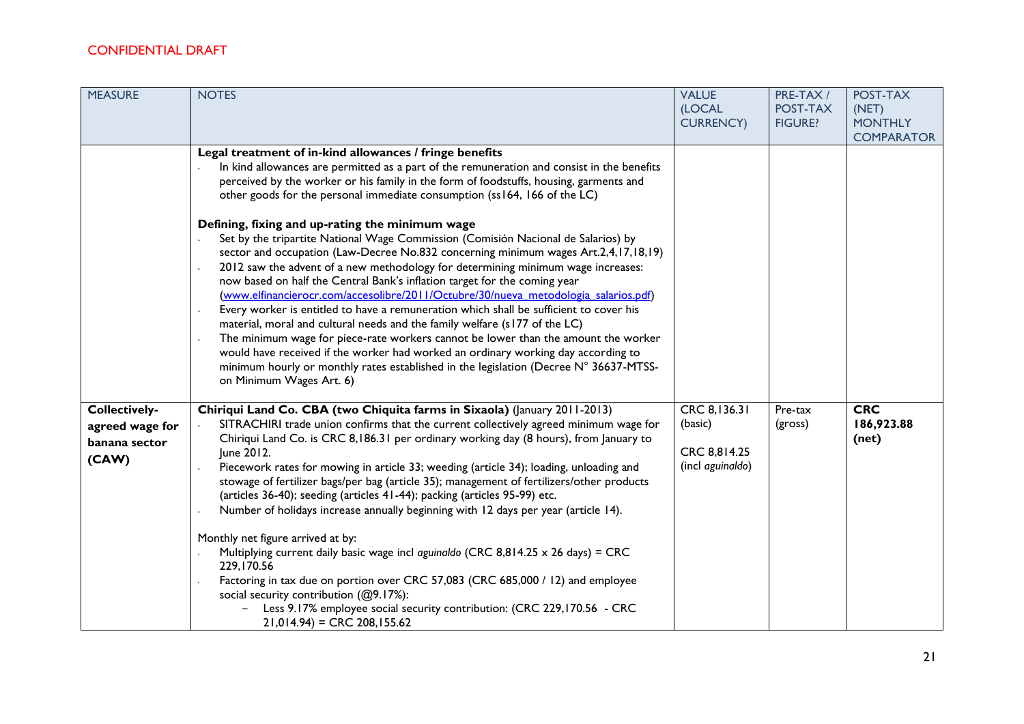| <b>MEASURE</b>  | <b>NOTES</b>                                                                                                                                                     | <b>VALUE</b>               | PRE-TAX/                   | POST-TAX                            |
|-----------------|------------------------------------------------------------------------------------------------------------------------------------------------------------------|----------------------------|----------------------------|-------------------------------------|
|                 |                                                                                                                                                                  | (LOCAL<br><b>CURRENCY)</b> | POST-TAX<br><b>FIGURE?</b> | (NET)                               |
|                 |                                                                                                                                                                  |                            |                            | <b>MONTHLY</b><br><b>COMPARATOR</b> |
|                 | Legal treatment of in-kind allowances / fringe benefits                                                                                                          |                            |                            |                                     |
|                 | In kind allowances are permitted as a part of the remuneration and consist in the benefits                                                                       |                            |                            |                                     |
|                 | perceived by the worker or his family in the form of foodstuffs, housing, garments and                                                                           |                            |                            |                                     |
|                 | other goods for the personal immediate consumption (ss164, 166 of the LC)                                                                                        |                            |                            |                                     |
|                 | Defining, fixing and up-rating the minimum wage                                                                                                                  |                            |                            |                                     |
|                 | Set by the tripartite National Wage Commission (Comisión Nacional de Salarios) by                                                                                |                            |                            |                                     |
|                 | sector and occupation (Law-Decree No.832 concerning minimum wages Art.2,4,17,18,19)                                                                              |                            |                            |                                     |
|                 | 2012 saw the advent of a new methodology for determining minimum wage increases:                                                                                 |                            |                            |                                     |
|                 | now based on half the Central Bank's inflation target for the coming year<br>(www.elfinancierocr.com/accesolibre/2011/Octubre/30/nueva metodologia salarios.pdf) |                            |                            |                                     |
|                 | Every worker is entitled to have a remuneration which shall be sufficient to cover his                                                                           |                            |                            |                                     |
|                 | material, moral and cultural needs and the family welfare (s177 of the LC)                                                                                       |                            |                            |                                     |
|                 | The minimum wage for piece-rate workers cannot be lower than the amount the worker                                                                               |                            |                            |                                     |
|                 | would have received if the worker had worked an ordinary working day according to                                                                                |                            |                            |                                     |
|                 | minimum hourly or monthly rates established in the legislation (Decree N° 36637-MTSS-<br>on Minimum Wages Art. 6)                                                |                            |                            |                                     |
|                 |                                                                                                                                                                  |                            |                            |                                     |
| Collectively-   | Chiriqui Land Co. CBA (two Chiquita farms in Sixaola) (January 2011-2013)                                                                                        | CRC 8,136.31               | Pre-tax                    | <b>CRC</b>                          |
| agreed wage for | SITRACHIRI trade union confirms that the current collectively agreed minimum wage for                                                                            | (basic)                    | (gross)                    | 186,923.88                          |
| banana sector   | Chiriqui Land Co. is CRC 8,186.31 per ordinary working day (8 hours), from January to<br>June 2012.                                                              | CRC 8,814.25               |                            | (net)                               |
| (CAW)           | Piecework rates for mowing in article 33; weeding (article 34); loading, unloading and                                                                           | (incl aguinaldo)           |                            |                                     |
|                 | stowage of fertilizer bags/per bag (article 35); management of fertilizers/other products                                                                        |                            |                            |                                     |
|                 | (articles 36-40); seeding (articles 41-44); packing (articles 95-99) etc.                                                                                        |                            |                            |                                     |
|                 | Number of holidays increase annually beginning with 12 days per year (article 14).                                                                               |                            |                            |                                     |
|                 | Monthly net figure arrived at by:                                                                                                                                |                            |                            |                                     |
|                 | Multiplying current daily basic wage incl aguinaldo (CRC 8,814.25 x 26 days) = CRC                                                                               |                            |                            |                                     |
|                 | 229,170.56                                                                                                                                                       |                            |                            |                                     |
|                 | Factoring in tax due on portion over CRC 57,083 (CRC 685,000 / 12) and employee<br>social security contribution (@9.17%):                                        |                            |                            |                                     |
|                 | Less 9.17% employee social security contribution: (CRC 229,170.56 - CRC                                                                                          |                            |                            |                                     |
|                 | $21,014.94$ = CRC 208,155.62                                                                                                                                     |                            |                            |                                     |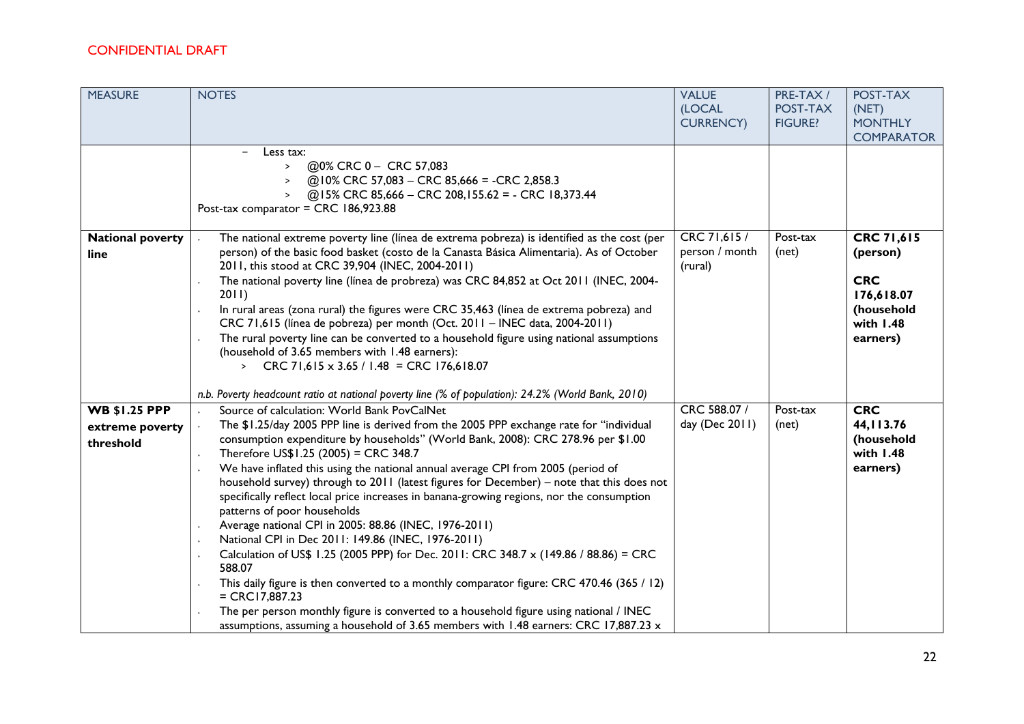| <b>MEASURE</b>                                       | <b>NOTES</b>                                                                                                                                                                                                                                                                                                                                                                                                                                                                                                                                                                                                                                                                                                                                                                                                                                                                                                                                                                                                                                                                                                                    | <b>VALUE</b><br>(LOCAL<br><b>CURRENCY)</b> | PRE-TAX /<br>POST-TAX<br><b>FIGURE?</b> | POST-TAX<br>(NET)<br><b>MONTHLY</b><br><b>COMPARATOR</b>                                    |
|------------------------------------------------------|---------------------------------------------------------------------------------------------------------------------------------------------------------------------------------------------------------------------------------------------------------------------------------------------------------------------------------------------------------------------------------------------------------------------------------------------------------------------------------------------------------------------------------------------------------------------------------------------------------------------------------------------------------------------------------------------------------------------------------------------------------------------------------------------------------------------------------------------------------------------------------------------------------------------------------------------------------------------------------------------------------------------------------------------------------------------------------------------------------------------------------|--------------------------------------------|-----------------------------------------|---------------------------------------------------------------------------------------------|
|                                                      | Less tax:<br>@0% CRC 0 - CRC 57,083<br>$\geq$<br>@10% CRC 57,083 - CRC 85,666 = -CRC 2,858.3<br>@15% CRC 85,666 - CRC 208,155.62 = - CRC 18,373.44<br>Post-tax comparator = CRC 186,923.88                                                                                                                                                                                                                                                                                                                                                                                                                                                                                                                                                                                                                                                                                                                                                                                                                                                                                                                                      |                                            |                                         |                                                                                             |
| <b>National poverty</b><br>line                      | The national extreme poverty line (línea de extrema pobreza) is identified as the cost (per<br>person) of the basic food basket (costo de la Canasta Básica Alimentaria). As of October<br>2011, this stood at CRC 39,904 (INEC, 2004-2011)<br>The national poverty line (línea de probreza) was CRC 84,852 at Oct 2011 (INEC, 2004-<br>2011<br>In rural areas (zona rural) the figures were CRC 35,463 (linea de extrema pobreza) and<br>CRC 71,615 (línea de pobreza) per month (Oct. 2011 - INEC data, 2004-2011)<br>The rural poverty line can be converted to a household figure using national assumptions<br>(household of 3.65 members with 1.48 earners):<br>> CRC 71,615 x 3.65 / 1.48 = CRC 176,618.07<br>n.b. Poverty headcount ratio at national poverty line (% of population): 24.2% (World Bank, 2010)                                                                                                                                                                                                                                                                                                          | CRC 71,615 /<br>person / month<br>(rural)  | Post-tax<br>(net)                       | CRC 71,615<br>(person)<br><b>CRC</b><br>176,618.07<br>(household<br>with $1.48$<br>earners) |
| <b>WB \$1.25 PPP</b><br>extreme poverty<br>threshold | Source of calculation: World Bank PovCalNet<br>The \$1.25/day 2005 PPP line is derived from the 2005 PPP exchange rate for "individual<br>consumption expenditure by households" (World Bank, 2008): CRC 278.96 per \$1.00<br>Therefore US\$1.25 (2005) = CRC 348.7<br>We have inflated this using the national annual average CPI from 2005 (period of<br>household survey) through to 2011 (latest figures for December) - note that this does not<br>specifically reflect local price increases in banana-growing regions, nor the consumption<br>patterns of poor households<br>Average national CPI in 2005: 88.86 (INEC, 1976-2011)<br>$\bullet$<br>National CPI in Dec 2011: 149.86 (INEC, 1976-2011)<br>$\bullet$<br>Calculation of US\$ 1.25 (2005 PPP) for Dec. 2011: CRC 348.7 x (149.86 / 88.86) = CRC<br>588.07<br>This daily figure is then converted to a monthly comparator figure: CRC 470.46 (365 / 12)<br>$= CRC17,887.23$<br>The per person monthly figure is converted to a household figure using national / INEC<br>assumptions, assuming a household of 3.65 members with 1.48 earners: CRC 17,887.23 x | CRC 588.07 /<br>day (Dec 2011)             | Post-tax<br>(net)                       | <b>CRC</b><br>44, 113.76<br>(household<br>with 1.48<br>earners)                             |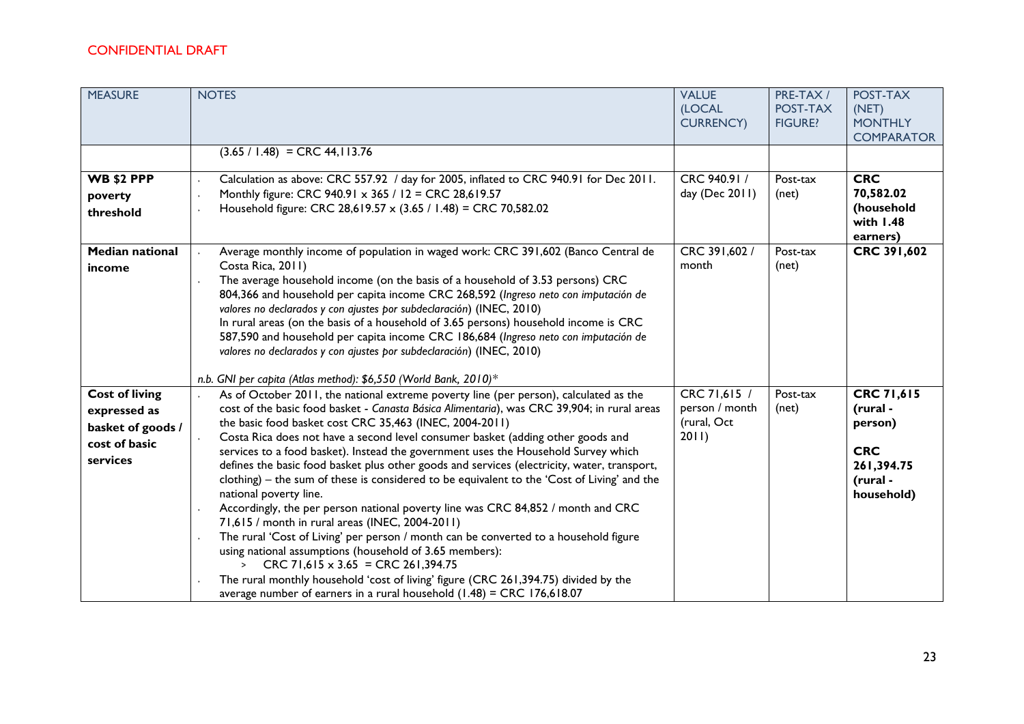| <b>MEASURE</b>                                                                          | <b>NOTES</b>                                                                                                                                                                                                                                                                                                                                                                                                                                                                                                                                                                                                                                                                                                                                                                                                                                                                                                                                                                                                                                                                                                                                          | <b>VALUE</b>                                           | PRE-TAX /                  | POST-TAX                                                                                |
|-----------------------------------------------------------------------------------------|-------------------------------------------------------------------------------------------------------------------------------------------------------------------------------------------------------------------------------------------------------------------------------------------------------------------------------------------------------------------------------------------------------------------------------------------------------------------------------------------------------------------------------------------------------------------------------------------------------------------------------------------------------------------------------------------------------------------------------------------------------------------------------------------------------------------------------------------------------------------------------------------------------------------------------------------------------------------------------------------------------------------------------------------------------------------------------------------------------------------------------------------------------|--------------------------------------------------------|----------------------------|-----------------------------------------------------------------------------------------|
|                                                                                         |                                                                                                                                                                                                                                                                                                                                                                                                                                                                                                                                                                                                                                                                                                                                                                                                                                                                                                                                                                                                                                                                                                                                                       | (LOCAL<br><b>CURRENCY)</b>                             | POST-TAX<br><b>FIGURE?</b> | (NET)<br><b>MONTHLY</b><br><b>COMPARATOR</b>                                            |
|                                                                                         | $(3.65 / 1.48) = CRC 44, 113.76$                                                                                                                                                                                                                                                                                                                                                                                                                                                                                                                                                                                                                                                                                                                                                                                                                                                                                                                                                                                                                                                                                                                      |                                                        |                            |                                                                                         |
| <b>WB \$2 PPP</b><br>poverty<br>threshold                                               | Calculation as above: CRC 557.92 / day for 2005, inflated to CRC 940.91 for Dec 2011.<br>Monthly figure: CRC 940.91 x 365 / 12 = CRC 28,619.57<br>Household figure: CRC 28,619.57 x (3.65 / 1.48) = CRC 70,582.02                                                                                                                                                                                                                                                                                                                                                                                                                                                                                                                                                                                                                                                                                                                                                                                                                                                                                                                                     | CRC 940.91 /<br>day (Dec 2011)                         | Post-tax<br>(net)          | <b>CRC</b><br>70,582.02<br>(household<br>with 1.48<br>earners)                          |
| <b>Median national</b><br>income                                                        | Average monthly income of population in waged work: CRC 391,602 (Banco Central de<br>Costa Rica, 2011)<br>The average household income (on the basis of a household of 3.53 persons) CRC<br>804,366 and household per capita income CRC 268,592 (Ingreso neto con imputación de<br>valores no declarados y con ajustes por subdeclaración) (INEC, 2010)<br>In rural areas (on the basis of a household of 3.65 persons) household income is CRC<br>587,590 and household per capita income CRC 186,684 (Ingreso neto con imputación de<br>valores no declarados y con ajustes por subdeclaración) (INEC, 2010)<br>n.b. GNI per capita (Atlas method): \$6,550 (World Bank, 2010)*                                                                                                                                                                                                                                                                                                                                                                                                                                                                     | CRC 391,602 /<br>month                                 | Post-tax<br>(net)          | CRC 391,602                                                                             |
| <b>Cost of living</b><br>expressed as<br>basket of goods /<br>cost of basic<br>services | As of October 2011, the national extreme poverty line (per person), calculated as the<br>cost of the basic food basket - Canasta Básica Alimentaria), was CRC 39,904; in rural areas<br>the basic food basket cost CRC 35,463 (INEC, 2004-2011)<br>Costa Rica does not have a second level consumer basket (adding other goods and<br>services to a food basket). Instead the government uses the Household Survey which<br>defines the basic food basket plus other goods and services (electricity, water, transport,<br>clothing) – the sum of these is considered to be equivalent to the 'Cost of Living' and the<br>national poverty line.<br>Accordingly, the per person national poverty line was CRC 84,852 / month and CRC<br>71,615 / month in rural areas (INEC, 2004-2011)<br>The rural 'Cost of Living' per person / month can be converted to a household figure<br>using national assumptions (household of 3.65 members):<br>S CRC 71,615 x 3.65 = CRC 261,394.75<br>The rural monthly household 'cost of living' figure (CRC 261,394.75) divided by the<br>average number of earners in a rural household $(1.48)$ = CRC 176,618.07 | CRC 71,615 /<br>person / month<br>(rural, Oct<br>2011) | Post-tax<br>(net)          | CRC 71,615<br>(rural -<br>person)<br><b>CRC</b><br>261,394.75<br>(rural -<br>household) |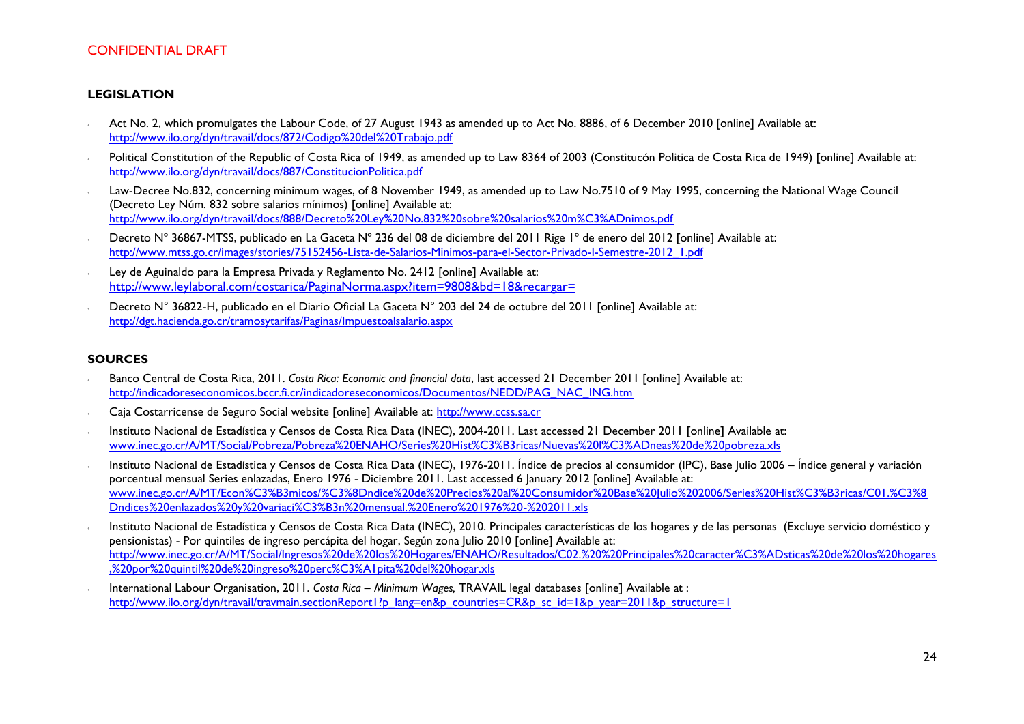#### **LEGISLATION**

- ∙ Act No. 2, which promulgates the Labour Code, of 27 August 1943 as amended up to Act No. 8886, of 6 December 2010 [online] Available at: <http://www.ilo.org/dyn/travail/docs/872/Codigo%20del%20Trabajo.pdf>
- ∙ Political Constitution of the Republic of Costa Rica of 1949, as amended up to Law 8364 of 2003 (Constitucón Politica de Costa Rica de 1949) [online] Available at: <http://www.ilo.org/dyn/travail/docs/887/ConstitucionPolitica.pdf>
- ∙ Law-Decree No.832, concerning minimum wages, of 8 November 1949, as amended up to Law No.7510 of 9 May 1995, concerning the National Wage Council (Decreto Ley Núm. 832 sobre salarios mínimos) [online] Available at: <http://www.ilo.org/dyn/travail/docs/888/Decreto%20Ley%20No.832%20sobre%20salarios%20m%C3%ADnimos.pdf>
- ∙ Decreto Nº 36867-MTSS, publicado en La Gaceta Nº 236 del 08 de diciembre del 2011 Rige 1º de enero del 2012 [online] Available at: [http://www.mtss.go.cr/images/stories/75152456-Lista-de-Salarios-Minimos-para-el-Sector-Privado-I-Semestre-2012\\_1.pdf](http://www.mtss.go.cr/images/stories/75152456-Lista-de-Salarios-Minimos-para-el-Sector-Privado-I-Semestre-2012_1.pdf)
- ∙ Ley de Aguinaldo para la Empresa Privada y Reglamento No. 2412 [online] Available at: <http://www.leylaboral.com/costarica/PaginaNorma.aspx?item=9808&bd=18&recargar=>
- ∙ Decreto N° 36822-H, publicado en el Diario Oficial La Gaceta N° 203 del 24 de octubre del 2011 [online] Available at: <http://dgt.hacienda.go.cr/tramosytarifas/Paginas/Impuestoalsalario.aspx>

#### **SOURCES**

- ∙ Banco Central de Costa Rica, 2011. *Costa Rica: Economic and financial data*, last accessed 21 December 2011 [online] Available at: [http://indicadoreseconomicos.bccr.fi.cr/indicadoreseconomicos/Documentos/NEDD/PAG\\_NAC\\_ING.htm](http://indicadoreseconomicos.bccr.fi.cr/indicadoreseconomicos/Documentos/NEDD/PAG_NAC_ING.htm)
- ∙ Caja Costarricense de Seguro Social website [online] Available at: [http://www.ccss.sa.cr](http://www.ccss.sa.cr/)
- ∙ Instituto Nacional de Estadística y Censos de Costa Rica Data (INEC), 2004-2011. Last accessed 21 December 2011 [online] Available at: [www.inec.go.cr/A/MT/Social/Pobreza/Pobreza%20ENAHO/Series%20Hist%C3%B3ricas/Nuevas%20l%C3%ADneas%20de%20pobreza.xls](http://www.inec.go.cr/A/MT/Social/Pobreza/Pobreza%20ENAHO/Series%20Hist%C3%B3ricas/Nuevas%20l%C3%ADneas%20de%20pobreza.xls)
- ∙ Instituto Nacional de Estadística y Censos de Costa Rica Data (INEC), 1976-2011. Índice de precios al consumidor (IPC), Base Julio 2006 Índice general y variación porcentual mensual Series enlazadas, Enero 1976 - Diciembre 2011. Last accessed 6 January 2012 [online] Available at: [www.inec.go.cr/A/MT/Econ%C3%B3micos/%C3%8Dndice%20de%20Precios%20al%20Consumidor%20Base%20Julio%202006/Series%20Hist%C3%B3ricas/C01.%C3%8](http://www.inec.go.cr/A/MT/Econ%C3%B3micos/%C3%8Dndice%20de%20Precios%20al%20Consumidor%20Base%20Julio%202006/Series%20Hist%C3%B3ricas/C01.%C3%8Dndices%20enlazados%20y%20variaci%C3%B3n%20mensual.%20Enero%201976%20-%202011.xls) [Dndices%20enlazados%20y%20variaci%C3%B3n%20mensual.%20Enero%201976%20-%202011.xls](http://www.inec.go.cr/A/MT/Econ%C3%B3micos/%C3%8Dndice%20de%20Precios%20al%20Consumidor%20Base%20Julio%202006/Series%20Hist%C3%B3ricas/C01.%C3%8Dndices%20enlazados%20y%20variaci%C3%B3n%20mensual.%20Enero%201976%20-%202011.xls)
- ∙ Instituto Nacional de Estadística y Censos de Costa Rica Data (INEC), 2010. Principales características de los hogares y de las personas (Excluye servicio doméstico y pensionistas) - Por quintiles de ingreso percápita del hogar, Según zona Julio 2010 [online] Available at: [http://www.inec.go.cr/A/MT/Social/Ingresos%20de%20los%20Hogares/ENAHO/Resultados/C02.%20%20Principales%20caracter%C3%ADsticas%20de%20los%20hogares](http://www.inec.go.cr/A/MT/Social/Ingresos%20de%20los%20Hogares/ENAHO/Resultados/C02.%20%20Principales%20caracter%C3%ADsticas%20de%20los%20hogares,%20por%20quintil%20de%20ingreso%20perc%C3%A1pita%20del%20hogar.xls) [,%20por%20quintil%20de%20ingreso%20perc%C3%A1pita%20del%20hogar.xls](http://www.inec.go.cr/A/MT/Social/Ingresos%20de%20los%20Hogares/ENAHO/Resultados/C02.%20%20Principales%20caracter%C3%ADsticas%20de%20los%20hogares,%20por%20quintil%20de%20ingreso%20perc%C3%A1pita%20del%20hogar.xls)
- ∙ International Labour Organisation, 2011. *Costa Rica – Minimum Wages,* TRAVAIL legal databases [online] Available at : [http://www.ilo.org/dyn/travail/travmain.sectionReport1?p\\_lang=en&p\\_countries=CR&p\\_sc\\_id=1&p\\_year=2011&p\\_structure=1](http://www.ilo.org/dyn/travail/travmain.sectionReport1?p_lang=en&p_countries=CR&p_sc_id=1&p_year=2011&p_structure=1)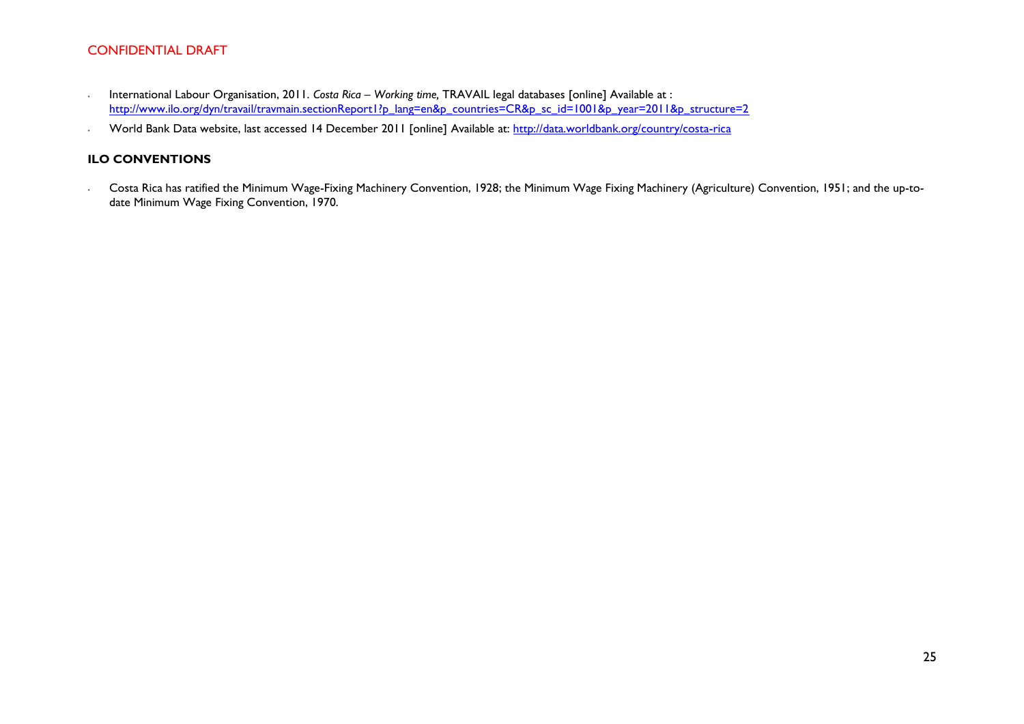- ∙ International Labour Organisation, 2011. *Costa Rica – Working time,* TRAVAIL legal databases [online] Available at : [http://www.ilo.org/dyn/travail/travmain.sectionReport1?p\\_lang=en&p\\_countries=CR&p\\_sc\\_id=1001&p\\_year=2011&p\\_structure=2](http://www.ilo.org/dyn/travail/travmain.sectionReport1?p_lang=en&p_countries=CR&p_sc_id=1001&p_year=2011&p_structure=2)
- ∙ World Bank Data website, last accessed 14 December 2011 [online] Available at:<http://data.worldbank.org/country/costa-rica>

#### **ILO CONVENTIONS**

∙ Costa Rica has ratified the Minimum Wage-Fixing Machinery Convention, 1928; the Minimum Wage Fixing Machinery (Agriculture) Convention, 1951; and the up-todate Minimum Wage Fixing Convention, 1970.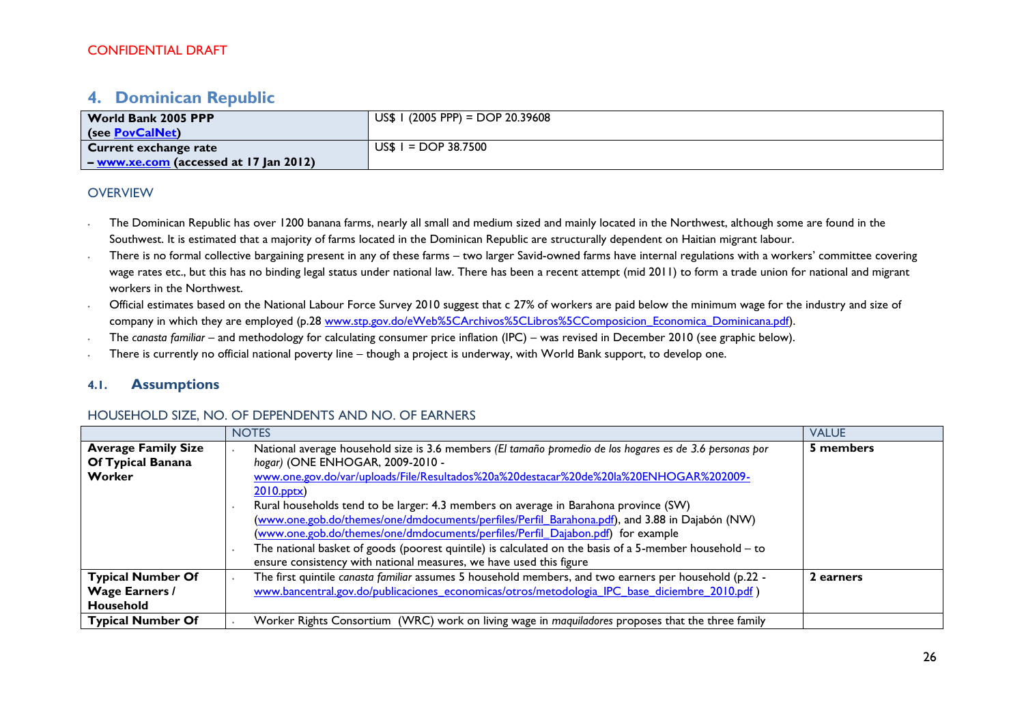# <span id="page-25-0"></span>**4. Dominican Republic**

| World Bank 2005 PPP                           | $US$$ I (2005 PPP) = DOP 20.39608 |
|-----------------------------------------------|-----------------------------------|
| (see PovCalNet)                               |                                   |
| Current exchange rate                         | $USS I = DOP 38.7500$             |
| $\sim$ - www.xe.com (accessed at 17 Jan 2012) |                                   |

#### **OVERVIEW**

- The Dominican Republic has over 1200 banana farms, nearly all small and medium sized and mainly located in the Northwest, although some are found in the Southwest. It is estimated that a majority of farms located in the Dominican Republic are structurally dependent on Haitian migrant labour.
- ∙ There is no formal collective bargaining present in any of these farms two larger Savid-owned farms have internal regulations with a workers' committee covering wage rates etc., but this has no binding legal status under national law. There has been a recent attempt (mid 2011) to form a trade union for national and migrant workers in the Northwest.
- ∙ Official estimates based on the National Labour Force Survey 2010 suggest that c 27% of workers are paid below the minimum wage for the industry and size of company in which they are employed (p.28 [www.stp.gov.do/eWeb%5CArchivos%5CLibros%5CComposicion\\_Economica\\_Dominicana.pdf\)](http://www.stp.gov.do/eWeb%5CArchivos%5CLibros%5CComposicion_Economica_Dominicana.pdf).
- ∙ The *canasta familiar* and methodology for calculating consumer price inflation (IPC) was revised in December 2010 (see graphic below).
- ∙ There is currently no official national poverty line though a project is underway, with World Bank support, to develop one.

### **4.1. Assumptions**

#### HOUSEHOLD SIZE, NO. OF DEPENDENTS AND NO. OF EARNERS

|                                                                | <b>NOTES</b>                                                                                                                                                                                                                                                                                                                                                                                                                                                                                                                                                                                                                                                                                                            | <b>VALUE</b> |
|----------------------------------------------------------------|-------------------------------------------------------------------------------------------------------------------------------------------------------------------------------------------------------------------------------------------------------------------------------------------------------------------------------------------------------------------------------------------------------------------------------------------------------------------------------------------------------------------------------------------------------------------------------------------------------------------------------------------------------------------------------------------------------------------------|--------------|
| <b>Average Family Size</b><br>Of Typical Banana<br>Worker      | National average household size is 3.6 members (El tamaño promedio de los hogares es de 3.6 personas por<br>hogar) (ONE ENHOGAR, 2009-2010 -<br>www.one.gov.do/var/uploads/File/Resultados%20a%20destacar%20de%20la%20ENHOGAR%202009-<br>$2010$ .pptx)<br>Rural households tend to be larger: 4.3 members on average in Barahona province (SW)<br>(www.one.gob.do/themes/one/dmdocuments/perfiles/Perfil_Barahona.pdf), and 3.88 in Dajabón (NW)<br>(www.one.gob.do/themes/one/dmdocuments/perfiles/Perfil Dajabon.pdf) for example<br>The national basket of goods (poorest quintile) is calculated on the basis of a 5-member household $-$ to<br>ensure consistency with national measures, we have used this figure | 5 members    |
| <b>Typical Number Of</b><br><b>Wage Earners /</b><br>Household | The first quintile canasta familiar assumes 5 household members, and two earners per household (p.22 -<br>www.bancentral.gov.do/publicaciones economicas/otros/metodologia IPC base diciembre 2010.pdf)                                                                                                                                                                                                                                                                                                                                                                                                                                                                                                                 | 2 earners    |
| <b>Typical Number Of</b>                                       | Worker Rights Consortium (WRC) work on living wage in maquiladores proposes that the three family                                                                                                                                                                                                                                                                                                                                                                                                                                                                                                                                                                                                                       |              |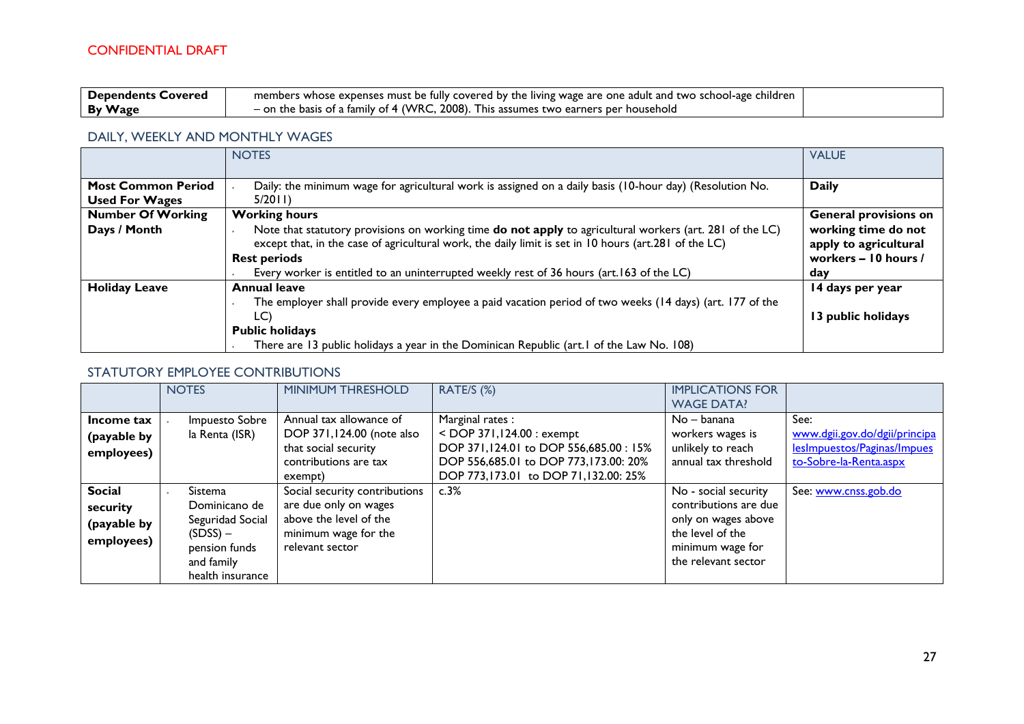| <b>Dependents</b><br>: Covered | members whose expenses must be fully covered by the living wage are one adult and two school-age children |  |
|--------------------------------|-----------------------------------------------------------------------------------------------------------|--|
| <b>By Wage</b>                 | .2008<br>on the basis of a family of 4 (WRC,<br>). This assumes two earners per household                 |  |

### DAILY, WEEKLY AND MONTHLY WAGES

|                           | <b>NOTES</b>                                                                                             | <b>VALUE</b>                 |
|---------------------------|----------------------------------------------------------------------------------------------------------|------------------------------|
|                           |                                                                                                          |                              |
| <b>Most Common Period</b> | Daily: the minimum wage for agricultural work is assigned on a daily basis (10-hour day) (Resolution No. | <b>Daily</b>                 |
| <b>Used For Wages</b>     | 5/2011                                                                                                   |                              |
| <b>Number Of Working</b>  | <b>Working hours</b>                                                                                     | <b>General provisions on</b> |
| Days / Month              | Note that statutory provisions on working time do not apply to agricultural workers (art. 281 of the LC) | working time do not          |
|                           | except that, in the case of agricultural work, the daily limit is set in 10 hours (art.281 of the LC)    | apply to agricultural        |
|                           | <b>Rest periods</b>                                                                                      | workers - 10 hours /         |
|                           | Every worker is entitled to an uninterrupted weekly rest of 36 hours (art. 163 of the LC)                | day                          |
| <b>Holiday Leave</b>      | <b>Annual leave</b>                                                                                      | 14 days per year             |
|                           | The employer shall provide every employee a paid vacation period of two weeks (14 days) (art. 177 of the |                              |
|                           | LC)                                                                                                      | 13 public holidays           |
|                           | <b>Public holidays</b>                                                                                   |                              |
|                           | There are 13 public holidays a year in the Dominican Republic (art. I of the Law No. 108)                |                              |

### STATUTORY EMPLOYEE CONTRIBUTIONS

|                                                        | <b>NOTES</b>                                                                                                  | MINIMUM THRESHOLD                                                                                                           | RATE/S (%)                                                                                                                                                                | <b>IMPLICATIONS FOR</b><br><b>WAGE DATA!</b>                                                                                        |                                                                                                |
|--------------------------------------------------------|---------------------------------------------------------------------------------------------------------------|-----------------------------------------------------------------------------------------------------------------------------|---------------------------------------------------------------------------------------------------------------------------------------------------------------------------|-------------------------------------------------------------------------------------------------------------------------------------|------------------------------------------------------------------------------------------------|
| Income tax<br>(payable by<br>employees)                | Impuesto Sobre<br>la Renta (ISR)                                                                              | Annual tax allowance of<br>DOP 371,124.00 (note also<br>that social security<br>contributions are tax<br>exempt)            | Marginal rates:<br>$<$ DOP 371,124.00 : exempt<br>DOP 371,124.01 to DOP 556,685.00 : 15%<br>DOP 556,685.01 to DOP 773,173.00: 20%<br>DOP 773,173.01 to DOP 71,132.00: 25% | $No - banana$<br>workers wages is<br>unlikely to reach<br>annual tax threshold                                                      | See:<br>www.dgii.gov.do/dgii/principa<br>lesImpuestos/Paginas/Impues<br>to-Sobre-la-Renta.aspx |
| <b>Social</b><br>security<br>(payable by<br>employees) | Sistema<br>Dominicano de<br>Seguridad Social<br>$(SDSS)$ –<br>pension funds<br>and family<br>health insurance | Social security contributions<br>are due only on wages<br>above the level of the<br>minimum wage for the<br>relevant sector | c.3%                                                                                                                                                                      | No - social security<br>contributions are due<br>only on wages above<br>the level of the<br>minimum wage for<br>the relevant sector | See: www.cnss.gob.do                                                                           |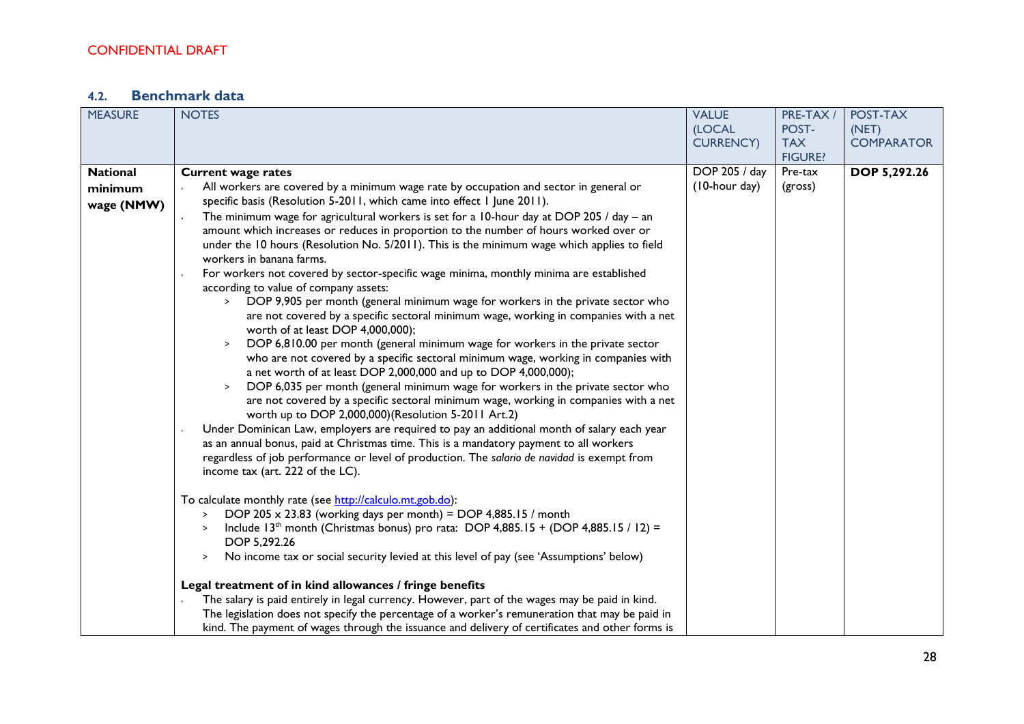# **4.2. Benchmark data**

| <b>MEASURE</b>  | <b>NOTES</b>                                                                                                                                       | <b>VALUE</b>     | PRE-TAX /      | POST-TAX            |
|-----------------|----------------------------------------------------------------------------------------------------------------------------------------------------|------------------|----------------|---------------------|
|                 |                                                                                                                                                    | (LOCAL           | POST-          | (NET)               |
|                 |                                                                                                                                                    | <b>CURRENCY)</b> | <b>TAX</b>     | <b>COMPARATOR</b>   |
|                 |                                                                                                                                                    |                  | <b>FIGURE?</b> |                     |
| <b>National</b> | <b>Current wage rates</b>                                                                                                                          | DOP 205 / day    | Pre-tax        | <b>DOP 5,292.26</b> |
| minimum         | All workers are covered by a minimum wage rate by occupation and sector in general or                                                              | (10-hour day)    | (gross)        |                     |
| wage (NMW)      | specific basis (Resolution 5-2011, which came into effect 1 June 2011).                                                                            |                  |                |                     |
|                 | The minimum wage for agricultural workers is set for a 10-hour day at DOP 205 / day $-$ an                                                         |                  |                |                     |
|                 | amount which increases or reduces in proportion to the number of hours worked over or                                                              |                  |                |                     |
|                 | under the 10 hours (Resolution No. 5/2011). This is the minimum wage which applies to field                                                        |                  |                |                     |
|                 | workers in banana farms.                                                                                                                           |                  |                |                     |
|                 | For workers not covered by sector-specific wage minima, monthly minima are established                                                             |                  |                |                     |
|                 | according to value of company assets:                                                                                                              |                  |                |                     |
|                 | DOP 9,905 per month (general minimum wage for workers in the private sector who<br>$\geq$                                                          |                  |                |                     |
|                 | are not covered by a specific sectoral minimum wage, working in companies with a net                                                               |                  |                |                     |
|                 | worth of at least DOP 4,000,000);                                                                                                                  |                  |                |                     |
|                 | DOP 6,810.00 per month (general minimum wage for workers in the private sector<br>$\,$                                                             |                  |                |                     |
|                 | who are not covered by a specific sectoral minimum wage, working in companies with                                                                 |                  |                |                     |
|                 | a net worth of at least DOP 2,000,000 and up to DOP 4,000,000);<br>DOP 6,035 per month (general minimum wage for workers in the private sector who |                  |                |                     |
|                 | $\,$<br>are not covered by a specific sectoral minimum wage, working in companies with a net                                                       |                  |                |                     |
|                 | worth up to DOP 2,000,000)(Resolution 5-2011 Art.2)                                                                                                |                  |                |                     |
|                 | Under Dominican Law, employers are required to pay an additional month of salary each year                                                         |                  |                |                     |
|                 | as an annual bonus, paid at Christmas time. This is a mandatory payment to all workers                                                             |                  |                |                     |
|                 | regardless of job performance or level of production. The salario de navidad is exempt from                                                        |                  |                |                     |
|                 | income tax (art. 222 of the LC).                                                                                                                   |                  |                |                     |
|                 |                                                                                                                                                    |                  |                |                     |
|                 | To calculate monthly rate (see http://calculo.mt.gob.do):                                                                                          |                  |                |                     |
|                 | DOP 205 $\times$ 23.83 (working days per month) = DOP 4,885.15 / month<br>$\geq$                                                                   |                  |                |                     |
|                 | Include 13 <sup>th</sup> month (Christmas bonus) pro rata: DOP 4,885.15 + (DOP 4,885.15 / 12) =                                                    |                  |                |                     |
|                 | DOP 5,292.26                                                                                                                                       |                  |                |                     |
|                 | No income tax or social security levied at this level of pay (see 'Assumptions' below)<br>$\, >$                                                   |                  |                |                     |
|                 | Legal treatment of in kind allowances / fringe benefits                                                                                            |                  |                |                     |
|                 | The salary is paid entirely in legal currency. However, part of the wages may be paid in kind.                                                     |                  |                |                     |
|                 | The legislation does not specify the percentage of a worker's remuneration that may be paid in                                                     |                  |                |                     |
|                 | kind. The payment of wages through the issuance and delivery of certificates and other forms is                                                    |                  |                |                     |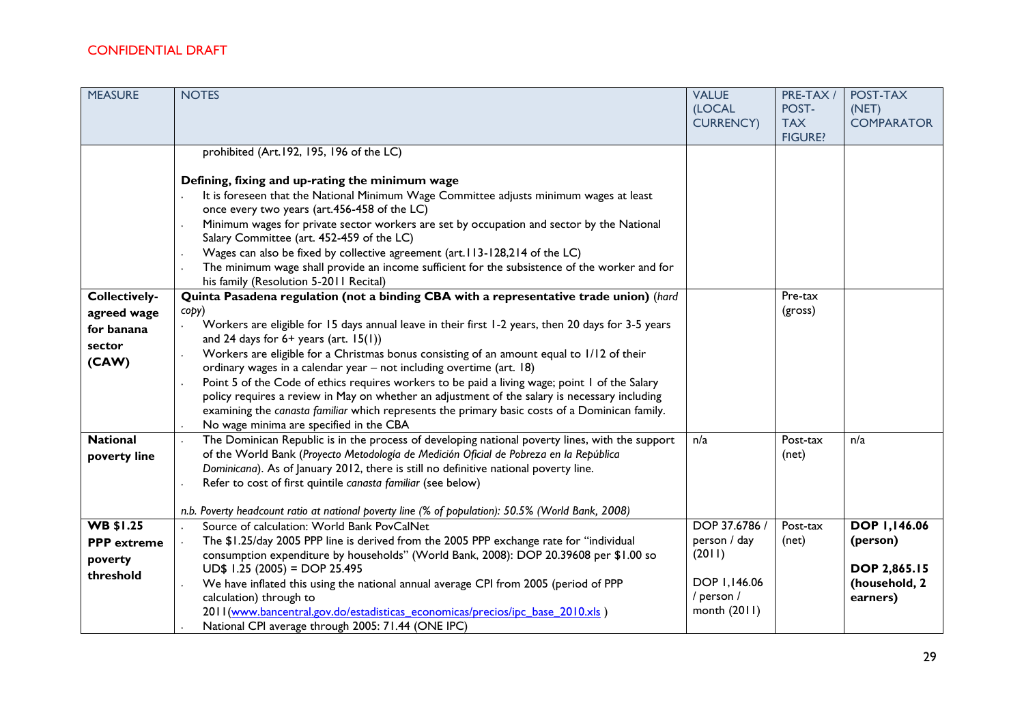| <b>MEASURE</b>       | <b>NOTES</b>                                                                                                                                                           | <b>VALUE</b><br>(LOCAL<br><b>CURRENCY)</b> | PRE-TAX /<br>POST-<br><b>TAX</b> | POST-TAX<br>(NET)<br><b>COMPARATOR</b> |
|----------------------|------------------------------------------------------------------------------------------------------------------------------------------------------------------------|--------------------------------------------|----------------------------------|----------------------------------------|
|                      |                                                                                                                                                                        |                                            | <b>FIGURE?</b>                   |                                        |
|                      | prohibited (Art.192, 195, 196 of the LC)                                                                                                                               |                                            |                                  |                                        |
|                      |                                                                                                                                                                        |                                            |                                  |                                        |
|                      | Defining, fixing and up-rating the minimum wage                                                                                                                        |                                            |                                  |                                        |
|                      | It is foreseen that the National Minimum Wage Committee adjusts minimum wages at least<br>once every two years (art.456-458 of the LC)                                 |                                            |                                  |                                        |
|                      | Minimum wages for private sector workers are set by occupation and sector by the National<br>Salary Committee (art. 452-459 of the LC)                                 |                                            |                                  |                                        |
|                      | Wages can also be fixed by collective agreement (art. I I3-128,214 of the LC)                                                                                          |                                            |                                  |                                        |
|                      | The minimum wage shall provide an income sufficient for the subsistence of the worker and for                                                                          |                                            |                                  |                                        |
|                      | his family (Resolution 5-2011 Recital)                                                                                                                                 |                                            |                                  |                                        |
| <b>Collectively-</b> | Quinta Pasadena regulation (not a binding CBA with a representative trade union) (hard                                                                                 |                                            | Pre-tax                          |                                        |
| agreed wage          | copy)                                                                                                                                                                  |                                            | (gross)                          |                                        |
| for banana           | Workers are eligible for 15 days annual leave in their first 1-2 years, then 20 days for 3-5 years                                                                     |                                            |                                  |                                        |
| sector               | and 24 days for $6+$ years (art. $15(1)$ )                                                                                                                             |                                            |                                  |                                        |
| (CAW)                | Workers are eligible for a Christmas bonus consisting of an amount equal to 1/12 of their                                                                              |                                            |                                  |                                        |
|                      | ordinary wages in a calendar year - not including overtime (art. 18)<br>Point 5 of the Code of ethics requires workers to be paid a living wage; point 1 of the Salary |                                            |                                  |                                        |
|                      | policy requires a review in May on whether an adjustment of the salary is necessary including                                                                          |                                            |                                  |                                        |
|                      | examining the canasta familiar which represents the primary basic costs of a Dominican family.                                                                         |                                            |                                  |                                        |
|                      | No wage minima are specified in the CBA                                                                                                                                |                                            |                                  |                                        |
| <b>National</b>      | The Dominican Republic is in the process of developing national poverty lines, with the support                                                                        | n/a                                        | Post-tax                         | n/a                                    |
| poverty line         | of the World Bank (Proyecto Metodología de Medición Oficial de Pobreza en la República                                                                                 |                                            | (net)                            |                                        |
|                      | Dominicana). As of January 2012, there is still no definitive national poverty line.                                                                                   |                                            |                                  |                                        |
|                      | Refer to cost of first quintile canasta familiar (see below)                                                                                                           |                                            |                                  |                                        |
|                      | n.b. Poverty headcount ratio at national poverty line (% of population): 50.5% (World Bank, 2008)                                                                      |                                            |                                  |                                        |
| <b>WB \$1.25</b>     | Source of calculation: World Bank PovCalNet                                                                                                                            | DOP 37.6786 /                              | Post-tax                         | <b>DOP 1,146.06</b>                    |
| <b>PPP</b> extreme   | The \$1.25/day 2005 PPP line is derived from the 2005 PPP exchange rate for "individual                                                                                | person / day                               | (net)                            | (person)                               |
| poverty              | consumption expenditure by households" (World Bank, 2008): DOP 20.39608 per \$1.00 so                                                                                  | (2011)                                     |                                  |                                        |
| threshold            | $UD$$ 1.25 (2005) = DOP 25.495                                                                                                                                         |                                            |                                  | <b>DOP 2,865.15</b>                    |
|                      | We have inflated this using the national annual average CPI from 2005 (period of PPP                                                                                   | DOP 1,146.06                               |                                  | (household, 2                          |
|                      | calculation) through to                                                                                                                                                | / person /                                 |                                  | earners)                               |
|                      | 2011 (www.bancentral.gov.do/estadisticas economicas/precios/ipc base 2010.xls)                                                                                         | month (2011)                               |                                  |                                        |
|                      | National CPI average through 2005: 71.44 (ONE IPC)                                                                                                                     |                                            |                                  |                                        |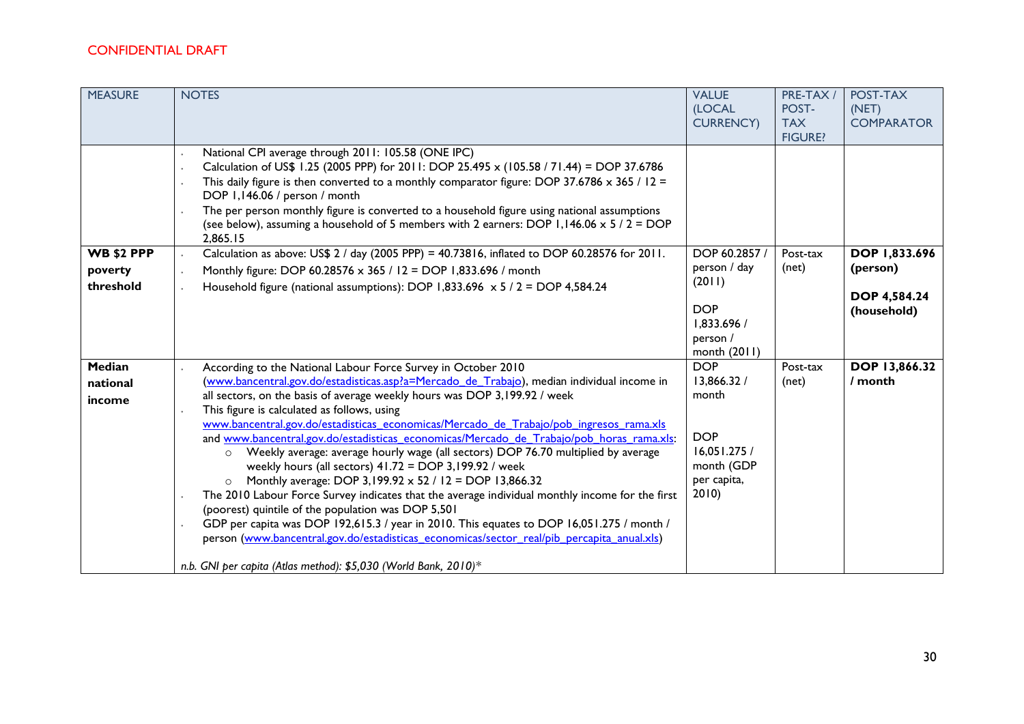| <b>MEASURE</b>               | <b>NOTES</b>                                                                                                                                                                                                                                                                                                                                                                                                                                                                                                                                                                                                                                                                                                                                                                                                                                                                                                                                                                                                                                                                                                                         | <b>VALUE</b><br><b>(LOCAL</b><br><b>CURRENCY)</b>                                                     | PRE-TAX /<br>POST-<br><b>TAX</b><br><b>FIGURE?</b> | POST-TAX<br>(NET)<br><b>COMPARATOR</b>         |
|------------------------------|--------------------------------------------------------------------------------------------------------------------------------------------------------------------------------------------------------------------------------------------------------------------------------------------------------------------------------------------------------------------------------------------------------------------------------------------------------------------------------------------------------------------------------------------------------------------------------------------------------------------------------------------------------------------------------------------------------------------------------------------------------------------------------------------------------------------------------------------------------------------------------------------------------------------------------------------------------------------------------------------------------------------------------------------------------------------------------------------------------------------------------------|-------------------------------------------------------------------------------------------------------|----------------------------------------------------|------------------------------------------------|
| <b>WB \$2 PPP</b>            | National CPI average through 2011: 105.58 (ONE IPC)<br>Calculation of US\$ 1.25 (2005 PPP) for 2011: DOP 25.495 x (105.58 / 71.44) = DOP 37.6786<br>This daily figure is then converted to a monthly comparator figure: DOP 37.6786 $\times$ 365 / 12 =<br>DOP 1,146.06 / person / month<br>The per person monthly figure is converted to a household figure using national assumptions<br>(see below), assuming a household of 5 members with 2 earners: DOP 1,146.06 $\times$ 5 / 2 = DOP<br>2.865.15<br>Calculation as above: US\$ 2 / day (2005 PPP) = 40.73816, inflated to DOP 60.28576 for 2011.                                                                                                                                                                                                                                                                                                                                                                                                                                                                                                                              | DOP 60.2857 /                                                                                         | Post-tax                                           | DOP 1,833.696                                  |
| poverty<br>threshold         | Monthly figure: DOP 60.28576 x 365 / 12 = DOP 1,833.696 / month<br>Household figure (national assumptions): DOP 1,833.696 $\times$ 5 / 2 = DOP 4,584.24                                                                                                                                                                                                                                                                                                                                                                                                                                                                                                                                                                                                                                                                                                                                                                                                                                                                                                                                                                              | person / day<br>(2011)<br><b>DOP</b><br>1,833.696 /<br>person /<br>month (2011)                       | (net)                                              | (person)<br><b>DOP 4,584.24</b><br>(household) |
| Median<br>national<br>income | According to the National Labour Force Survey in October 2010<br>(www.bancentral.gov.do/estadisticas.asp?a=Mercado de Trabajo), median individual income in<br>all sectors, on the basis of average weekly hours was DOP 3,199.92 / week<br>This figure is calculated as follows, using<br>www.bancentral.gov.do/estadisticas_economicas/Mercado_de_Trabajo/pob_ingresos_rama.xls<br>and www.bancentral.gov.do/estadisticas_economicas/Mercado_de_Trabajo/pob_horas_rama.xls:<br>Weekly average: average hourly wage (all sectors) DOP 76.70 multiplied by average<br>$\circ$<br>weekly hours (all sectors) 41.72 = DOP 3,199.92 / week<br>Monthly average: DOP 3,199.92 x 52 / 12 = DOP 13,866.32<br>$\circ$<br>The 2010 Labour Force Survey indicates that the average individual monthly income for the first<br>(poorest) quintile of the population was DOP 5,501<br>GDP per capita was DOP 192,615.3 / year in 2010. This equates to DOP 16,051.275 / month /<br>person (www.bancentral.gov.do/estadisticas economicas/sector real/pib percapita anual.xls)<br>n.b. GNI per capita (Atlas method): \$5,030 (World Bank, 2010)* | <b>DOP</b><br>13,866.32 /<br>month<br><b>DOP</b><br>16,051.275 /<br>month (GDP<br>per capita,<br>2010 | Post-tax<br>(net)                                  | DOP 13,866.32<br>/ month                       |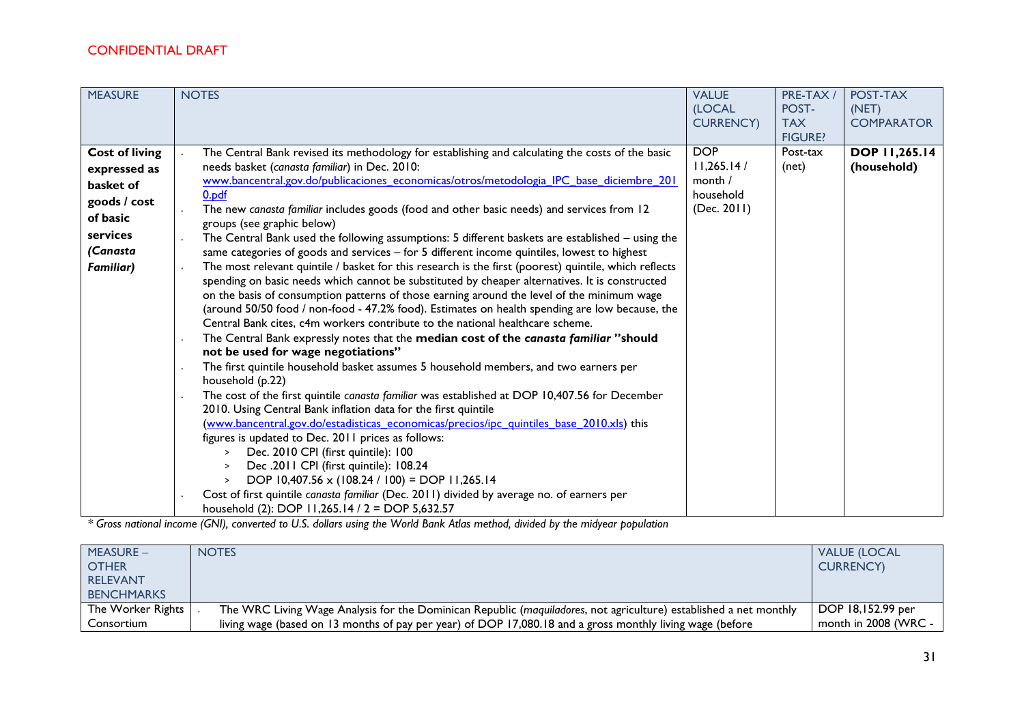| <b>MEASURE</b>                                                                                                             | <b>NOTES</b>                                                                                                                                                                                                                                                                                                                                                                                                                                                                                                                                                                                                                                                                                                                                                                                                                                                                                                                                                                                                                                                                                                                                                                                                                                                                                                                                                                                                                                                                                                                                                                                                                                                                                                                                                                                                                                                                                                                                                        | <b>VALUE</b><br>(LOCAL<br><b>CURRENCY)</b>                      | PRE-TAX /<br>POST-<br><b>TAX</b><br><b>FIGURE?</b> | POST-TAX<br>(NET)<br><b>COMPARATOR</b> |
|----------------------------------------------------------------------------------------------------------------------------|---------------------------------------------------------------------------------------------------------------------------------------------------------------------------------------------------------------------------------------------------------------------------------------------------------------------------------------------------------------------------------------------------------------------------------------------------------------------------------------------------------------------------------------------------------------------------------------------------------------------------------------------------------------------------------------------------------------------------------------------------------------------------------------------------------------------------------------------------------------------------------------------------------------------------------------------------------------------------------------------------------------------------------------------------------------------------------------------------------------------------------------------------------------------------------------------------------------------------------------------------------------------------------------------------------------------------------------------------------------------------------------------------------------------------------------------------------------------------------------------------------------------------------------------------------------------------------------------------------------------------------------------------------------------------------------------------------------------------------------------------------------------------------------------------------------------------------------------------------------------------------------------------------------------------------------------------------------------|-----------------------------------------------------------------|----------------------------------------------------|----------------------------------------|
| <b>Cost of living</b><br>expressed as<br>basket of<br>goods / cost<br>of basic<br>services<br>(Canasta<br><b>Familiar)</b> | The Central Bank revised its methodology for establishing and calculating the costs of the basic<br>needs basket (canasta familiar) in Dec. 2010:<br>www.bancentral.gov.do/publicaciones economicas/otros/metodologia IPC base diciembre 201<br>0.pdf<br>The new canasta familiar includes goods (food and other basic needs) and services from 12<br>groups (see graphic below)<br>The Central Bank used the following assumptions: 5 different baskets are established - using the<br>same categories of goods and services $-$ for 5 different income quintiles, lowest to highest<br>The most relevant quintile / basket for this research is the first (poorest) quintile, which reflects<br>spending on basic needs which cannot be substituted by cheaper alternatives. It is constructed<br>on the basis of consumption patterns of those earning around the level of the minimum wage<br>(around 50/50 food / non-food - 47.2% food). Estimates on health spending are low because, the<br>Central Bank cites, c4m workers contribute to the national healthcare scheme.<br>The Central Bank expressly notes that the median cost of the canasta familiar "should<br>not be used for wage negotiations"<br>The first quintile household basket assumes 5 household members, and two earners per<br>household (p.22)<br>The cost of the first quintile canasta familiar was established at DOP 10,407.56 for December<br>2010. Using Central Bank inflation data for the first quintile<br>(www.bancentral.gov.do/estadisticas economicas/precios/ipc quintiles base 2010.xls) this<br>figures is updated to Dec. 2011 prices as follows:<br>Dec. 2010 CPI (first quintile): 100<br>$\geq$<br>Dec. 2011 CPI (first quintile): 108.24<br>$\,>\,$<br>DOP 10,407.56 x (108.24 / 100) = DOP 11,265.14<br>$\geq$<br>Cost of first quintile canasta familiar (Dec. 2011) divided by average no. of earners per<br>household (2): DOP 11,265.14 / 2 = DOP 5,632.57 | <b>DOP</b><br>11,265.14/<br>month /<br>household<br>(Dec. 2011) | Post-tax<br>(net)                                  | <b>DOP 11,265.14</b><br>(household)    |

*\* Gross national income (GNI), converted to U.S. dollars using the World Bank Atlas method, divided by the midyear population*

| <b>MEASURE -</b><br><b>OTHER</b><br><b>RELEVANT</b> | <b>NOTES</b>                                                                                                      | <b>VALUE (LOCAL</b><br><b>CURRENCY</b> |
|-----------------------------------------------------|-------------------------------------------------------------------------------------------------------------------|----------------------------------------|
| <b>BENCHMARKS</b>                                   |                                                                                                                   |                                        |
| The Worker Rights                                   | The WRC Living Wage Analysis for the Dominican Republic (maquiladores, not agriculture) established a net monthly | DOP 18,152.99 per                      |
| Consortium                                          | living wage (based on 13 months of pay per year) of DOP 17,080.18 and a gross monthly living wage (before         | month in 2008 (WRC -                   |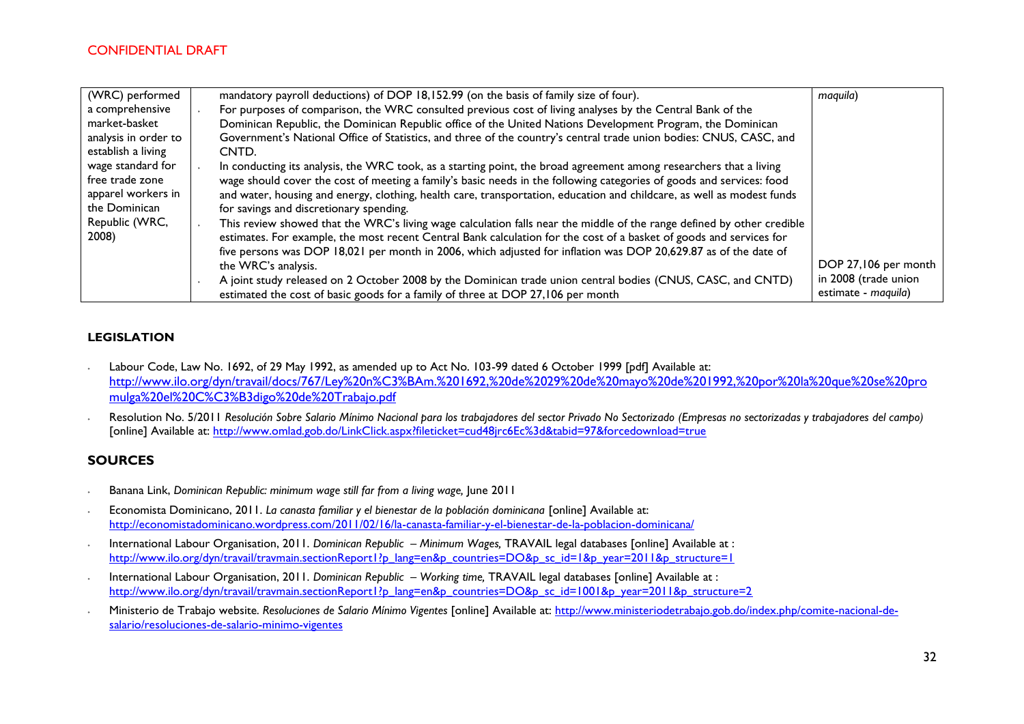| (WRC) performed      | mandatory payroll deductions) of DOP 18,152.99 (on the basis of family size of four).                                  | maquila)             |
|----------------------|------------------------------------------------------------------------------------------------------------------------|----------------------|
| a comprehensive      | For purposes of comparison, the WRC consulted previous cost of living analyses by the Central Bank of the              |                      |
| market-basket        | Dominican Republic, the Dominican Republic office of the United Nations Development Program, the Dominican             |                      |
| analysis in order to | Government's National Office of Statistics, and three of the country's central trade union bodies: CNUS, CASC, and     |                      |
| establish a living   | CNTD.                                                                                                                  |                      |
| wage standard for    | In conducting its analysis, the WRC took, as a starting point, the broad agreement among researchers that a living     |                      |
| free trade zone      | wage should cover the cost of meeting a family's basic needs in the following categories of goods and services: food   |                      |
| apparel workers in   | and water, housing and energy, clothing, health care, transportation, education and childcare, as well as modest funds |                      |
| the Dominican        | for savings and discretionary spending.                                                                                |                      |
| Republic (WRC,       | This review showed that the WRC's living wage calculation falls near the middle of the range defined by other credible |                      |
| 2008)                | estimates. For example, the most recent Central Bank calculation for the cost of a basket of goods and services for    |                      |
|                      | five persons was DOP 18,021 per month in 2006, which adjusted for inflation was DOP 20,629.87 as of the date of        |                      |
|                      | the WRC's analysis.                                                                                                    | DOP 27,106 per month |
|                      | A joint study released on 2 October 2008 by the Dominican trade union central bodies (CNUS, CASC, and CNTD)            | in 2008 (trade union |
|                      | estimated the cost of basic goods for a family of three at DOP 27,106 per month                                        | estimate - maquila)  |

#### **LEGISLATION**

- ∙ Labour Code, Law No. 1692, of 29 May 1992, as amended up to Act No. 103-99 dated 6 October 1999 [pdf] Available at: [http://www.ilo.org/dyn/travail/docs/767/Ley%20n%C3%BAm.%201692,%20de%2029%20de%20mayo%20de%201992,%20por%20la%20que%20se%20pro](http://www.ilo.org/dyn/travail/docs/767/Ley%20n%C3%BAm.%201692,%20de%2029%20de%20mayo%20de%201992,%20por%20la%20que%20se%20promulga%20el%20C%C3%B3digo%20de%20Trabajo.pdf) [mulga%20el%20C%C3%B3digo%20de%20Trabajo.pdf](http://www.ilo.org/dyn/travail/docs/767/Ley%20n%C3%BAm.%201692,%20de%2029%20de%20mayo%20de%201992,%20por%20la%20que%20se%20promulga%20el%20C%C3%B3digo%20de%20Trabajo.pdf)
- ∙ Resolution No. 5/2011 *Resolución Sobre Salario Mínimo Nacional para los trabajadores del sector Privado No Sectorizado (Empresas no sectorizadas y trabajadores del campo)* [online] Available at:<http://www.omlad.gob.do/LinkClick.aspx?fileticket=cud48jrc6Ec%3d&tabid=97&forcedownload=true>

### **SOURCES**

- ∙ Banana Link, *Dominican Republic: minimum wage still far from a living wage,* June 2011
- ∙ Economista Dominicano, 2011. *La canasta familiar y el bienestar de la población dominicana* [online] Available at: <http://economistadominicano.wordpress.com/2011/02/16/la-canasta-familiar-y-el-bienestar-de-la-poblacion-dominicana/>
- ∙ International Labour Organisation, 2011. *Dominican Republic – Minimum Wages,* TRAVAIL legal databases [online] Available at : [http://www.ilo.org/dyn/travail/travmain.sectionReport1?p\\_lang=en&p\\_countries=DO&p\\_sc\\_id=1&p\\_year=2011&p\\_structure=1](http://www.ilo.org/dyn/travail/travmain.sectionReport1?p_lang=en&p_countries=DO&p_sc_id=1&p_year=2011&p_structure=1)
- ∙ International Labour Organisation, 2011. *Dominican Republic – Working time,* TRAVAIL legal databases [online] Available at : [http://www.ilo.org/dyn/travail/travmain.sectionReport1?p\\_lang=en&p\\_countries=DO&p\\_sc\\_id=1001&p\\_year=2011&p\\_structure=2](http://www.ilo.org/dyn/travail/travmain.sectionReport1?p_lang=en&p_countries=DO&p_sc_id=1001&p_year=2011&p_structure=2)
- ∙ Ministerio de Trabajo website*. Resoluciones de Salario Mínimo Vigentes* [online] Available at: [http://www.ministeriodetrabajo.gob.do/index.php/comite-nacional-de](http://www.ministeriodetrabajo.gob.do/index.php/comite-nacional-de-salario/resoluciones-de-salario-minimo-vigentes)[salario/resoluciones-de-salario-minimo-vigentes](http://www.ministeriodetrabajo.gob.do/index.php/comite-nacional-de-salario/resoluciones-de-salario-minimo-vigentes)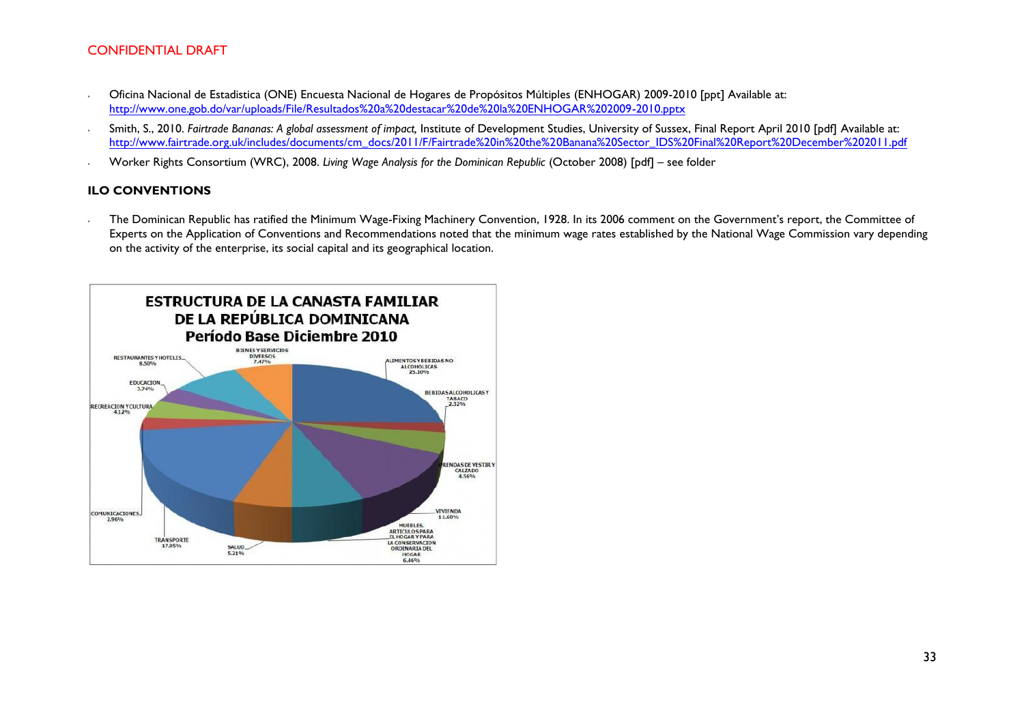- ∙ Oficina Nacional de Estadistica (ONE) Encuesta Nacional de Hogares de Propósitos Múltiples (ENHOGAR) 2009-2010 [ppt] Available at: <http://www.one.gob.do/var/uploads/File/Resultados%20a%20destacar%20de%20la%20ENHOGAR%202009-2010.pptx>
- ∙ Smith, S., 2010. *Fairtrade Bananas: A global assessment of impact,* Institute of Development Studies, University of Sussex, Final Report April 2010 [pdf] Available at: [http://www.fairtrade.org.uk/includes/documents/cm\\_docs/2011/F/Fairtrade%20in%20the%20Banana%20Sector\\_IDS%20Final%20Report%20December%202011.pdf](http://www.fairtrade.org.uk/includes/documents/cm_docs/2011/F/Fairtrade%20in%20the%20Banana%20Sector_IDS%20Final%20Report%20December%202011.pdf)
- ∙ Worker Rights Consortium (WRC), 2008. *Living Wage Analysis for the Dominican Republic* (October 2008) [pdf] see folder

#### **ILO CONVENTIONS**

∙ The Dominican Republic has ratified the Minimum Wage-Fixing Machinery Convention, 1928. In its 2006 comment on the Government's report, the Committee of Experts on the Application of Conventions and Recommendations noted that the minimum wage rates established by the National Wage Commission vary depending on the activity of the enterprise, its social capital and its geographical location.

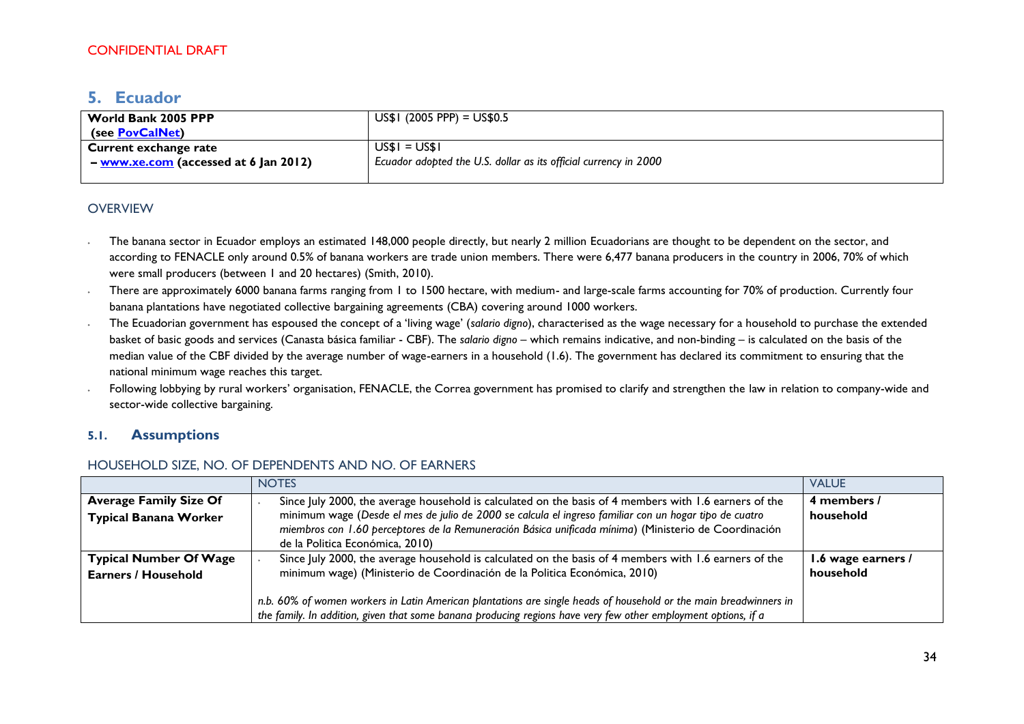# <span id="page-33-0"></span>**5. Ecuador**

| World Bank 2005 PPP                   | $US$I (2005 PPP) = US$0.5$                                       |
|---------------------------------------|------------------------------------------------------------------|
| (see PovCalNet)                       |                                                                  |
| Current exchange rate                 | US\$I = US\$I                                                    |
| - www.xe.com (accessed at 6 Jan 2012) | Ecuador adopted the U.S. dollar as its official currency in 2000 |
|                                       |                                                                  |

### **OVERVIEW**

- ∙ The banana sector in Ecuador employs an estimated 148,000 people directly, but nearly 2 million Ecuadorians are thought to be dependent on the sector, and according to FENACLE only around 0.5% of banana workers are trade union members. There were 6,477 banana producers in the country in 2006, 70% of which were small producers (between 1 and 20 hectares) (Smith, 2010).
- There are approximately 6000 banana farms ranging from 1 to 1500 hectare, with medium- and large-scale farms accounting for 70% of production. Currently four banana plantations have negotiated collective bargaining agreements (CBA) covering around 1000 workers.
- ∙ The Ecuadorian government has espoused the concept of a 'living wage' (*salario digno*), characterised as the wage necessary for a household to purchase the extended basket of basic goods and services (Canasta básica familiar - CBF). The *salario digno* – which remains indicative, and non-binding – is calculated on the basis of the median value of the CBF divided by the average number of wage-earners in a household (1.6). The government has declared its commitment to ensuring that the national minimum wage reaches this target.
- ∙ Following lobbying by rural workers' organisation, FENACLE, the Correa government has promised to clarify and strengthen the law in relation to company-wide and sector-wide collective bargaining.

### **5.1. Assumptions**

#### HOUSEHOLD SIZE, NO. OF DEPENDENTS AND NO. OF EARNERS

|                                                               | <b>NOTES</b>                                                                                                                                                                                                                                                                                                                                                                                                               | <b>VALUE</b>                    |
|---------------------------------------------------------------|----------------------------------------------------------------------------------------------------------------------------------------------------------------------------------------------------------------------------------------------------------------------------------------------------------------------------------------------------------------------------------------------------------------------------|---------------------------------|
| <b>Average Family Size Of</b><br><b>Typical Banana Worker</b> | Since July 2000, the average household is calculated on the basis of 4 members with 1.6 earners of the<br>minimum wage (Desde el mes de julio de 2000 se calcula el ingreso familiar con un hogar tipo de cuatro<br>miembros con 1.60 perceptores de la Remuneración Básica unificada mínima) (Ministerio de Coordinación<br>de la Politica Económica, 2010)                                                               | 4 members /<br>household        |
| <b>Typical Number Of Wage</b><br><b>Earners / Household</b>   | Since July 2000, the average household is calculated on the basis of 4 members with 1.6 earners of the<br>minimum wage) (Ministerio de Coordinación de la Politica Económica, 2010)<br>n.b. 60% of women workers in Latin American plantations are single heads of household or the main breadwinners in<br>the family. In addition, given that some banana producing regions have very few other employment options, if a | 1.6 wage earners /<br>household |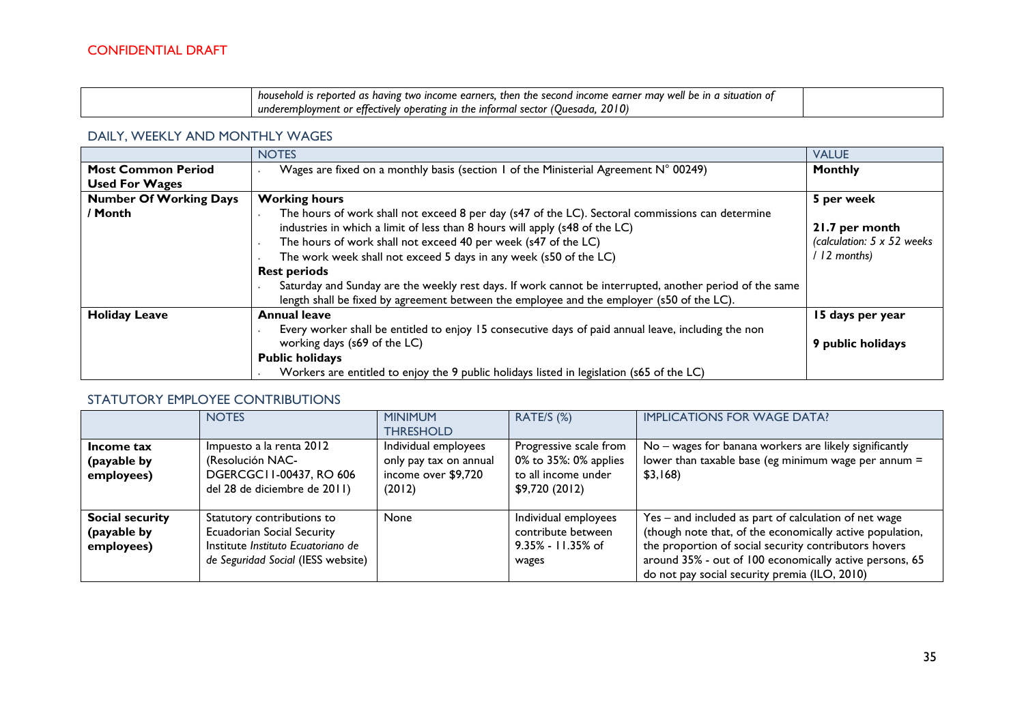| - household is reborted as having two income earners, then the second income earner may well be in a situation of |  |
|-------------------------------------------------------------------------------------------------------------------|--|
| 2010<br>$\,$ underemployment or effectively operating in the informal sector (Quesada, .                          |  |

### DAILY, WEEKLY AND MONTHLY WAGES

|                               | <b>NOTES</b>                                                                                                                                                                                         | <b>VALUE</b>                |
|-------------------------------|------------------------------------------------------------------------------------------------------------------------------------------------------------------------------------------------------|-----------------------------|
| <b>Most Common Period</b>     | Wages are fixed on a monthly basis (section 1 of the Ministerial Agreement N° 00249)                                                                                                                 | <b>Monthly</b>              |
| <b>Used For Wages</b>         |                                                                                                                                                                                                      |                             |
| <b>Number Of Working Days</b> | <b>Working hours</b>                                                                                                                                                                                 | 5 per week                  |
| / Month                       | The hours of work shall not exceed 8 per day (s47 of the LC). Sectoral commissions can determine                                                                                                     |                             |
|                               | industries in which a limit of less than 8 hours will apply (s48 of the LC)                                                                                                                          | 21.7 per month              |
|                               | The hours of work shall not exceed 40 per week (s47 of the LC)                                                                                                                                       | (calculation: 5 x 52 weeks) |
|                               | The work week shall not exceed 5 days in any week (s50 of the LC)                                                                                                                                    | 12 months)                  |
|                               | <b>Rest periods</b>                                                                                                                                                                                  |                             |
|                               | Saturday and Sunday are the weekly rest days. If work cannot be interrupted, another period of the same<br>length shall be fixed by agreement between the employee and the employer (s50 of the LC). |                             |
| <b>Holiday Leave</b>          | <b>Annual leave</b>                                                                                                                                                                                  | 15 days per year            |
|                               | Every worker shall be entitled to enjoy 15 consecutive days of paid annual leave, including the non                                                                                                  |                             |
|                               | working days (s69 of the LC)                                                                                                                                                                         | 9 public holidays           |
|                               | <b>Public holidays</b>                                                                                                                                                                               |                             |
|                               | Workers are entitled to enjoy the 9 public holidays listed in legislation (s65 of the LC)                                                                                                            |                             |

# STATUTORY EMPLOYEE CONTRIBUTIONS

|                                              | <b>NOTES</b>                                                                                                                                | <b>MINIMUM</b><br><b>THRESHOLD</b>                                              | RATE/S (%)                                                                               | <b>IMPLICATIONS FOR WAGE DATA?</b>                                                                                                                                                                                                                                                      |
|----------------------------------------------|---------------------------------------------------------------------------------------------------------------------------------------------|---------------------------------------------------------------------------------|------------------------------------------------------------------------------------------|-----------------------------------------------------------------------------------------------------------------------------------------------------------------------------------------------------------------------------------------------------------------------------------------|
| Income tax<br>(payable by<br>employees)      | Impuesto a la renta 2012<br>(Resolución NAC-<br>DGERCGC11-00437, RO 606<br>del 28 de diciembre de 2011)                                     | Individual employees<br>only pay tax on annual<br>income over \$9,720<br>(2012) | Progressive scale from<br>0% to 35%: 0% applies<br>to all income under<br>\$9,720 (2012) | No – wages for banana workers are likely significantly<br>lower than taxable base (eg minimum wage per annum $=$<br>\$3,168                                                                                                                                                             |
| Social security<br>(payable by<br>employees) | Statutory contributions to<br><b>Ecuadorian Social Security</b><br>Institute Instituto Ecuatoriano de<br>de Seguridad Social (IESS website) | <b>None</b>                                                                     | Individual employees<br>contribute between<br>9.35% - 11.35% of<br>wages                 | Yes - and included as part of calculation of net wage<br>(though note that, of the economically active population,<br>the proportion of social security contributors hovers<br>around 35% - out of 100 economically active persons, 65<br>do not pay social security premia (ILO, 2010) |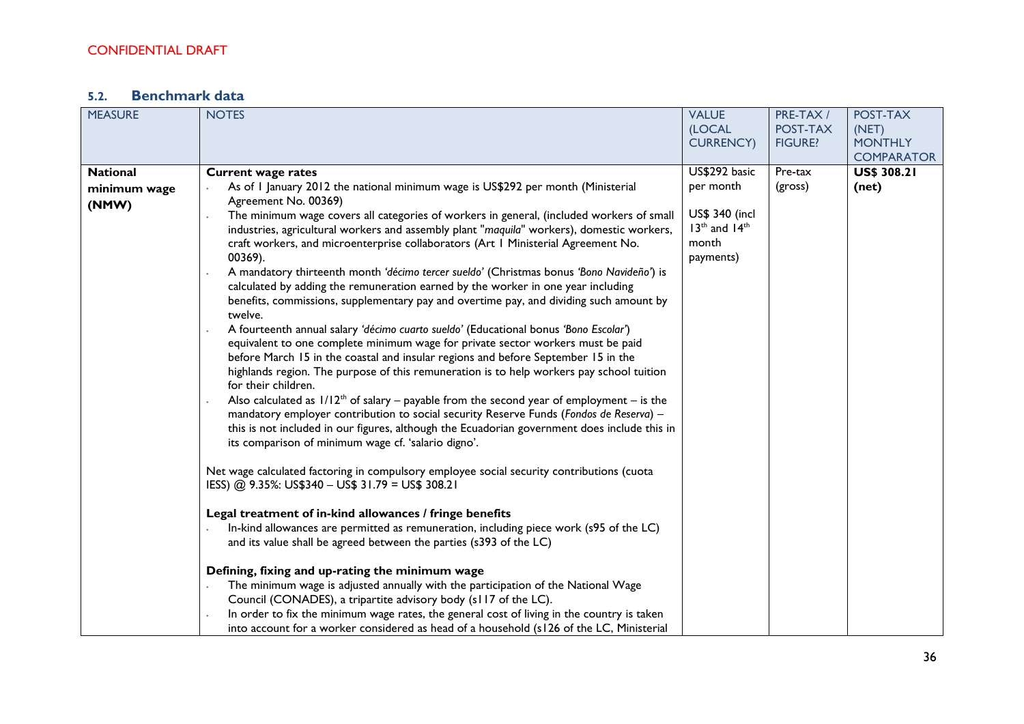# **5.2. Benchmark data**

| <b>MEASURE</b>  | <b>NOTES</b>                                                                                      | <b>VALUE</b>       | PRE-TAX /      | POST-TAX           |
|-----------------|---------------------------------------------------------------------------------------------------|--------------------|----------------|--------------------|
|                 |                                                                                                   | (LOCAL             | POST-TAX       | (NET)              |
|                 |                                                                                                   | <b>CURRENCY)</b>   | <b>FIGURE?</b> | <b>MONTHLY</b>     |
|                 |                                                                                                   |                    |                | <b>COMPARATOR</b>  |
| <b>National</b> | <b>Current wage rates</b>                                                                         | US\$292 basic      | Pre-tax        | <b>US\$ 308.21</b> |
| minimum wage    | As of I January 2012 the national minimum wage is US\$292 per month (Ministerial                  | per month          | (gross)        | (net)              |
| (NMW)           | Agreement No. 00369)                                                                              |                    |                |                    |
|                 | The minimum wage covers all categories of workers in general, (included workers of small          | US\$ 340 (incl     |                |                    |
|                 | industries, agricultural workers and assembly plant "maquila" workers), domestic workers,         | $13th$ and $14th$  |                |                    |
|                 | craft workers, and microenterprise collaborators (Art I Ministerial Agreement No.<br>00369).      | month<br>payments) |                |                    |
|                 | A mandatory thirteenth month 'décimo tercer sueldo' (Christmas bonus 'Bono Navideño') is          |                    |                |                    |
|                 | calculated by adding the remuneration earned by the worker in one year including                  |                    |                |                    |
|                 | benefits, commissions, supplementary pay and overtime pay, and dividing such amount by<br>twelve. |                    |                |                    |
|                 | A fourteenth annual salary 'décimo cuarto sueldo' (Educational bonus 'Bono Escolar')              |                    |                |                    |
|                 | equivalent to one complete minimum wage for private sector workers must be paid                   |                    |                |                    |
|                 | before March 15 in the coastal and insular regions and before September 15 in the                 |                    |                |                    |
|                 | highlands region. The purpose of this remuneration is to help workers pay school tuition          |                    |                |                    |
|                 | for their children.                                                                               |                    |                |                    |
|                 | Also calculated as $1/12^{th}$ of salary – payable from the second year of employment – is the    |                    |                |                    |
|                 | mandatory employer contribution to social security Reserve Funds (Fondos de Reserva) -            |                    |                |                    |
|                 | this is not included in our figures, although the Ecuadorian government does include this in      |                    |                |                    |
|                 | its comparison of minimum wage cf. 'salario digno'.                                               |                    |                |                    |
|                 | Net wage calculated factoring in compulsory employee social security contributions (cuota         |                    |                |                    |
|                 | IESS) @ 9.35%: US\$340 - US\$ 31.79 = US\$ 308.21                                                 |                    |                |                    |
|                 | Legal treatment of in-kind allowances / fringe benefits                                           |                    |                |                    |
|                 | In-kind allowances are permitted as remuneration, including piece work (s95 of the LC)            |                    |                |                    |
|                 | and its value shall be agreed between the parties (s393 of the LC)                                |                    |                |                    |
|                 | Defining, fixing and up-rating the minimum wage                                                   |                    |                |                    |
|                 | The minimum wage is adjusted annually with the participation of the National Wage                 |                    |                |                    |
|                 | Council (CONADES), a tripartite advisory body (s117 of the LC).                                   |                    |                |                    |
|                 | In order to fix the minimum wage rates, the general cost of living in the country is taken        |                    |                |                    |
|                 | into account for a worker considered as head of a household (s126 of the LC, Ministerial          |                    |                |                    |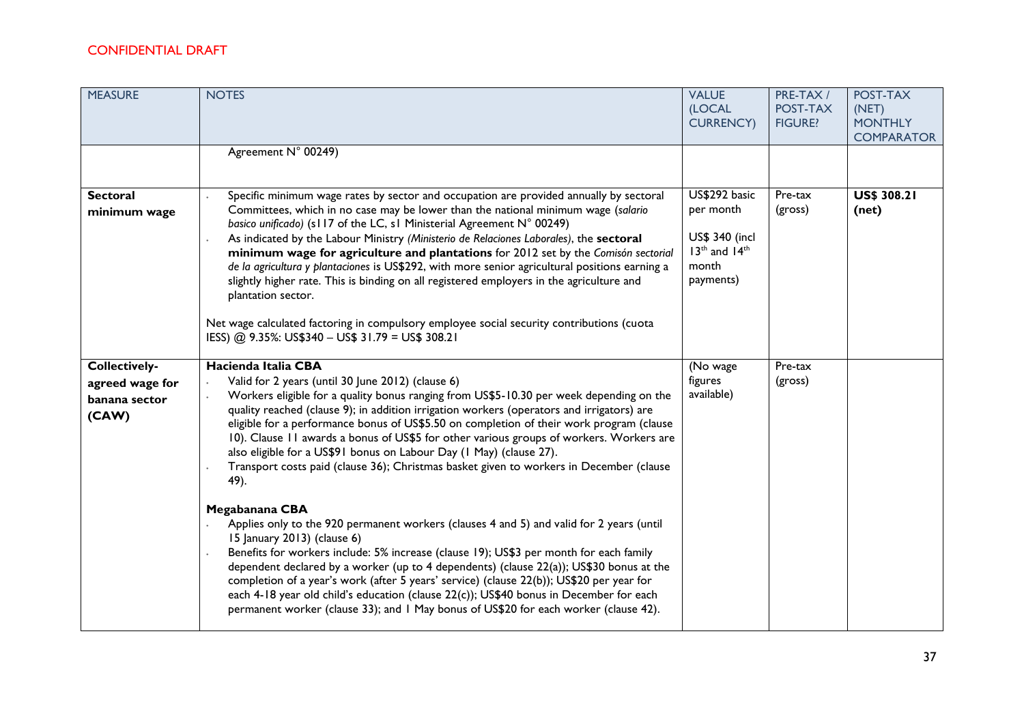| <b>MEASURE</b>                                             | <b>NOTES</b><br>Agreement N° 00249)                                                                                                                                                                                                                                                                                                                                                                                                                                                                                                                                                                                                                                                                                                                                                                                                                                                                                                                                                                                                                                                                                                                                                                                                               | <b>VALUE</b><br>(LOCAL<br><b>CURRENCY)</b>                                              | PRE-TAX /<br>POST-TAX<br><b>FIGURE?</b> | POST-TAX<br>(NET)<br><b>MONTHLY</b><br><b>COMPARATOR</b> |
|------------------------------------------------------------|---------------------------------------------------------------------------------------------------------------------------------------------------------------------------------------------------------------------------------------------------------------------------------------------------------------------------------------------------------------------------------------------------------------------------------------------------------------------------------------------------------------------------------------------------------------------------------------------------------------------------------------------------------------------------------------------------------------------------------------------------------------------------------------------------------------------------------------------------------------------------------------------------------------------------------------------------------------------------------------------------------------------------------------------------------------------------------------------------------------------------------------------------------------------------------------------------------------------------------------------------|-----------------------------------------------------------------------------------------|-----------------------------------------|----------------------------------------------------------|
| <b>Sectoral</b><br>minimum wage                            | Specific minimum wage rates by sector and occupation are provided annually by sectoral<br>Committees, which in no case may be lower than the national minimum wage (salario<br>basico unificado) (s117 of the LC, s1 Ministerial Agreement N° 00249)<br>As indicated by the Labour Ministry (Ministerio de Relaciones Laborales), the sectoral<br>minimum wage for agriculture and plantations for 2012 set by the Comisón sectorial<br>de la agricultura y plantaciones is US\$292, with more senior agricultural positions earning a<br>slightly higher rate. This is binding on all registered employers in the agriculture and<br>plantation sector.<br>Net wage calculated factoring in compulsory employee social security contributions (cuota<br>IESS) @ 9.35%: US\$340 - US\$ 31.79 = US\$ 308.21                                                                                                                                                                                                                                                                                                                                                                                                                                        | US\$292 basic<br>per month<br>US\$ 340 (incl<br>$13th$ and $14th$<br>month<br>payments) | Pre-tax<br>(gross)                      | <b>US\$ 308.21</b><br>(net)                              |
| Collectively-<br>agreed wage for<br>banana sector<br>(CAW) | Hacienda Italia CBA<br>Valid for 2 years (until 30 June 2012) (clause 6)<br>Workers eligible for a quality bonus ranging from US\$5-10.30 per week depending on the<br>quality reached (clause 9); in addition irrigation workers (operators and irrigators) are<br>eligible for a performance bonus of US\$5.50 on completion of their work program (clause<br>10). Clause 11 awards a bonus of US\$5 for other various groups of workers. Workers are<br>also eligible for a US\$91 bonus on Labour Day (1 May) (clause 27).<br>Transport costs paid (clause 36); Christmas basket given to workers in December (clause<br>49).<br>Megabanana CBA<br>Applies only to the 920 permanent workers (clauses 4 and 5) and valid for 2 years (until<br>15 January 2013) (clause 6)<br>Benefits for workers include: 5% increase (clause 19); US\$3 per month for each family<br>dependent declared by a worker (up to 4 dependents) (clause 22(a)); US\$30 bonus at the<br>completion of a year's work (after 5 years' service) (clause 22(b)); US\$20 per year for<br>each 4-18 year old child's education (clause 22(c)); US\$40 bonus in December for each<br>permanent worker (clause 33); and I May bonus of US\$20 for each worker (clause 42). | (No wage<br>figures<br>available)                                                       | Pre-tax<br>(gross)                      |                                                          |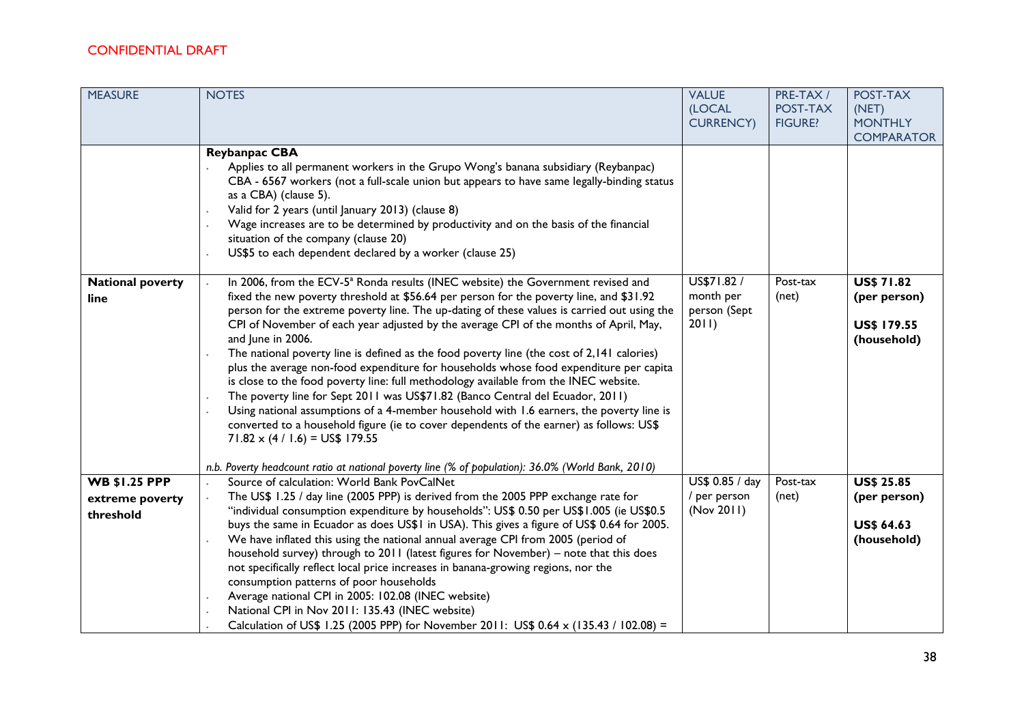| <b>MEASURE</b>                                       | <b>NOTES</b>                                                                                                                                                                                                                                                                                                                                                                                                                                                                                                                                                                                                                                                                                                                                                                                                                                                                                                                                                                                                                                                                                               | <b>VALUE</b><br>(LOCAL                            | PRE-TAX /<br>POST-TAX | POST-TAX<br>(NET)                                                      |
|------------------------------------------------------|------------------------------------------------------------------------------------------------------------------------------------------------------------------------------------------------------------------------------------------------------------------------------------------------------------------------------------------------------------------------------------------------------------------------------------------------------------------------------------------------------------------------------------------------------------------------------------------------------------------------------------------------------------------------------------------------------------------------------------------------------------------------------------------------------------------------------------------------------------------------------------------------------------------------------------------------------------------------------------------------------------------------------------------------------------------------------------------------------------|---------------------------------------------------|-----------------------|------------------------------------------------------------------------|
|                                                      |                                                                                                                                                                                                                                                                                                                                                                                                                                                                                                                                                                                                                                                                                                                                                                                                                                                                                                                                                                                                                                                                                                            | <b>CURRENCY)</b>                                  | <b>FIGURE?</b>        | <b>MONTHLY</b><br><b>COMPARATOR</b>                                    |
|                                                      | <b>Reybanpac CBA</b><br>Applies to all permanent workers in the Grupo Wong's banana subsidiary (Reybanpac)<br>CBA - 6567 workers (not a full-scale union but appears to have same legally-binding status<br>as a CBA) (clause 5).<br>Valid for 2 years (until January 2013) (clause 8)<br>Wage increases are to be determined by productivity and on the basis of the financial<br>situation of the company (clause 20)<br>US\$5 to each dependent declared by a worker (clause 25)                                                                                                                                                                                                                                                                                                                                                                                                                                                                                                                                                                                                                        |                                                   |                       |                                                                        |
| <b>National poverty</b><br>line                      | In 2006, from the ECV-5 <sup>a</sup> Ronda results (INEC website) the Government revised and<br>fixed the new poverty threshold at \$56.64 per person for the poverty line, and \$31.92<br>person for the extreme poverty line. The up-dating of these values is carried out using the<br>CPI of November of each year adjusted by the average CPI of the months of April, May,<br>and June in 2006.<br>The national poverty line is defined as the food poverty line (the cost of 2,141 calories)<br>plus the average non-food expenditure for households whose food expenditure per capita<br>is close to the food poverty line: full methodology available from the INEC website.<br>The poverty line for Sept 2011 was US\$71.82 (Banco Central del Ecuador, 2011)<br>Using national assumptions of a 4-member household with 1.6 earners, the poverty line is<br>converted to a household figure (ie to cover dependents of the earner) as follows: US\$<br>$71.82 \times (4 / 1.6) = US$179.55$<br>n.b. Poverty headcount ratio at national poverty line (% of population): 36.0% (World Bank, 2010) | US\$71.82 /<br>month per<br>person (Sept<br>2011) | Post-tax<br>(net)     | <b>US\$ 71.82</b><br>(per person)<br><b>US\$ 179.55</b><br>(household) |
| <b>WB \$1.25 PPP</b><br>extreme poverty<br>threshold | Source of calculation: World Bank PovCalNet<br>The US\$ 1.25 / day line (2005 PPP) is derived from the 2005 PPP exchange rate for<br>"individual consumption expenditure by households": US\$ 0.50 per US\$1.005 (ie US\$0.5<br>buys the same in Ecuador as does US\$1 in USA). This gives a figure of US\$ 0.64 for 2005.<br>We have inflated this using the national annual average CPI from 2005 (period of<br>household survey) through to 2011 (latest figures for November) - note that this does<br>not specifically reflect local price increases in banana-growing regions, nor the<br>consumption patterns of poor households<br>Average national CPI in 2005: 102.08 (INEC website)<br>National CPI in Nov 2011: 135.43 (INEC website)<br>Calculation of US\$ 1.25 (2005 PPP) for November 2011: US\$ 0.64 x (135.43 / 102.08) =                                                                                                                                                                                                                                                                | US\$ 0.85 / day<br>/ per person<br>(Nov 2011)     | Post-tax<br>(net)     | <b>US\$ 25.85</b><br>(per person)<br><b>US\$ 64.63</b><br>(household)  |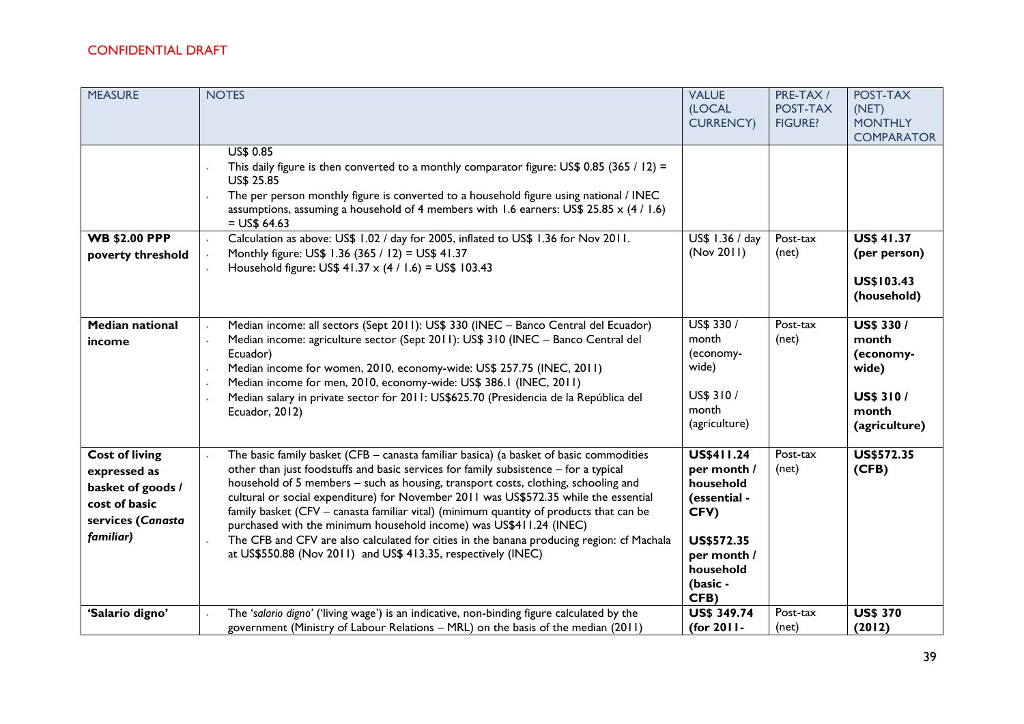| <b>MEASURE</b>                                                                                                | <b>NOTES</b>                                                                                                                                                                                                                                                                                                                                                                                                                                                                                                                                                                                                                                                                               | <b>VALUE</b><br>(LOCAL<br><b>CURRENCY)</b>                                                                                          | PRE-TAX/<br>POST-TAX<br><b>FIGURE?</b> | POST-TAX<br>(NET)<br><b>MONTHLY</b><br><b>COMPARATOR</b>                                       |
|---------------------------------------------------------------------------------------------------------------|--------------------------------------------------------------------------------------------------------------------------------------------------------------------------------------------------------------------------------------------------------------------------------------------------------------------------------------------------------------------------------------------------------------------------------------------------------------------------------------------------------------------------------------------------------------------------------------------------------------------------------------------------------------------------------------------|-------------------------------------------------------------------------------------------------------------------------------------|----------------------------------------|------------------------------------------------------------------------------------------------|
|                                                                                                               | US\$ 0.85<br>This daily figure is then converted to a monthly comparator figure: US\$ 0.85 (365 / 12) =<br><b>US\$ 25.85</b><br>The per person monthly figure is converted to a household figure using national / INEC<br>assumptions, assuming a household of 4 members with 1.6 earners: US\$ 25.85 $\times$ (4 / 1.6)<br>$=$ US\$ 64.63                                                                                                                                                                                                                                                                                                                                                 |                                                                                                                                     |                                        |                                                                                                |
| <b>WB \$2.00 PPP</b><br>poverty threshold                                                                     | Calculation as above: US\$ 1.02 / day for 2005, inflated to US\$ 1.36 for Nov 2011.<br>Monthly figure: US\$ 1.36 (365 / 12) = US\$ 41.37<br>Household figure: US\$ 41.37 x (4 / 1.6) = US\$ 103.43                                                                                                                                                                                                                                                                                                                                                                                                                                                                                         | US\$ 1.36 / day<br>(Nov 2011)                                                                                                       | Post-tax<br>(net)                      | <b>US\$ 41.37</b><br>(per person)<br>US\$103.43<br>(household)                                 |
| <b>Median national</b><br>income                                                                              | Median income: all sectors (Sept 2011): US\$ 330 (INEC - Banco Central del Ecuador)<br>Median income: agriculture sector (Sept 2011): US\$ 310 (INEC - Banco Central del<br>Ecuador)<br>Median income for women, 2010, economy-wide: US\$ 257.75 (INEC, 2011)<br>Median income for men, 2010, economy-wide: US\$ 386.1 (INEC, 2011)<br>Median salary in private sector for 2011: US\$625.70 (Presidencia de la República del<br>Ecuador, 2012)                                                                                                                                                                                                                                             | US\$ 330 /<br>month<br>(economy-<br>wide)<br>US\$ 310 /<br>month<br>(agriculture)                                                   | Post-tax<br>(net)                      | <b>US\$ 330 /</b><br>month<br>(economy-<br>wide)<br><b>US\$ 310/</b><br>month<br>(agriculture) |
| <b>Cost of living</b><br>expressed as<br>basket of goods /<br>cost of basic<br>services (Canasta<br>familiar) | The basic family basket (CFB - canasta familiar basica) (a basket of basic commodities<br>other than just foodstuffs and basic services for family subsistence - for a typical<br>household of 5 members - such as housing, transport costs, clothing, schooling and<br>cultural or social expenditure) for November 2011 was US\$572.35 while the essential<br>family basket (CFV - canasta familiar vital) (minimum quantity of products that can be<br>purchased with the minimum household income) was US\$411.24 (INEC)<br>The CFB and CFV are also calculated for cities in the banana producing region: cf Machala<br>at US\$550.88 (Nov 2011) and US\$ 413.35, respectively (INEC) | US\$411.24<br>per month /<br>household<br>(essential -<br>CFV)<br><b>US\$572.35</b><br>per month /<br>household<br>(basic -<br>CFB) | Post-tax<br>(net)                      | <b>US\$572.35</b><br>(CFB)                                                                     |
| 'Salario digno'                                                                                               | The 'salario digno' ('living wage') is an indicative, non-binding figure calculated by the<br>government (Ministry of Labour Relations - MRL) on the basis of the median (2011)                                                                                                                                                                                                                                                                                                                                                                                                                                                                                                            | <b>US\$ 349.74</b><br>(for 2011-                                                                                                    | Post-tax<br>(net)                      | <b>US\$ 370</b><br>(2012)                                                                      |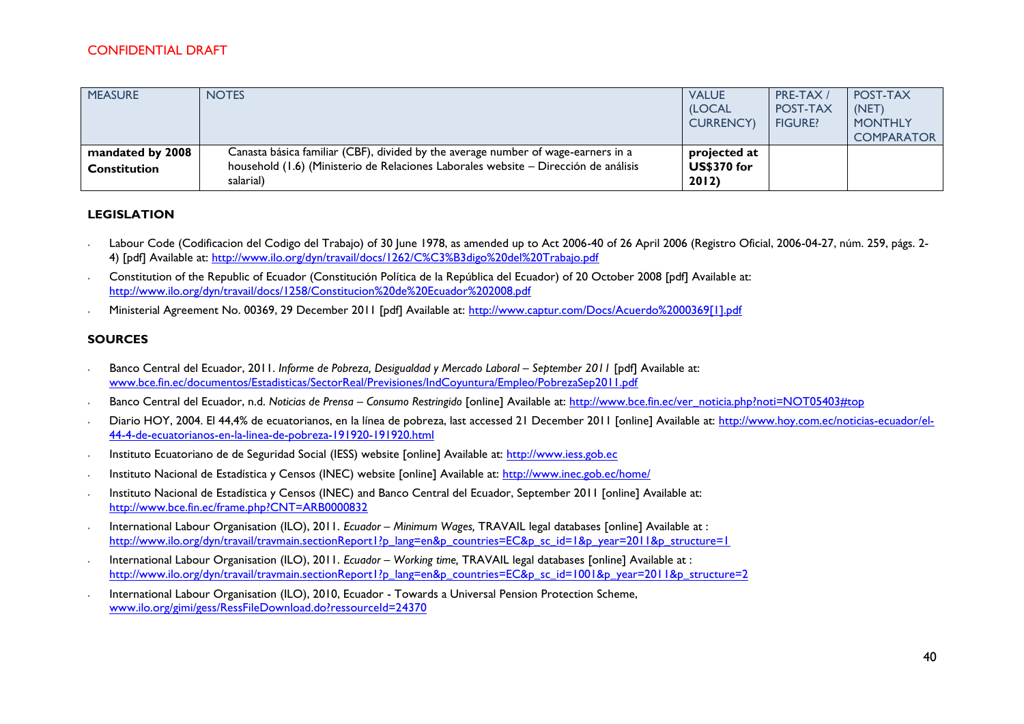| <b>MEASURE</b>                          | <b>NOTES</b>                                                                                                                                                                          | <b>VALUE</b><br><b>(LOCAL</b><br><b>CURRENCY</b> | PRE-TAX /<br>POST-TAX<br><b>FIGURE?</b> | POST-TAX<br>(NET)<br><b>MONTHLY</b><br><b>COMPARATOR</b> |
|-----------------------------------------|---------------------------------------------------------------------------------------------------------------------------------------------------------------------------------------|--------------------------------------------------|-----------------------------------------|----------------------------------------------------------|
| mandated by 2008<br><b>Constitution</b> | Canasta básica familiar (CBF), divided by the average number of wage-earners in a<br>household (1.6) (Ministerio de Relaciones Laborales website - Dirección de análisis<br>salarial) | projected at<br><b>US\$370 for</b><br>2012)      |                                         |                                                          |

#### **LEGISLATION**

- ∙ Labour Code (Codificacion del Codigo del Trabajo) of 30 June 1978, as amended up to Act 2006-40 of 26 April 2006 (Registro Oficial, 2006-04-27, núm. 259, págs. 2- 4) [pdf] Available at:<http://www.ilo.org/dyn/travail/docs/1262/C%C3%B3digo%20del%20Trabajo.pdf>
- ∙ Constitution of the Republic of Ecuador (Constitución Política de la República del Ecuador) of 20 October 2008 [pdf] Available at: <http://www.ilo.org/dyn/travail/docs/1258/Constitucion%20de%20Ecuador%202008.pdf>
- ∙ Ministerial Agreement No. 00369, 29 December 2011 [pdf] Available at: [http://www.captur.com/Docs/Acuerdo%2000369\[1\].pdf](http://www.captur.com/Docs/Acuerdo%2000369%5b1%5d.pdf)

#### **SOURCES**

- ∙ Banco Central del Ecuador, 2011. *Informe de Pobreza, Desigualdad y Mercado Laboral – September 2011* [pdf] Available at: [www.bce.fin.ec/documentos/Estadisticas/SectorReal/Previsiones/IndCoyuntura/Empleo/PobrezaSep2011.pdf](http://www.bce.fin.ec/documentos/Estadisticas/SectorReal/Previsiones/IndCoyuntura/Empleo/PobrezaSep2011.pdf)
- ∙ Banco Central del Ecuador, n.d. *Noticias de Prensa – Consumo Restringido* [online] Available at: [http://www.bce.fin.ec/ver\\_noticia.php?noti=NOT05403#top](http://www.bce.fin.ec/ver_noticia.php?noti=NOT05403#top)
- Diario HOY, 2004. El 44,4% de ecuatorianos, en la línea de pobreza, last accessed 21 December 2011 [online] Available at: [http://www.hoy.com.ec/noticias-ecuador/el-](http://www.hoy.com.ec/noticias-ecuador/el-44-4-de-ecuatorianos-en-la-linea-de-pobreza-191920-191920.html)[44-4-de-ecuatorianos-en-la-linea-de-pobreza-191920-191920.html](http://www.hoy.com.ec/noticias-ecuador/el-44-4-de-ecuatorianos-en-la-linea-de-pobreza-191920-191920.html)
- ∙ Instituto Ecuatoriano de de Seguridad Social (IESS) website [online] Available at: [http://www.iess.gob.ec](http://www.iess.gob.ec/)
- ∙ Instituto Nacional de Estadística y Censos (INEC) website [online] Available at:<http://www.inec.gob.ec/home/>
- ∙ Instituto Nacional de Estadística y Censos (INEC) and Banco Central del Ecuador, September 2011 [online] Available at: <http://www.bce.fin.ec/frame.php?CNT=ARB0000832>
- ∙ International Labour Organisation (ILO), 2011. *Ecuador – Minimum Wages,* TRAVAIL legal databases [online] Available at : [http://www.ilo.org/dyn/travail/travmain.sectionReport1?p\\_lang=en&p\\_countries=EC&p\\_sc\\_id=1&p\\_year=2011&p\\_structure=1](http://www.ilo.org/dyn/travail/travmain.sectionReport1?p_lang=en&p_countries=EC&p_sc_id=1&p_year=2011&p_structure=1)
- ∙ International Labour Organisation (ILO), 2011. *Ecuador – Working time,* TRAVAIL legal databases [online] Available at : [http://www.ilo.org/dyn/travail/travmain.sectionReport1?p\\_lang=en&p\\_countries=EC&p\\_sc\\_id=1001&p\\_year=2011&p\\_structure=2](http://www.ilo.org/dyn/travail/travmain.sectionReport1?p_lang=en&p_countries=EC&p_sc_id=1001&p_year=2011&p_structure=2)
- ∙ International Labour Organisation (ILO), 2010, Ecuador Towards a Universal Pension Protection Scheme, [www.ilo.org/gimi/gess/RessFileDownload.do?ressourceId=24370](http://www.ilo.org/gimi/gess/RessFileDownload.do?ressourceId=24370)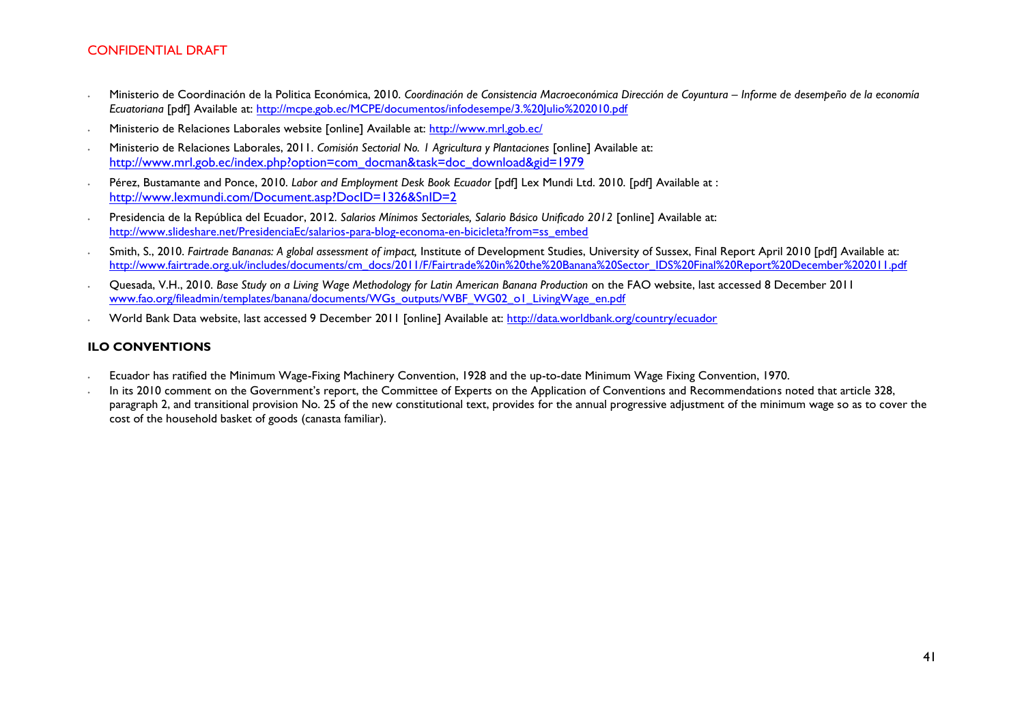- ∙ Ministerio de Coordinación de la Politica Económica, 2010. *Coordinación de Consistencia Macroeconómica Dirección de Coyuntura – Informe de desempeño de la economía Ecuatoriana* [pdf] Available at:<http://mcpe.gob.ec/MCPE/documentos/infodesempe/3.%20Julio%202010.pdf>
- ∙ Ministerio de Relaciones Laborales website [online] Available at:<http://www.mrl.gob.ec/>
- ∙ Ministerio de Relaciones Laborales, 2011. *Comisión Sectorial No. 1 Agricultura y Plantaciones* [online] Available at: [http://www.mrl.gob.ec/index.php?option=com\\_docman&task=doc\\_download&gid=1979](http://www.mrl.gob.ec/index.php?option=com_docman&task=doc_download&gid=1979)
- ∙ Pérez, Bustamante and Ponce, 2010. *Labor and Employment Desk Book Ecuador* [pdf] Lex Mundi Ltd. 2010. [pdf] Available at : <http://www.lexmundi.com/Document.asp?DocID=1326&SnID=2>
- ∙ Presidencia de la República del Ecuador, 2012. *Salarios Mínimos Sectoriales, Salario Básico Unificado 2012* [online] Available at: [http://www.slideshare.net/PresidenciaEc/salarios-para-blog-economa-en-bicicleta?from=ss\\_embed](http://www.slideshare.net/PresidenciaEc/salarios-para-blog-economa-en-bicicleta?from=ss_embed)
- ∙ Smith, S., 2010. *Fairtrade Bananas: A global assessment of impact,* Institute of Development Studies, University of Sussex, Final Report April 2010 [pdf] Available at: [http://www.fairtrade.org.uk/includes/documents/cm\\_docs/2011/F/Fairtrade%20in%20the%20Banana%20Sector\\_IDS%20Final%20Report%20December%202011.pdf](http://www.fairtrade.org.uk/includes/documents/cm_docs/2011/F/Fairtrade%20in%20the%20Banana%20Sector_IDS%20Final%20Report%20December%202011.pdf)
- ∙ Quesada, V.H., 2010. *Base Study on a Living Wage Methodology for Latin American Banana Production* on the FAO website, last accessed 8 December 2011 [www.fao.org/fileadmin/templates/banana/documents/WGs\\_outputs/WBF\\_WG02\\_o1\\_LivingWage\\_en.pdf](http://www.fao.org/fileadmin/templates/banana/documents/WGs_outputs/WBF_WG02_o1_LivingWage_en.pdf)
- ∙ World Bank Data website, last accessed 9 December 2011 [online] Available at:<http://data.worldbank.org/country/ecuador>

#### **ILO CONVENTIONS**

- ∙ Ecuador has ratified the Minimum Wage-Fixing Machinery Convention, 1928 and the up-to-date Minimum Wage Fixing Convention, 1970.
- ∙ In its 2010 comment on the Government's report, the Committee of Experts on the Application of Conventions and Recommendations noted that article 328, paragraph 2, and transitional provision No. 25 of the new constitutional text, provides for the annual progressive adjustment of the minimum wage so as to cover the cost of the household basket of goods (canasta familiar).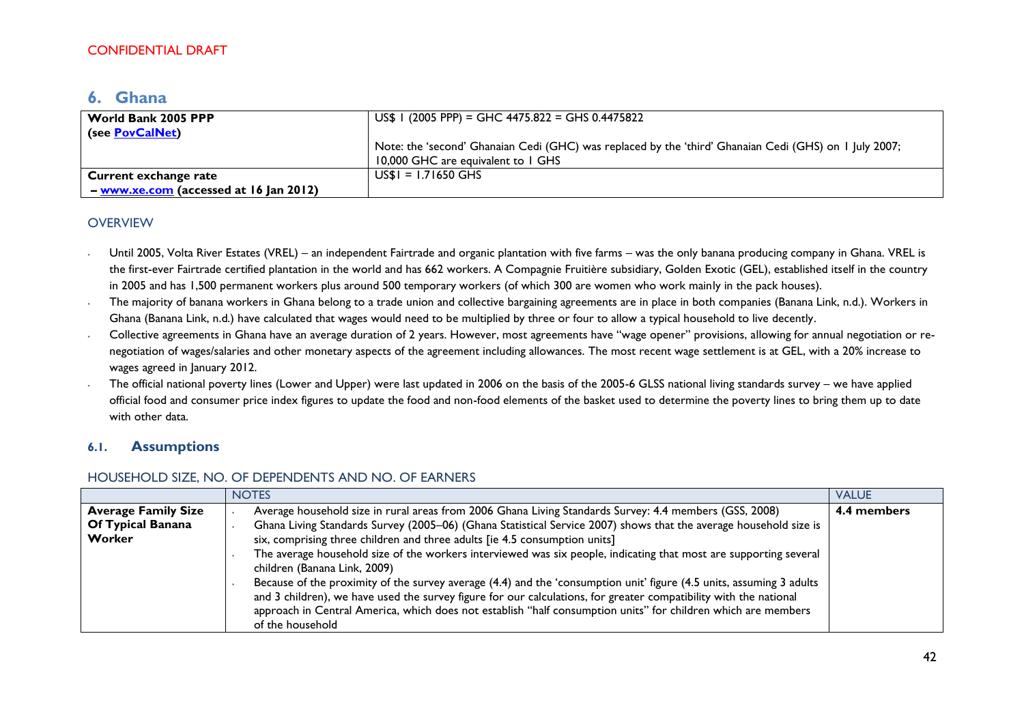# <span id="page-41-0"></span>**6. Ghana**

| World Bank 2005 PPP<br>(see PovCalNet)     | US\$ 1 (2005 PPP) = GHC 4475.822 = GHS 0.4475822                                                                                             |
|--------------------------------------------|----------------------------------------------------------------------------------------------------------------------------------------------|
|                                            | Note: the 'second' Ghanaian Cedi (GHC) was replaced by the 'third' Ghanaian Cedi (GHS) on 1 July 2007;<br>10,000 GHC are equivalent to 1 GHS |
| <b>Current exchange rate</b>               | $US$I = 1.71650$ GHS                                                                                                                         |
| $-$ www.xe.com (accessed at $16$ Jan 2012) |                                                                                                                                              |

#### **OVERVIEW**

- ∙ Until 2005, Volta River Estates (VREL) an independent Fairtrade and organic plantation with five farms was the only banana producing company in Ghana. VREL is the first-ever Fairtrade certified plantation in the world and has 662 workers. A Compagnie Fruitière subsidiary, Golden Exotic (GEL), established itself in the country in 2005 and has 1,500 permanent workers plus around 500 temporary workers (of which 300 are women who work mainly in the pack houses).
- ∙ The majority of banana workers in Ghana belong to a trade union and collective bargaining agreements are in place in both companies (Banana Link, n.d.). Workers in Ghana (Banana Link, n.d.) have calculated that wages would need to be multiplied by three or four to allow a typical household to live decently.
- ∙ Collective agreements in Ghana have an average duration of 2 years. However, most agreements have "wage opener" provisions, allowing for annual negotiation or renegotiation of wages/salaries and other monetary aspects of the agreement including allowances. The most recent wage settlement is at GEL, with a 20% increase to wages agreed in January 2012.
- ∙ The official national poverty lines (Lower and Upper) were last updated in 2006 on the basis of the 2005-6 GLSS national living standards survey we have applied official food and consumer price index figures to update the food and non-food elements of the basket used to determine the poverty lines to bring them up to date with other data.

### **6.1. Assumptions**

### HOUSEHOLD SIZE, NO. OF DEPENDENTS AND NO. OF EARNERS

|                            | <b>NOTES</b>                                                                                                                                                                                                                                                                                                                                                                   | <b>VALUE</b> |
|----------------------------|--------------------------------------------------------------------------------------------------------------------------------------------------------------------------------------------------------------------------------------------------------------------------------------------------------------------------------------------------------------------------------|--------------|
| <b>Average Family Size</b> | Average household size in rural areas from 2006 Ghana Living Standards Survey: 4.4 members (GSS, 2008)                                                                                                                                                                                                                                                                         | 4.4 members  |
| Of Typical Banana          | Ghana Living Standards Survey (2005-06) (Ghana Statistical Service 2007) shows that the average household size is                                                                                                                                                                                                                                                              |              |
| Worker                     | six, comprising three children and three adults [ie 4.5 consumption units]                                                                                                                                                                                                                                                                                                     |              |
|                            | The average household size of the workers interviewed was six people, indicating that most are supporting several<br>children (Banana Link, 2009)                                                                                                                                                                                                                              |              |
|                            | Because of the proximity of the survey average (4.4) and the 'consumption unit' figure (4.5 units, assuming 3 adults<br>and 3 children), we have used the survey figure for our calculations, for greater compatibility with the national<br>approach in Central America, which does not establish "half consumption units" for children which are members<br>of the household |              |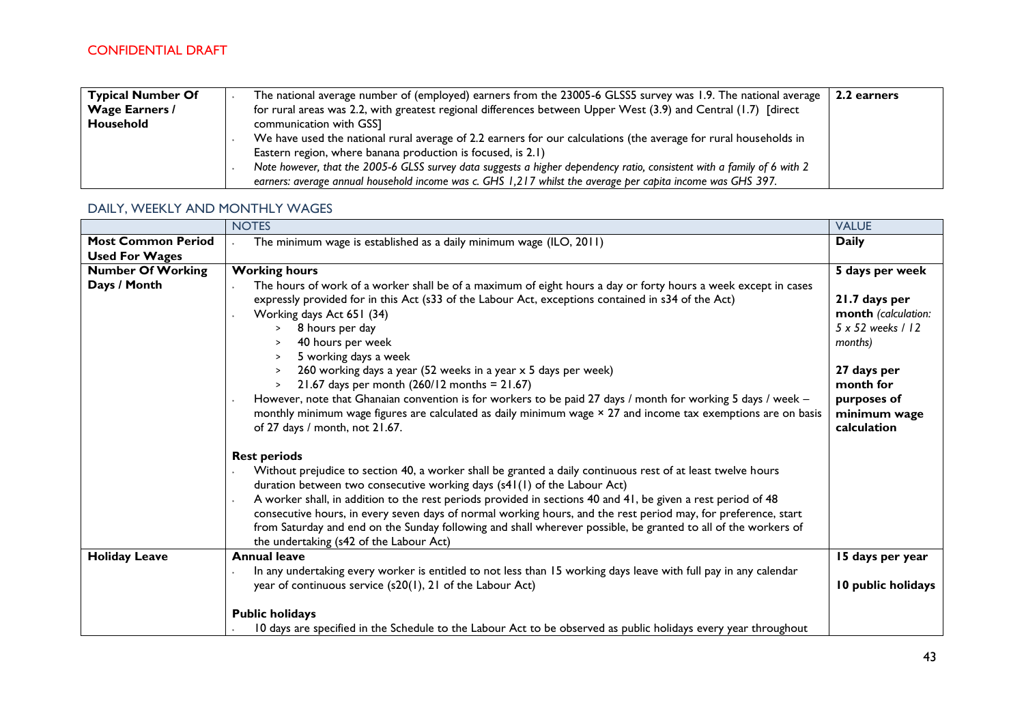| <b>Typical Number Of</b> | The national average number of (employed) earners from the 23005-6 GLSS5 survey was 1.9. The national average<br>2.2 earners |
|--------------------------|------------------------------------------------------------------------------------------------------------------------------|
| <b>Wage Earners /</b>    | for rural areas was 2.2, with greatest regional differences between Upper West (3.9) and Central (1.7) [direct               |
| Household                | communication with GSS]                                                                                                      |
|                          | We have used the national rural average of 2.2 earners for our calculations (the average for rural households in             |
|                          | Eastern region, where banana production is focused, is 2.1)                                                                  |
|                          | Note however, that the 2005-6 GLSS survey data suggests a higher dependency ratio, consistent with a family of 6 with 2      |
|                          | earners: average annual household income was c. GHS 1,217 whilst the average per capita income was GHS 397.                  |

# DAILY, WEEKLY AND MONTHLY WAGES

|                           | <b>NOTES</b>                                                                                                                                                                                                                                                                                                                                                                                                                                                                                                                                                                                                                                                                                                                                                | <b>VALUE</b>                                                                                                                                   |
|---------------------------|-------------------------------------------------------------------------------------------------------------------------------------------------------------------------------------------------------------------------------------------------------------------------------------------------------------------------------------------------------------------------------------------------------------------------------------------------------------------------------------------------------------------------------------------------------------------------------------------------------------------------------------------------------------------------------------------------------------------------------------------------------------|------------------------------------------------------------------------------------------------------------------------------------------------|
| <b>Most Common Period</b> | The minimum wage is established as a daily minimum wage (ILO, 2011)                                                                                                                                                                                                                                                                                                                                                                                                                                                                                                                                                                                                                                                                                         | <b>Daily</b>                                                                                                                                   |
| <b>Used For Wages</b>     |                                                                                                                                                                                                                                                                                                                                                                                                                                                                                                                                                                                                                                                                                                                                                             |                                                                                                                                                |
| <b>Number Of Working</b>  | <b>Working hours</b>                                                                                                                                                                                                                                                                                                                                                                                                                                                                                                                                                                                                                                                                                                                                        | 5 days per week                                                                                                                                |
| Days / Month              | The hours of work of a worker shall be of a maximum of eight hours a day or forty hours a week except in cases<br>expressly provided for in this Act (s33 of the Labour Act, exceptions contained in s34 of the Act)<br>Working days Act 651 (34)<br>8 hours per day<br>$\geq$<br>40 hours per week<br>$\geq$<br>5 working days a week<br>$\geq$<br>260 working days a year (52 weeks in a year $x$ 5 days per week)<br>21.67 days per month $(260/12 \text{ months} = 21.67)$<br>$\geq$<br>However, note that Ghanaian convention is for workers to be paid 27 days / month for working 5 days / week -<br>monthly minimum wage figures are calculated as daily minimum wage × 27 and income tax exemptions are on basis<br>of 27 days / month, not 21.67. | 21.7 days per<br>month (calculation:<br>5 x 52 weeks / 12<br>months)<br>27 days per<br>month for<br>purposes of<br>minimum wage<br>calculation |
|                           | <b>Rest periods</b><br>Without prejudice to section 40, a worker shall be granted a daily continuous rest of at least twelve hours<br>duration between two consecutive working days (s41(1) of the Labour Act)<br>A worker shall, in addition to the rest periods provided in sections 40 and 41, be given a rest period of 48<br>consecutive hours, in every seven days of normal working hours, and the rest period may, for preference, start<br>from Saturday and end on the Sunday following and shall wherever possible, be granted to all of the workers of<br>the undertaking (s42 of the Labour Act)                                                                                                                                               |                                                                                                                                                |
| <b>Holiday Leave</b>      | <b>Annual leave</b>                                                                                                                                                                                                                                                                                                                                                                                                                                                                                                                                                                                                                                                                                                                                         | 15 days per year                                                                                                                               |
|                           | In any undertaking every worker is entitled to not less than 15 working days leave with full pay in any calendar<br>year of continuous service (s20(1), 21 of the Labour Act)                                                                                                                                                                                                                                                                                                                                                                                                                                                                                                                                                                               | 10 public holidays                                                                                                                             |
|                           | <b>Public holidays</b><br>10 days are specified in the Schedule to the Labour Act to be observed as public holidays every year throughout                                                                                                                                                                                                                                                                                                                                                                                                                                                                                                                                                                                                                   |                                                                                                                                                |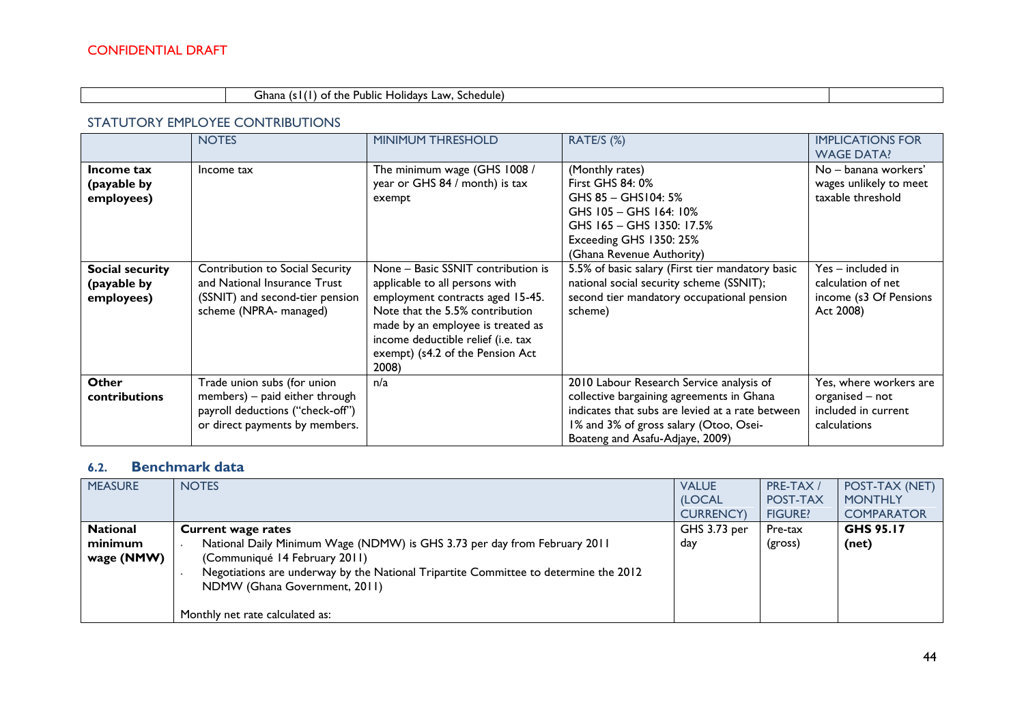### Ghana (s1(1) of the Public Holidays Law, Schedule)

#### STATUTORY EMPLOYEE CONTRIBUTIONS

|                                              | <b>NOTES</b>                                                                                                                        | <b>MINIMUM THRESHOLD</b>                                                                                                                                                                                                                                            | RATE/S (%)                                                                                                                                                                                                             | <b>IMPLICATIONS FOR</b><br><b>WAGE DATA?</b>                                     |
|----------------------------------------------|-------------------------------------------------------------------------------------------------------------------------------------|---------------------------------------------------------------------------------------------------------------------------------------------------------------------------------------------------------------------------------------------------------------------|------------------------------------------------------------------------------------------------------------------------------------------------------------------------------------------------------------------------|----------------------------------------------------------------------------------|
| Income tax<br>(payable by<br>employees)      | Income tax                                                                                                                          | The minimum wage (GHS 1008 /<br>year or GHS 84 / month) is tax<br>exempt                                                                                                                                                                                            | (Monthly rates)<br>First GHS 84: 0%<br>GHS $85 -$ GHS $104:5%$<br>GHS 105 - GHS 164: 10%<br>GHS 165 - GHS 1350: 17.5%<br>Exceeding GHS 1350: 25%<br>(Ghana Revenue Authority)                                          | No – banana workers'<br>wages unlikely to meet<br>taxable threshold              |
| Social security<br>(payable by<br>employees) | Contribution to Social Security<br>and National Insurance Trust<br>(SSNIT) and second-tier pension<br>scheme (NPRA- managed)        | None - Basic SSNIT contribution is<br>applicable to all persons with<br>employment contracts aged 15-45.<br>Note that the 5.5% contribution<br>made by an employee is treated as<br>income deductible relief (i.e. tax<br>exempt) (s4.2 of the Pension Act<br>2008) | 5.5% of basic salary (First tier mandatory basic<br>national social security scheme (SSNIT);<br>second tier mandatory occupational pension<br>scheme)                                                                  | Yes – included in<br>calculation of net<br>income (s3 Of Pensions<br>Act 2008)   |
| <b>Other</b><br>contributions                | Trade union subs (for union<br>members) - paid either through<br>payroll deductions ("check-off")<br>or direct payments by members. | n/a                                                                                                                                                                                                                                                                 | 2010 Labour Research Service analysis of<br>collective bargaining agreements in Ghana<br>indicates that subs are levied at a rate between<br>1% and 3% of gross salary (Otoo, Osei-<br>Boateng and Asafu-Adjaye, 2009) | Yes, where workers are<br>organised - not<br>included in current<br>calculations |

# **6.2. Benchmark data**

| <b>MEASURE</b>  | <b>NOTES</b>                                                                         | <b>VALUE</b>    | PRE-TAX/       | POST-TAX (NET)    |
|-----------------|--------------------------------------------------------------------------------------|-----------------|----------------|-------------------|
|                 |                                                                                      | (LOCAL          | POST-TAX       | <b>MONTHLY</b>    |
|                 |                                                                                      | <b>CURRENCY</b> | <b>FIGURE?</b> | <b>COMPARATOR</b> |
| <b>National</b> | <b>Current wage rates</b>                                                            | GHS $3.73$ per  | Pre-tax        | <b>GHS 95.17</b>  |
| minimum         | National Daily Minimum Wage (NDMW) is GHS 3.73 per day from February 2011            | day             | (gross)        | (net)             |
| wage (NMW)      | (Communiqué 14 February 2011)                                                        |                 |                |                   |
|                 | Negotiations are underway by the National Tripartite Committee to determine the 2012 |                 |                |                   |
|                 | NDMW (Ghana Government, 2011)                                                        |                 |                |                   |
|                 |                                                                                      |                 |                |                   |
|                 | Monthly net rate calculated as:                                                      |                 |                |                   |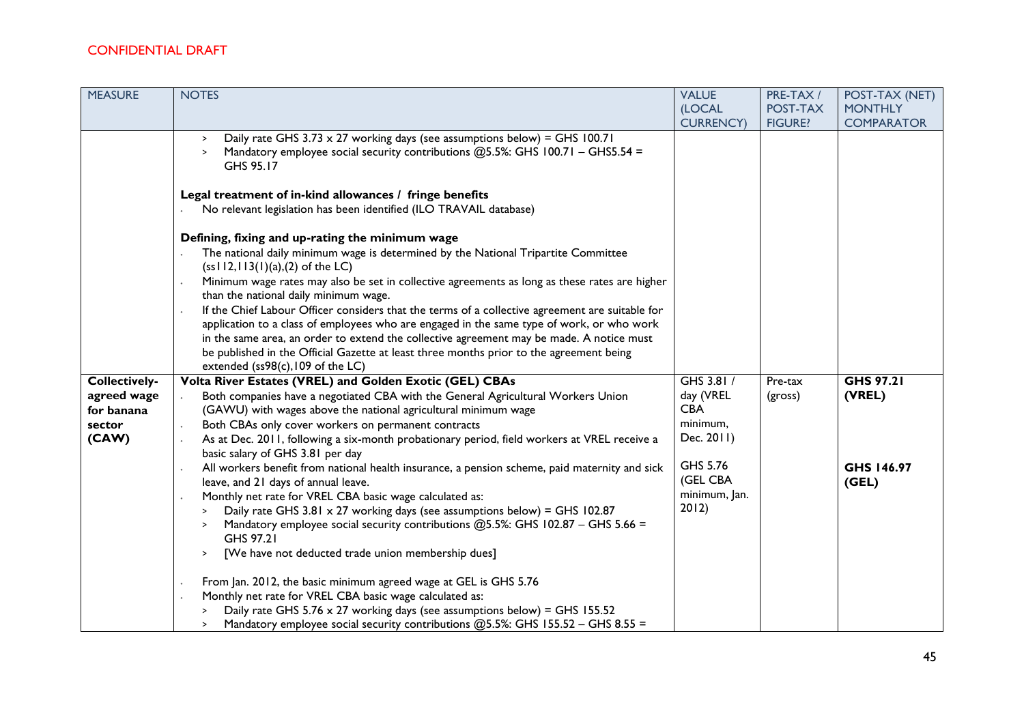| <b>MEASURE</b>       | <b>NOTES</b>                                                                                                                                                                                                    | <b>VALUE</b>      | PRE-TAX/       | POST-TAX (NET)    |
|----------------------|-----------------------------------------------------------------------------------------------------------------------------------------------------------------------------------------------------------------|-------------------|----------------|-------------------|
|                      |                                                                                                                                                                                                                 | (LOCAL            | POST-TAX       | <b>MONTHLY</b>    |
|                      |                                                                                                                                                                                                                 | <b>CURRENCY</b> ) | <b>FIGURE?</b> | <b>COMPARATOR</b> |
|                      | Daily rate GHS 3.73 $\times$ 27 working days (see assumptions below) = GHS 100.71<br>$\rightarrow$<br>Mandatory employee social security contributions $@5.5\%$ : GHS 100.71 - GHS5.54 =<br>$\geq$<br>GHS 95.17 |                   |                |                   |
|                      | Legal treatment of in-kind allowances / fringe benefits                                                                                                                                                         |                   |                |                   |
|                      | No relevant legislation has been identified (ILO TRAVAIL database)                                                                                                                                              |                   |                |                   |
|                      | Defining, fixing and up-rating the minimum wage                                                                                                                                                                 |                   |                |                   |
|                      | The national daily minimum wage is determined by the National Tripartite Committee<br>$(ss112,113(1)(a),(2)$ of the LC)                                                                                         |                   |                |                   |
|                      | Minimum wage rates may also be set in collective agreements as long as these rates are higher<br>than the national daily minimum wage.                                                                          |                   |                |                   |
|                      | If the Chief Labour Officer considers that the terms of a collective agreement are suitable for                                                                                                                 |                   |                |                   |
|                      | application to a class of employees who are engaged in the same type of work, or who work                                                                                                                       |                   |                |                   |
|                      | in the same area, an order to extend the collective agreement may be made. A notice must                                                                                                                        |                   |                |                   |
|                      | be published in the Official Gazette at least three months prior to the agreement being                                                                                                                         |                   |                |                   |
|                      | extended (ss98(c), 109 of the LC)                                                                                                                                                                               |                   |                |                   |
| <b>Collectively-</b> | Volta River Estates (VREL) and Golden Exotic (GEL) CBAs                                                                                                                                                         | GHS 3.81 /        | Pre-tax        | <b>GHS 97.21</b>  |
| agreed wage          | Both companies have a negotiated CBA with the General Agricultural Workers Union                                                                                                                                | day (VREL         | (gross)        | (VREL)            |
| for banana           | (GAWU) with wages above the national agricultural minimum wage                                                                                                                                                  | <b>CBA</b>        |                |                   |
| sector               | Both CBAs only cover workers on permanent contracts                                                                                                                                                             | minimum,          |                |                   |
| (CAW)                | As at Dec. 2011, following a six-month probationary period, field workers at VREL receive a<br>basic salary of GHS 3.81 per day                                                                                 | Dec. 2011)        |                |                   |
|                      | All workers benefit from national health insurance, a pension scheme, paid maternity and sick                                                                                                                   | GHS 5.76          |                | GHS 146.97        |
|                      | leave, and 21 days of annual leave.                                                                                                                                                                             | (GEL CBA          |                | (GEL)             |
|                      | Monthly net rate for VREL CBA basic wage calculated as:                                                                                                                                                         | minimum, Jan.     |                |                   |
|                      | Daily rate GHS 3.81 $\times$ 27 working days (see assumptions below) = GHS 102.87                                                                                                                               | 2012)             |                |                   |
|                      | Mandatory employee social security contributions @5.5%: GHS 102.87 - GHS 5.66 =<br>GHS 97.21                                                                                                                    |                   |                |                   |
|                      | [We have not deducted trade union membership dues]<br>$\,>\,$                                                                                                                                                   |                   |                |                   |
|                      | From Jan. 2012, the basic minimum agreed wage at GEL is GHS 5.76                                                                                                                                                |                   |                |                   |
|                      | Monthly net rate for VREL CBA basic wage calculated as:                                                                                                                                                         |                   |                |                   |
|                      | Daily rate GHS 5.76 $\times$ 27 working days (see assumptions below) = GHS 155.52                                                                                                                               |                   |                |                   |
|                      | Mandatory employee social security contributions @5.5%: GHS 155.52 - GHS 8.55 =<br>>                                                                                                                            |                   |                |                   |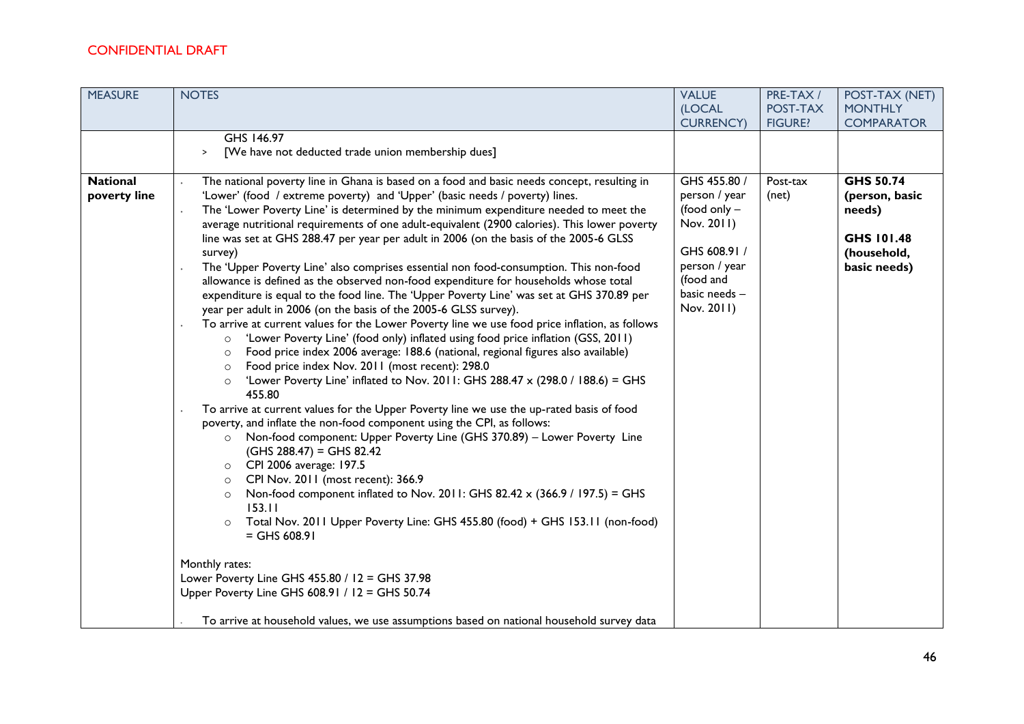| <b>MEASURE</b>                  | <b>NOTES</b>                                                                                                                                                                                                                                                                                                                                                                                                                                                                                                                                                                                                                                                                                                                                                                                                                                                                                                                                                                                                                                                                                                                                                                                                                                                                                                                                                                                                                                                                                                                                                                                                                                                                                                                                                                                                                                                                                                                                                                                                                                                                                    | <b>VALUE</b>                                                                                                                                 | PRE-TAX/          | POST-TAX (NET)                                                                            |
|---------------------------------|-------------------------------------------------------------------------------------------------------------------------------------------------------------------------------------------------------------------------------------------------------------------------------------------------------------------------------------------------------------------------------------------------------------------------------------------------------------------------------------------------------------------------------------------------------------------------------------------------------------------------------------------------------------------------------------------------------------------------------------------------------------------------------------------------------------------------------------------------------------------------------------------------------------------------------------------------------------------------------------------------------------------------------------------------------------------------------------------------------------------------------------------------------------------------------------------------------------------------------------------------------------------------------------------------------------------------------------------------------------------------------------------------------------------------------------------------------------------------------------------------------------------------------------------------------------------------------------------------------------------------------------------------------------------------------------------------------------------------------------------------------------------------------------------------------------------------------------------------------------------------------------------------------------------------------------------------------------------------------------------------------------------------------------------------------------------------------------------------|----------------------------------------------------------------------------------------------------------------------------------------------|-------------------|-------------------------------------------------------------------------------------------|
|                                 |                                                                                                                                                                                                                                                                                                                                                                                                                                                                                                                                                                                                                                                                                                                                                                                                                                                                                                                                                                                                                                                                                                                                                                                                                                                                                                                                                                                                                                                                                                                                                                                                                                                                                                                                                                                                                                                                                                                                                                                                                                                                                                 | (LOCAL                                                                                                                                       | POST-TAX          | <b>MONTHLY</b>                                                                            |
|                                 |                                                                                                                                                                                                                                                                                                                                                                                                                                                                                                                                                                                                                                                                                                                                                                                                                                                                                                                                                                                                                                                                                                                                                                                                                                                                                                                                                                                                                                                                                                                                                                                                                                                                                                                                                                                                                                                                                                                                                                                                                                                                                                 | <b>CURRENCY</b> )                                                                                                                            | <b>FIGURE?</b>    | <b>COMPARATOR</b>                                                                         |
|                                 | GHS 146.97<br>[We have not deducted trade union membership dues]<br>$\,$                                                                                                                                                                                                                                                                                                                                                                                                                                                                                                                                                                                                                                                                                                                                                                                                                                                                                                                                                                                                                                                                                                                                                                                                                                                                                                                                                                                                                                                                                                                                                                                                                                                                                                                                                                                                                                                                                                                                                                                                                        |                                                                                                                                              |                   |                                                                                           |
| <b>National</b><br>poverty line | The national poverty line in Ghana is based on a food and basic needs concept, resulting in<br>'Lower' (food / extreme poverty) and 'Upper' (basic needs / poverty) lines.<br>The 'Lower Poverty Line' is determined by the minimum expenditure needed to meet the<br>average nutritional requirements of one adult-equivalent (2900 calories). This lower poverty<br>line was set at GHS 288.47 per year per adult in 2006 (on the basis of the 2005-6 GLSS<br>survey)<br>The 'Upper Poverty Line' also comprises essential non food-consumption. This non-food<br>allowance is defined as the observed non-food expenditure for households whose total<br>expenditure is equal to the food line. The 'Upper Poverty Line' was set at GHS 370.89 per<br>year per adult in 2006 (on the basis of the 2005-6 GLSS survey).<br>To arrive at current values for the Lower Poverty line we use food price inflation, as follows<br>'Lower Poverty Line' (food only) inflated using food price inflation (GSS, 2011)<br>$\circ$<br>Food price index 2006 average: 188.6 (national, regional figures also available)<br>$\circ$<br>Food price index Nov. 2011 (most recent): 298.0<br>$\circ$<br>'Lower Poverty Line' inflated to Nov. 2011: GHS 288.47 x (298.0 / 188.6) = GHS<br>455.80<br>To arrive at current values for the Upper Poverty line we use the up-rated basis of food<br>poverty, and inflate the non-food component using the CPI, as follows:<br>Non-food component: Upper Poverty Line (GHS 370.89) - Lower Poverty Line<br>$\circ$<br>$(GHS 288.47) = GHS 82.42$<br>CPI 2006 average: 197.5<br>$\circ$<br>CPI Nov. 2011 (most recent): 366.9<br>$\circ$<br>Non-food component inflated to Nov. 2011: GHS 82.42 x (366.9 / 197.5) = GHS<br>$\circ$<br>153.11<br>Total Nov. 2011 Upper Poverty Line: GHS 455.80 (food) + GHS 153.11 (non-food)<br>$=$ GHS 608.91<br>Monthly rates:<br>Lower Poverty Line GHS 455.80 / 12 = GHS 37.98<br>Upper Poverty Line GHS 608.91 / 12 = GHS 50.74<br>To arrive at household values, we use assumptions based on national household survey data | GHS 455.80 /<br>person / year<br>(food only $-$<br>Nov. 2011)<br>GHS 608.91 /<br>person / year<br>(food and<br>basic needs $-$<br>Nov. 2011) | Post-tax<br>(net) | <b>GHS 50.74</b><br>(person, basic<br>needs)<br>GHS 101.48<br>(household,<br>basic needs) |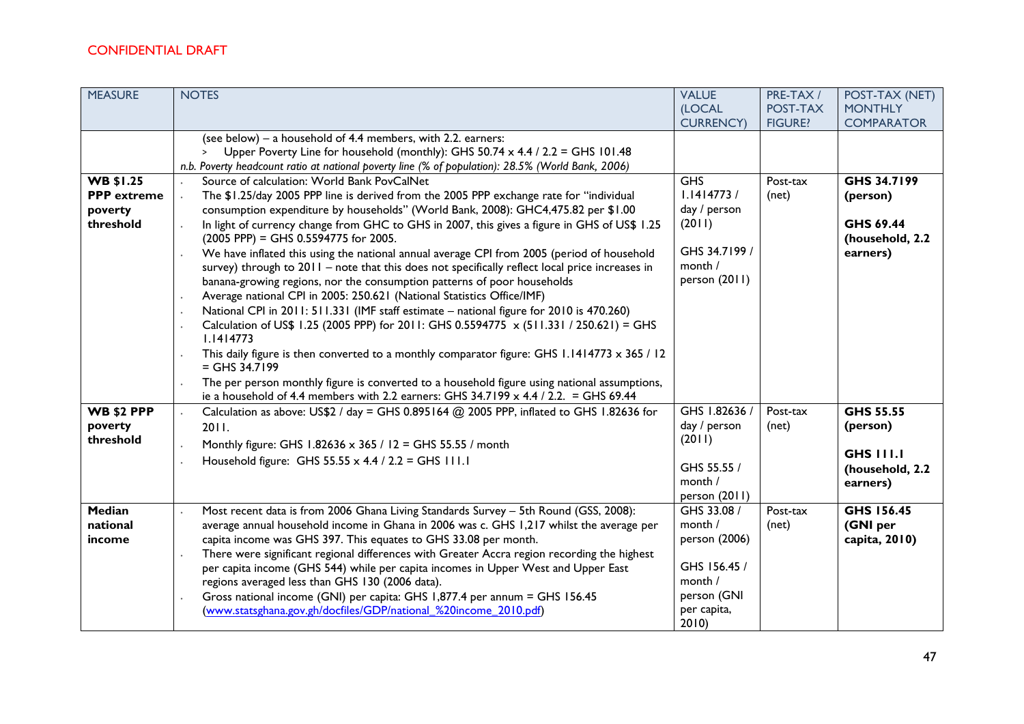| <b>MEASURE</b>                      | <b>NOTES</b>                                                                                                                                                                                                                                                                                                                                                                                                                                                                                                                                                                                                                                                                                                                                                                                                                                                                    | <b>VALUE</b>                                            | PRE-TAX/                   | POST-TAX (NET)                          |
|-------------------------------------|---------------------------------------------------------------------------------------------------------------------------------------------------------------------------------------------------------------------------------------------------------------------------------------------------------------------------------------------------------------------------------------------------------------------------------------------------------------------------------------------------------------------------------------------------------------------------------------------------------------------------------------------------------------------------------------------------------------------------------------------------------------------------------------------------------------------------------------------------------------------------------|---------------------------------------------------------|----------------------------|-----------------------------------------|
|                                     |                                                                                                                                                                                                                                                                                                                                                                                                                                                                                                                                                                                                                                                                                                                                                                                                                                                                                 | (LOCAL<br><b>CURRENCY</b> )                             | POST-TAX<br><b>FIGURE?</b> | <b>MONTHLY</b><br><b>COMPARATOR</b>     |
|                                     | (see below) – a household of $4.4$ members, with 2.2. earners:                                                                                                                                                                                                                                                                                                                                                                                                                                                                                                                                                                                                                                                                                                                                                                                                                  |                                                         |                            |                                         |
|                                     | Upper Poverty Line for household (monthly): GHS 50.74 x 4.4 / 2.2 = GHS 101.48<br>$\geq$                                                                                                                                                                                                                                                                                                                                                                                                                                                                                                                                                                                                                                                                                                                                                                                        |                                                         |                            |                                         |
|                                     | n.b. Poverty headcount ratio at national poverty line (% of population): 28.5% (World Bank, 2006)                                                                                                                                                                                                                                                                                                                                                                                                                                                                                                                                                                                                                                                                                                                                                                               |                                                         |                            |                                         |
| <b>WB \$1.25</b>                    | Source of calculation: World Bank PovCalNet                                                                                                                                                                                                                                                                                                                                                                                                                                                                                                                                                                                                                                                                                                                                                                                                                                     | <b>GHS</b>                                              | Post-tax                   | GHS 34.7199                             |
| <b>PPP</b> extreme                  | The \$1.25/day 2005 PPP line is derived from the 2005 PPP exchange rate for "individual                                                                                                                                                                                                                                                                                                                                                                                                                                                                                                                                                                                                                                                                                                                                                                                         | 1.1414773/                                              | (net)                      | (person)                                |
| poverty                             | consumption expenditure by households" (World Bank, 2008): GHC4,475.82 per \$1.00                                                                                                                                                                                                                                                                                                                                                                                                                                                                                                                                                                                                                                                                                                                                                                                               | day / person                                            |                            |                                         |
| threshold                           | In light of currency change from GHC to GHS in 2007, this gives a figure in GHS of US\$ 1.25<br>(2005 PPP) = GHS 0.5594775 for 2005.                                                                                                                                                                                                                                                                                                                                                                                                                                                                                                                                                                                                                                                                                                                                            | (2011)                                                  |                            | GHS 69.44<br>(household, 2.2            |
|                                     | We have inflated this using the national annual average CPI from 2005 (period of household<br>survey) through to 2011 - note that this does not specifically reflect local price increases in<br>banana-growing regions, nor the consumption patterns of poor households<br>Average national CPI in 2005: 250.621 (National Statistics Office/IMF)<br>National CPI in 2011: 511.331 (IMF staff estimate – national figure for 2010 is 470.260)<br>Calculation of US\$ 1.25 (2005 PPP) for 2011: GHS 0.5594775 $\times$ (511.331 / 250.621) = GHS<br>1.1414773<br>This daily figure is then converted to a monthly comparator figure: GHS 1.1414773 x 365 / 12<br>$=$ GHS 34.7199<br>The per person monthly figure is converted to a household figure using national assumptions,<br>ie a household of 4.4 members with 2.2 earners: GHS 34.7199 $\times$ 4.4 / 2.2. = GHS 69.44 | GHS 34.7199 /<br>month /<br>person (2011)               |                            | earners)                                |
| <b>WB \$2 PPP</b>                   | Calculation as above: US\$2 / day = GHS 0.895164 @ 2005 PPP, inflated to GHS 1.82636 for                                                                                                                                                                                                                                                                                                                                                                                                                                                                                                                                                                                                                                                                                                                                                                                        | GHS 1.82636 /                                           | Post-tax                   | GHS 55.55                               |
| poverty                             | 2011.                                                                                                                                                                                                                                                                                                                                                                                                                                                                                                                                                                                                                                                                                                                                                                                                                                                                           | day / person                                            | (net)                      | (person)                                |
| threshold                           | Monthly figure: GHS 1.82636 x 365 / 12 = GHS 55.55 / month                                                                                                                                                                                                                                                                                                                                                                                                                                                                                                                                                                                                                                                                                                                                                                                                                      | (2011)                                                  |                            |                                         |
|                                     | Household figure: GHS 55.55 x 4.4 / 2.2 = GHS 111.1                                                                                                                                                                                                                                                                                                                                                                                                                                                                                                                                                                                                                                                                                                                                                                                                                             | GHS 55.55 /                                             |                            | <b>GHS 111.1</b><br>(household, 2.2     |
|                                     |                                                                                                                                                                                                                                                                                                                                                                                                                                                                                                                                                                                                                                                                                                                                                                                                                                                                                 | month /                                                 |                            | earners)                                |
|                                     |                                                                                                                                                                                                                                                                                                                                                                                                                                                                                                                                                                                                                                                                                                                                                                                                                                                                                 | person (2011)                                           |                            |                                         |
| <b>Median</b><br>national<br>income | Most recent data is from 2006 Ghana Living Standards Survey - 5th Round (GSS, 2008):<br>average annual household income in Ghana in 2006 was c. GHS 1,217 whilst the average per<br>capita income was GHS 397. This equates to GHS 33.08 per month.<br>There were significant regional differences with Greater Accra region recording the highest<br>per capita income (GHS 544) while per capita incomes in Upper West and Upper East                                                                                                                                                                                                                                                                                                                                                                                                                                         | GHS 33.08 /<br>month /<br>person (2006)<br>GHS 156.45 / | Post-tax<br>(net)          | GHS 156.45<br>(GNI per<br>capita, 2010) |
|                                     | regions averaged less than GHS 130 (2006 data).<br>Gross national income (GNI) per capita: GHS 1,877.4 per annum = GHS 156.45<br>(www.statsghana.gov.gh/docfiles/GDP/national %20income 2010.pdf)                                                                                                                                                                                                                                                                                                                                                                                                                                                                                                                                                                                                                                                                               | month /<br>person (GNI<br>per capita,<br>2010           |                            |                                         |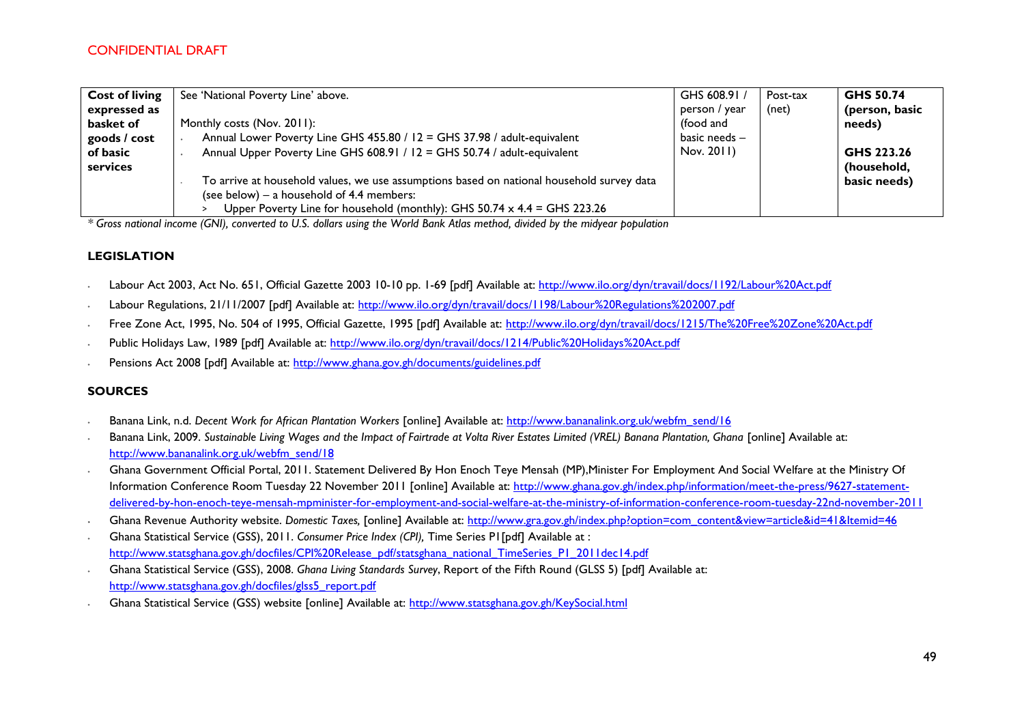| <b>Cost of living</b> | See 'National Poverty Line' above.                                                        | GHS 608.91 /    | Post-tax | GHS 50.74      |
|-----------------------|-------------------------------------------------------------------------------------------|-----------------|----------|----------------|
| expressed as          |                                                                                           | person / year   | (net)    | (person, basic |
| basket of             | Monthly costs (Nov. 2011):                                                                | (food and       |          | needs)         |
| goods / cost          | Annual Lower Poverty Line GHS 455.80 / 12 = GHS 37.98 / adult-equivalent                  | basic needs $-$ |          |                |
| of basic              | Annual Upper Poverty Line GHS 608.91 / 12 = GHS 50.74 / adult-equivalent                  | Nov. 2011)      |          | GHS 223.26     |
| services              |                                                                                           |                 |          | (household,    |
|                       | To arrive at household values, we use assumptions based on national household survey data |                 |          | basic needs)   |
|                       | (see below) $-$ a household of 4.4 members:                                               |                 |          |                |
|                       | Upper Poverty Line for household (monthly): GHS $50.74 \times 4.4 = G$ HS 223.26          |                 |          |                |

*\* Gross national income (GNI), converted to U.S. dollars using the World Bank Atlas method, divided by the midyear population*

#### **LEGISLATION**

- ∙ Labour Act 2003, Act No. 651, Official Gazette 2003 10-10 pp. 1-69 [pdf] Available at:<http://www.ilo.org/dyn/travail/docs/1192/Labour%20Act.pdf>
- ∙ Labour Regulations, 21/11/2007 [pdf] Available at:<http://www.ilo.org/dyn/travail/docs/1198/Labour%20Regulations%202007.pdf>
- ∙ Free Zone Act, 1995, No. 504 of 1995, Official Gazette, 1995 [pdf] Available at:<http://www.ilo.org/dyn/travail/docs/1215/The%20Free%20Zone%20Act.pdf>
- ∙ Public Holidays Law, 1989 [pdf] Available at:<http://www.ilo.org/dyn/travail/docs/1214/Public%20Holidays%20Act.pdf>
- Pensions Act 2008 [pdf] Available at:<http://www.ghana.gov.gh/documents/guidelines.pdf>

#### **SOURCES**

- ∙ Banana Link, n.d. *Decent Work for African Plantation Workers* [online] Available at: [http://www.bananalink.org.uk/webfm\\_send/16](http://www.bananalink.org.uk/webfm_send/16)
- ∙ Banana Link, 2009. *Sustainable Living Wages and the Impact of Fairtrade at Volta River Estates Limited (VREL) Banana Plantation, Ghana* [online] Available at: [http://www.bananalink.org.uk/webfm\\_send/18](http://www.bananalink.org.uk/webfm_send/18)
- ∙ Ghana Government Official Portal, 2011. Statement Delivered By Hon Enoch Teye Mensah (MP),Minister For Employment And Social Welfare at the Ministry Of Information Conference Room Tuesday 22 November 2011 [online] Available at: [http://www.ghana.gov.gh/index.php/information/meet-the-press/9627-statement](http://www.ghana.gov.gh/index.php/information/meet-the-press/9627-statement-delivered-by-hon-enoch-teye-mensah-mpminister-for-employment-and-social-welfare-at-the-ministry-of-information-conference-room-tuesday-22nd-november-2011)[delivered-by-hon-enoch-teye-mensah-mpminister-for-employment-and-social-welfare-at-the-ministry-of-information-conference-room-tuesday-22nd-november-2011](http://www.ghana.gov.gh/index.php/information/meet-the-press/9627-statement-delivered-by-hon-enoch-teye-mensah-mpminister-for-employment-and-social-welfare-at-the-ministry-of-information-conference-room-tuesday-22nd-november-2011)
- ∙ Ghana Revenue Authority website. *Domestic Taxes,* [online] Available at: [http://www.gra.gov.gh/index.php?option=com\\_content&view=article&id=41&Itemid=46](http://www.gra.gov.gh/index.php?option=com_content&view=article&id=41&Itemid=46)
- ∙ Ghana Statistical Service (GSS), 2011. *Consumer Price Index (CPI),* Time Series P1[pdf] Available at : [http://www.statsghana.gov.gh/docfiles/CPI%20Release\\_pdf/statsghana\\_national\\_TimeSeries\\_P1\\_2011dec14.pdf](http://www.statsghana.gov.gh/docfiles/CPI%20Release_pdf/statsghana_national_TimeSeries_P1_2011dec14.pdf)
- ∙ Ghana Statistical Service (GSS), 2008. *Ghana Living Standards Survey*, Report of the Fifth Round (GLSS 5) [pdf] Available at: [http://www.statsghana.gov.gh/docfiles/glss5\\_report.pdf](http://www.statsghana.gov.gh/docfiles/glss5_report.pdf)
- ∙ Ghana Statistical Service (GSS) website [online] Available at:<http://www.statsghana.gov.gh/KeySocial.html>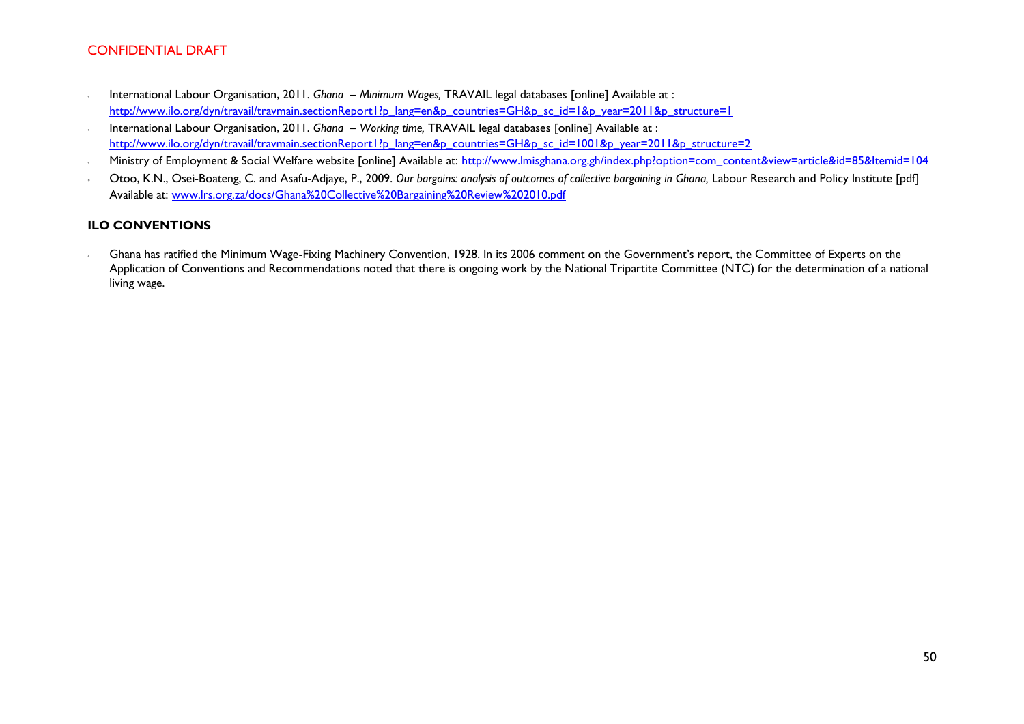- ∙ International Labour Organisation, 2011. *Ghana – Minimum Wages,* TRAVAIL legal databases [online] Available at : [http://www.ilo.org/dyn/travail/travmain.sectionReport1?p\\_lang=en&p\\_countries=GH&p\\_sc\\_id=1&p\\_year=2011&p\\_structure=1](http://www.ilo.org/dyn/travail/travmain.sectionReport1?p_lang=en&p_countries=GH&p_sc_id=1&p_year=2011&p_structure=1)
- ∙ International Labour Organisation, 2011. *Ghana – Working time,* TRAVAIL legal databases [online] Available at : [http://www.ilo.org/dyn/travail/travmain.sectionReport1?p\\_lang=en&p\\_countries=GH&p\\_sc\\_id=1001&p\\_year=2011&p\\_structure=2](http://www.ilo.org/dyn/travail/travmain.sectionReport1?p_lang=en&p_countries=GH&p_sc_id=1001&p_year=2011&p_structure=2)
- Ministry of Employment & Social Welfare website [online] Available at: [http://www.lmisghana.org.gh/index.php?option=com\\_content&view=article&id=85&Itemid=104](http://www.lmisghana.org.gh/index.php?option=com_content&view=article&id=85&Itemid=104)
- Otoo, K.N., Osei-Boateng, C. and Asafu-Adjaye, P., 2009. Our bargains: analysis of outcomes of collective bargaining in Ghana, Labour Research and Policy Institute [pdf] Available at: [www.lrs.org.za/docs/Ghana%20Collective%20Bargaining%20Review%202010.pdf](http://www.lrs.org.za/docs/Ghana%20Collective%20Bargaining%20Review%202010.pdf)

#### **ILO CONVENTIONS**

∙ Ghana has ratified the Minimum Wage-Fixing Machinery Convention, 1928. In its 2006 comment on the Government's report, the Committee of Experts on the Application of Conventions and Recommendations noted that there is ongoing work by the National Tripartite Committee (NTC) for the determination of a national living wage.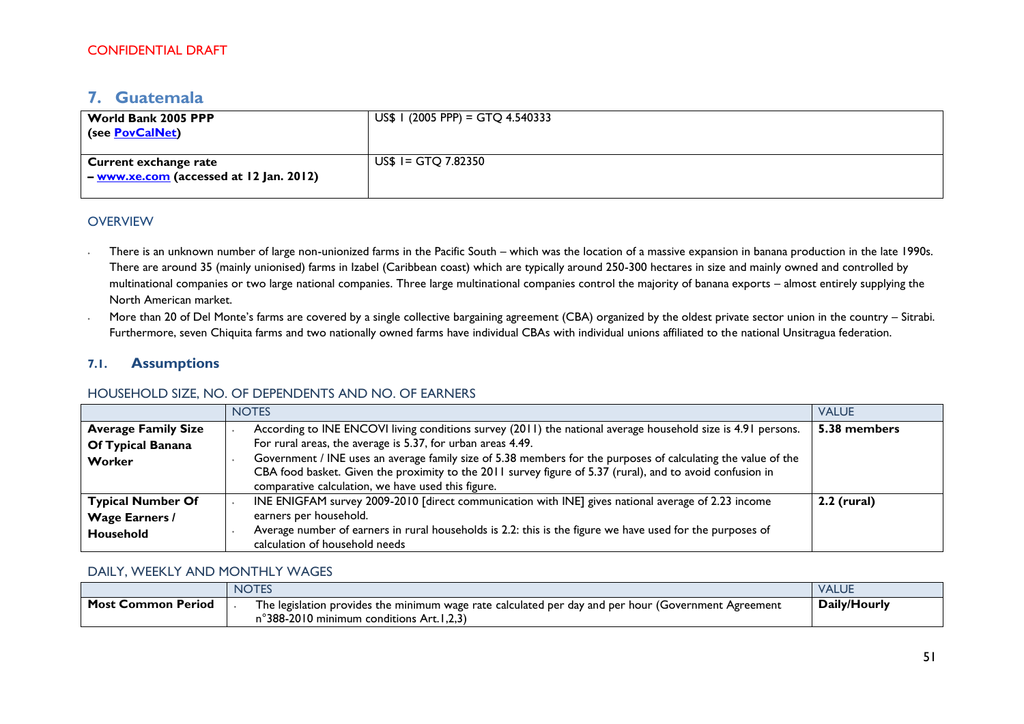# <span id="page-50-0"></span>**7. Guatemala**

| World Bank 2005 PPP<br>(see PovCalNet)                                     | $US$$ I (2005 PPP) = GTQ 4.540333 |
|----------------------------------------------------------------------------|-----------------------------------|
| <b>Current exchange rate</b><br>   – www.xe.com (accessed at 12 Jan. 2012) | $US$ I = GTQ 7.82350$             |

### **OVERVIEW**

- There is an unknown number of large non-unionized farms in the Pacific South which was the location of a massive expansion in banana production in the late 1990s. There are around 35 (mainly unionised) farms in Izabel (Caribbean coast) which are typically around 250-300 hectares in size and mainly owned and controlled by multinational companies or two large national companies. Three large multinational companies control the majority of banana exports – almost entirely supplying the North American market.
- ∙ More than 20 of Del Monte's farms are covered by a single collective bargaining agreement (CBA) organized by the oldest private sector union in the country Sitrabi. Furthermore, seven Chiquita farms and two nationally owned farms have individual CBAs with individual unions affiliated to the national Unsitragua federation.

### **7.1. Assumptions**

#### HOUSEHOLD SIZE, NO. OF DEPENDENTS AND NO. OF EARNERS

|                            | <b>NOTES</b>                                                                                                  | <b>VALUE</b>  |  |  |
|----------------------------|---------------------------------------------------------------------------------------------------------------|---------------|--|--|
| <b>Average Family Size</b> | According to INE ENCOVI living conditions survey (2011) the national average household size is 4.91 persons.  | 5.38 members  |  |  |
| Of Typical Banana          | For rural areas, the average is 5.37, for urban areas 4.49.                                                   |               |  |  |
| Worker                     | Government / INE uses an average family size of 5.38 members for the purposes of calculating the value of the |               |  |  |
|                            | CBA food basket. Given the proximity to the 2011 survey figure of 5.37 (rural), and to avoid confusion in     |               |  |  |
|                            | comparative calculation, we have used this figure.                                                            |               |  |  |
| <b>Typical Number Of</b>   | INE ENIGFAM survey 2009-2010 [direct communication with INE] gives national average of 2.23 income            | $2.2$ (rural) |  |  |
| <b>Wage Earners /</b>      | earners per household.                                                                                        |               |  |  |
| Household                  | Average number of earners in rural households is 2.2: this is the figure we have used for the purposes of     |               |  |  |
|                            | calculation of household needs                                                                                |               |  |  |

#### DAILY, WEEKLY AND MONTHLY WAGES

|                           | <b>NOTES</b>                                                                                                                                     | <b>VALUE</b> |
|---------------------------|--------------------------------------------------------------------------------------------------------------------------------------------------|--------------|
| <b>Most Common Period</b> | The legislation provides the minimum wage rate calculated per day and per hour (Government Agreement<br>n°388-2010 minimum conditions Art.1,2,3) | Daily/Hourly |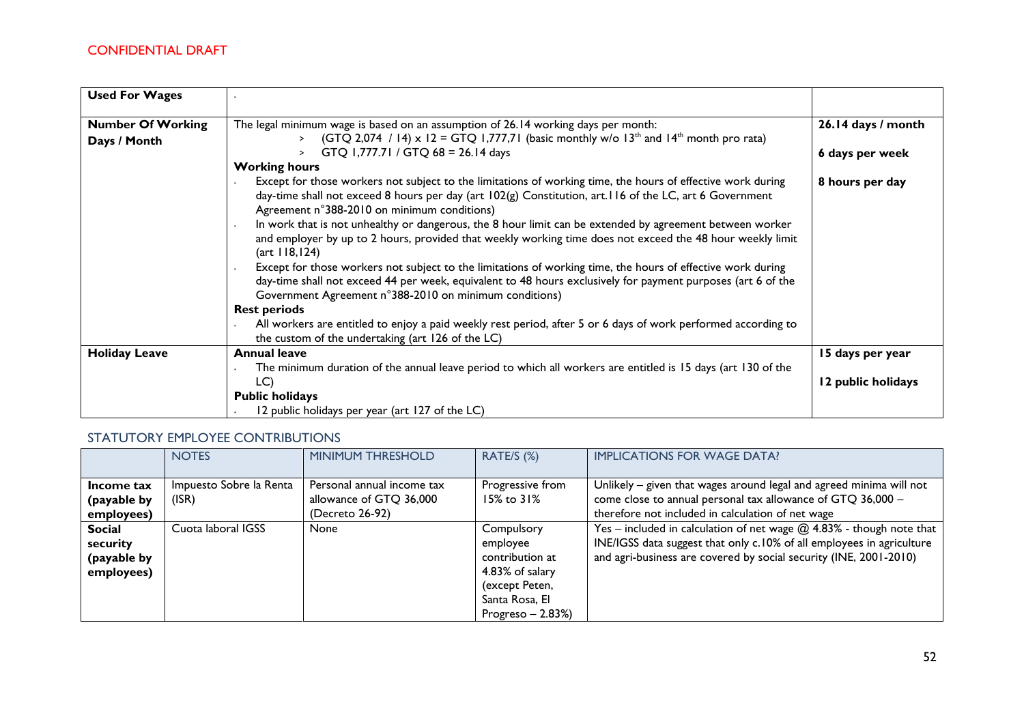| <b>Used For Wages</b>                    |                                                                                                                                                                                                                                                                                       |                    |
|------------------------------------------|---------------------------------------------------------------------------------------------------------------------------------------------------------------------------------------------------------------------------------------------------------------------------------------|--------------------|
| <b>Number Of Working</b><br>Days / Month | The legal minimum wage is based on an assumption of 26.14 working days per month:<br>(GTQ 2,074 / 14) x 12 = GTQ 1,777,71 (basic monthly w/o 13 <sup>th</sup> and 14 <sup>th</sup> month pro rata)<br>$\geq$                                                                          | 26.14 days / month |
|                                          | GTQ 1,777.71 / GTQ 68 = 26.14 days<br>$\geq$                                                                                                                                                                                                                                          | 6 days per week    |
|                                          | <b>Working hours</b>                                                                                                                                                                                                                                                                  |                    |
|                                          | Except for those workers not subject to the limitations of working time, the hours of effective work during<br>day-time shall not exceed 8 hours per day (art 102(g) Constitution, art.116 of the LC, art 6 Government<br>Agreement n°388-2010 on minimum conditions)                 | 8 hours per day    |
|                                          | In work that is not unhealthy or dangerous, the 8 hour limit can be extended by agreement between worker<br>and employer by up to 2 hours, provided that weekly working time does not exceed the 48 hour weekly limit<br>(art 118, 124)                                               |                    |
|                                          | Except for those workers not subject to the limitations of working time, the hours of effective work during<br>day-time shall not exceed 44 per week, equivalent to 48 hours exclusively for payment purposes (art 6 of the<br>Government Agreement n°388-2010 on minimum conditions) |                    |
|                                          | <b>Rest periods</b>                                                                                                                                                                                                                                                                   |                    |
|                                          | All workers are entitled to enjoy a paid weekly rest period, after 5 or 6 days of work performed according to<br>the custom of the undertaking (art 126 of the LC)                                                                                                                    |                    |
| <b>Holiday Leave</b>                     | <b>Annual leave</b>                                                                                                                                                                                                                                                                   | 15 days per year   |
|                                          | The minimum duration of the annual leave period to which all workers are entitled is 15 days (art 130 of the                                                                                                                                                                          |                    |
|                                          | LC                                                                                                                                                                                                                                                                                    | 12 public holidays |
|                                          | <b>Public holidays</b>                                                                                                                                                                                                                                                                |                    |
|                                          | 12 public holidays per year (art 127 of the LC)                                                                                                                                                                                                                                       |                    |

### STATUTORY EMPLOYEE CONTRIBUTIONS

|                                                        | <b>NOTES</b>                     | <b>MINIMUM THRESHOLD</b>                                                 | RATE/S (%)                                                                                                            | <b>IMPLICATIONS FOR WAGE DATA?</b>                                                                                                                                                                                   |
|--------------------------------------------------------|----------------------------------|--------------------------------------------------------------------------|-----------------------------------------------------------------------------------------------------------------------|----------------------------------------------------------------------------------------------------------------------------------------------------------------------------------------------------------------------|
| Income tax<br>(payable by<br>employees)                | Impuesto Sobre la Renta<br>(ISR) | Personal annual income tax<br>allowance of GTQ 36,000<br>(Decreto 26-92) | Progressive from<br>$15\%$ to $31\%$                                                                                  | Unlikely - given that wages around legal and agreed minima will not<br>come close to annual personal tax allowance of GTQ 36,000 -<br>therefore not included in calculation of net wage                              |
| <b>Social</b><br>security<br>(payable by<br>employees) | Cuota laboral IGSS               | None                                                                     | Compulsory<br>employee<br>contribution at<br>4.83% of salary<br>(except Peten,<br>Santa Rosa, El<br>Progreso $-2.83%$ | $Yes - included in calculation of net wage @ 4.83% - though note that$<br>INE/IGSS data suggest that only c.10% of all employees in agriculture<br>and agri-business are covered by social security (INE, 2001-2010) |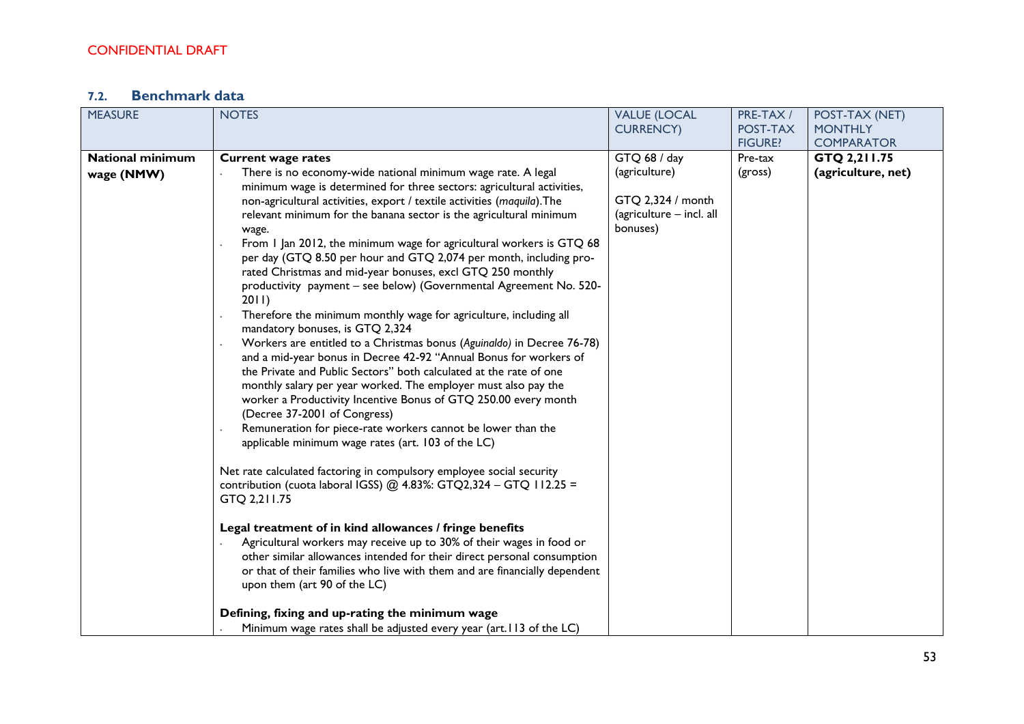# **7.2. Benchmark data**

| <b>MEASURE</b>          | <b>NOTES</b>                                                                                                                                                                                                                                                                                                                                                                                                                                                                                                                                                                                                                                                                                                                                                                                                                                                                                                                                                                                                            | <b>VALUE (LOCAL</b>                                                        | PRE-TAX /      | POST-TAX (NET)     |
|-------------------------|-------------------------------------------------------------------------------------------------------------------------------------------------------------------------------------------------------------------------------------------------------------------------------------------------------------------------------------------------------------------------------------------------------------------------------------------------------------------------------------------------------------------------------------------------------------------------------------------------------------------------------------------------------------------------------------------------------------------------------------------------------------------------------------------------------------------------------------------------------------------------------------------------------------------------------------------------------------------------------------------------------------------------|----------------------------------------------------------------------------|----------------|--------------------|
|                         |                                                                                                                                                                                                                                                                                                                                                                                                                                                                                                                                                                                                                                                                                                                                                                                                                                                                                                                                                                                                                         | <b>CURRENCY)</b>                                                           | POST-TAX       | <b>MONTHLY</b>     |
|                         |                                                                                                                                                                                                                                                                                                                                                                                                                                                                                                                                                                                                                                                                                                                                                                                                                                                                                                                                                                                                                         |                                                                            | <b>FIGURE?</b> | <b>COMPARATOR</b>  |
| <b>National minimum</b> |                                                                                                                                                                                                                                                                                                                                                                                                                                                                                                                                                                                                                                                                                                                                                                                                                                                                                                                                                                                                                         | GTQ 68 / day                                                               | Pre-tax        | GTQ 2,211.75       |
| wage (NMW)              | <b>Current wage rates</b><br>There is no economy-wide national minimum wage rate. A legal<br>minimum wage is determined for three sectors: agricultural activities,<br>non-agricultural activities, export / textile activities (maquila). The<br>relevant minimum for the banana sector is the agricultural minimum<br>wage.<br>From 1 Jan 2012, the minimum wage for agricultural workers is GTQ 68<br>per day (GTQ 8.50 per hour and GTQ 2,074 per month, including pro-<br>rated Christmas and mid-year bonuses, excl GTQ 250 monthly<br>productivity payment - see below) (Governmental Agreement No. 520-<br>2011)<br>Therefore the minimum monthly wage for agriculture, including all<br>mandatory bonuses, is GTQ 2,324<br>Workers are entitled to a Christmas bonus (Aguinaldo) in Decree 76-78)<br>and a mid-year bonus in Decree 42-92 "Annual Bonus for workers of<br>the Private and Public Sectors" both calculated at the rate of one<br>monthly salary per year worked. The employer must also pay the | (agriculture)<br>GTQ 2,324 / month<br>(agriculture - incl. all<br>bonuses) | (gross)        | (agriculture, net) |
|                         | worker a Productivity Incentive Bonus of GTQ 250.00 every month<br>(Decree 37-2001 of Congress)<br>Remuneration for piece-rate workers cannot be lower than the<br>applicable minimum wage rates (art. 103 of the LC)<br>Net rate calculated factoring in compulsory employee social security<br>contribution (cuota laboral IGSS) @ 4.83%: GTQ2,324 - GTQ 112.25 =<br>GTQ 2,211.75<br>Legal treatment of in kind allowances / fringe benefits<br>Agricultural workers may receive up to 30% of their wages in food or<br>other similar allowances intended for their direct personal consumption<br>or that of their families who live with them and are financially dependent<br>upon them (art 90 of the LC)<br>Defining, fixing and up-rating the minimum wage<br>Minimum wage rates shall be adjusted every year (art.113 of the LC)                                                                                                                                                                               |                                                                            |                |                    |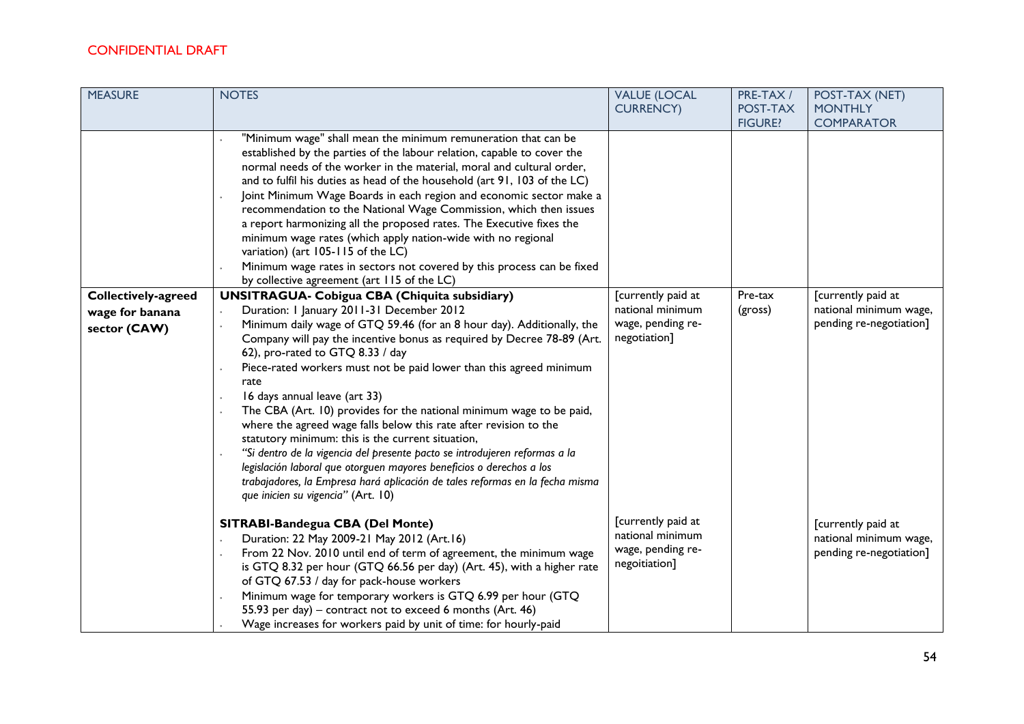| <b>MEASURE</b>             | <b>NOTES</b>                                                                                                                                                                                                                                                                                                                                                                                                                                                                                                                                                                                                                                                                                                                                                                       | <b>VALUE (LOCAL</b>                                                          | PRE-TAX /                  | POST-TAX (NET)                                                          |
|----------------------------|------------------------------------------------------------------------------------------------------------------------------------------------------------------------------------------------------------------------------------------------------------------------------------------------------------------------------------------------------------------------------------------------------------------------------------------------------------------------------------------------------------------------------------------------------------------------------------------------------------------------------------------------------------------------------------------------------------------------------------------------------------------------------------|------------------------------------------------------------------------------|----------------------------|-------------------------------------------------------------------------|
|                            |                                                                                                                                                                                                                                                                                                                                                                                                                                                                                                                                                                                                                                                                                                                                                                                    | <b>CURRENCY)</b>                                                             | POST-TAX<br><b>FIGURE?</b> | <b>MONTHLY</b><br><b>COMPARATOR</b>                                     |
|                            | "Minimum wage" shall mean the minimum remuneration that can be<br>established by the parties of the labour relation, capable to cover the<br>normal needs of the worker in the material, moral and cultural order,<br>and to fulfil his duties as head of the household (art 91, 103 of the LC)<br>Joint Minimum Wage Boards in each region and economic sector make a<br>recommendation to the National Wage Commission, which then issues<br>a report harmonizing all the proposed rates. The Executive fixes the<br>minimum wage rates (which apply nation-wide with no regional<br>variation) (art 105-115 of the LC)<br>Minimum wage rates in sectors not covered by this process can be fixed<br>by collective agreement (art 115 of the LC)                                 |                                                                              |                            |                                                                         |
| <b>Collectively-agreed</b> | <b>UNSITRAGUA- Cobigua CBA (Chiquita subsidiary)</b>                                                                                                                                                                                                                                                                                                                                                                                                                                                                                                                                                                                                                                                                                                                               | [currently paid at                                                           | Pre-tax                    | [currently paid at                                                      |
| wage for banana            | Duration: I January 2011-31 December 2012                                                                                                                                                                                                                                                                                                                                                                                                                                                                                                                                                                                                                                                                                                                                          | national minimum                                                             | (gross)                    | national minimum wage,                                                  |
| sector (CAW)               | Minimum daily wage of GTQ 59.46 (for an 8 hour day). Additionally, the<br>Company will pay the incentive bonus as required by Decree 78-89 (Art.<br>62), pro-rated to GTQ 8.33 / day<br>Piece-rated workers must not be paid lower than this agreed minimum<br>rate<br>16 days annual leave (art 33)<br>The CBA (Art. 10) provides for the national minimum wage to be paid,<br>where the agreed wage falls below this rate after revision to the<br>statutory minimum: this is the current situation,<br>"Si dentro de la vigencia del presente pacto se introdujeren reformas a la<br>legislación laboral que otorguen mayores beneficios o derechos a los<br>trabajadores, la Empresa hará aplicación de tales reformas en la fecha misma<br>que inicien su vigencia" (Art. 10) | wage, pending re-<br>negotiation]                                            |                            | pending re-negotiation]                                                 |
|                            | SITRABI-Bandegua CBA (Del Monte)<br>Duration: 22 May 2009-21 May 2012 (Art.16)<br>From 22 Nov. 2010 until end of term of agreement, the minimum wage<br>is GTQ 8.32 per hour (GTQ 66.56 per day) (Art. 45), with a higher rate<br>of GTQ 67.53 / day for pack-house workers<br>Minimum wage for temporary workers is GTQ 6.99 per hour (GTQ<br>55.93 per day) - contract not to exceed 6 months (Art. 46)<br>Wage increases for workers paid by unit of time: for hourly-paid                                                                                                                                                                                                                                                                                                      | [currently paid at<br>national minimum<br>wage, pending re-<br>negoitiation] |                            | [currently paid at<br>national minimum wage,<br>pending re-negotiation] |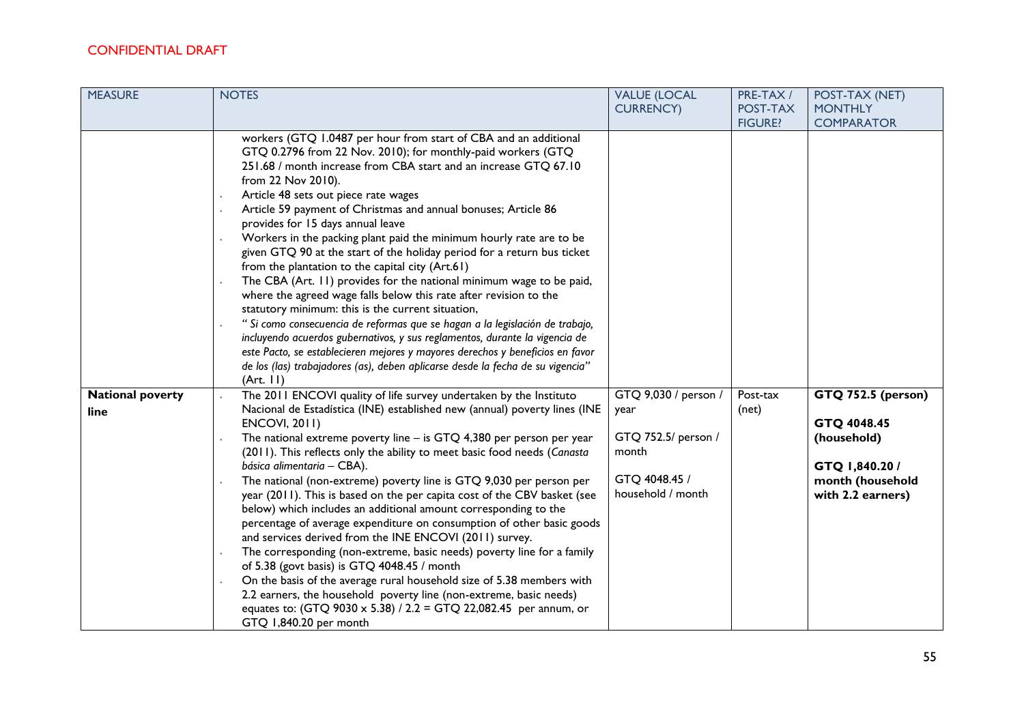| <b>MEASURE</b>                  | <b>NOTES</b>                                                                                                                                                                                                                                                                                                                                                                                                                                                                                                                                                                                                                                                                                                                                                                                                                                                                                                                                                                                                                                                                                                                    | <b>VALUE (LOCAL</b><br><b>CURRENCY)</b>                                                            | PRE-TAX/<br>POST-TAX | POST-TAX (NET)<br><b>MONTHLY</b>                                                                                   |
|---------------------------------|---------------------------------------------------------------------------------------------------------------------------------------------------------------------------------------------------------------------------------------------------------------------------------------------------------------------------------------------------------------------------------------------------------------------------------------------------------------------------------------------------------------------------------------------------------------------------------------------------------------------------------------------------------------------------------------------------------------------------------------------------------------------------------------------------------------------------------------------------------------------------------------------------------------------------------------------------------------------------------------------------------------------------------------------------------------------------------------------------------------------------------|----------------------------------------------------------------------------------------------------|----------------------|--------------------------------------------------------------------------------------------------------------------|
|                                 |                                                                                                                                                                                                                                                                                                                                                                                                                                                                                                                                                                                                                                                                                                                                                                                                                                                                                                                                                                                                                                                                                                                                 |                                                                                                    | <b>FIGURE?</b>       | <b>COMPARATOR</b>                                                                                                  |
|                                 | workers (GTQ 1.0487 per hour from start of CBA and an additional<br>GTQ 0.2796 from 22 Nov. 2010); for monthly-paid workers (GTQ<br>251.68 / month increase from CBA start and an increase GTQ 67.10<br>from 22 Nov 2010).<br>Article 48 sets out piece rate wages<br>Article 59 payment of Christmas and annual bonuses; Article 86<br>provides for 15 days annual leave<br>Workers in the packing plant paid the minimum hourly rate are to be<br>given GTQ 90 at the start of the holiday period for a return bus ticket<br>from the plantation to the capital city (Art.61)<br>The CBA (Art. 11) provides for the national minimum wage to be paid,<br>where the agreed wage falls below this rate after revision to the<br>statutory minimum: this is the current situation,<br>"Si como consecuencia de reformas que se hagan a la legislación de trabajo,<br>incluyendo acuerdos gubernativos, y sus reglamentos, durante la vigencia de<br>este Pacto, se establecieren mejores y mayores derechos y beneficios en favor<br>de los (las) trabajadores (as), deben aplicarse desde la fecha de su vigencia"<br>(Art. 11) |                                                                                                    |                      |                                                                                                                    |
| <b>National poverty</b><br>line | The 2011 ENCOVI quality of life survey undertaken by the Instituto<br>Nacional de Estadística (INE) established new (annual) poverty lines (INE<br><b>ENCOVI, 2011)</b><br>The national extreme poverty line $-$ is GTQ 4,380 per person per year<br>(2011). This reflects only the ability to meet basic food needs (Canasta<br>básica alimentaria - CBA).<br>The national (non-extreme) poverty line is GTQ 9,030 per person per<br>year (2011). This is based on the per capita cost of the CBV basket (see<br>below) which includes an additional amount corresponding to the<br>percentage of average expenditure on consumption of other basic goods<br>and services derived from the INE ENCOVI (2011) survey.<br>The corresponding (non-extreme, basic needs) poverty line for a family<br>of 5.38 (govt basis) is GTQ 4048.45 / month<br>On the basis of the average rural household size of 5.38 members with<br>2.2 earners, the household poverty line (non-extreme, basic needs)<br>equates to: (GTQ 9030 x 5.38) / 2.2 = GTQ 22,082.45 per annum, or<br>GTQ 1,840.20 per month                                    | GTQ 9,030 / person /<br>year<br>GTQ 752.5/ person /<br>month<br>GTQ 4048.45 /<br>household / month | Post-tax<br>(net)    | <b>GTQ 752.5 (person)</b><br>GTQ 4048.45<br>(household)<br>GTQ 1,840.20 /<br>month (household<br>with 2.2 earners) |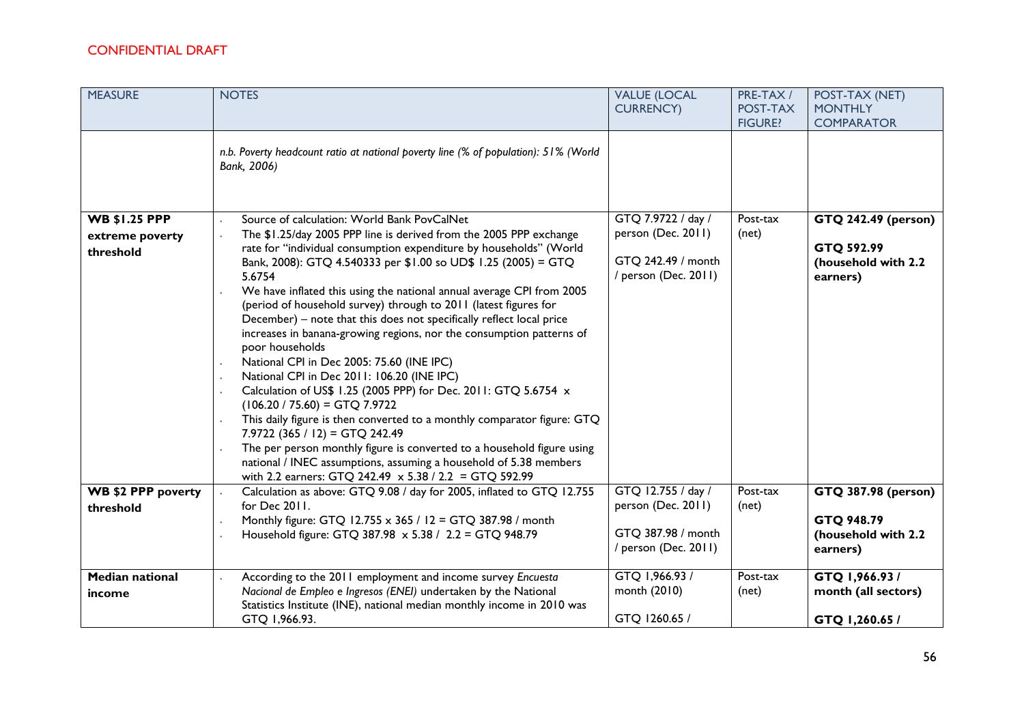| <b>MEASURE</b>                                       | <b>NOTES</b>                                                                                                                                                                                                                                                                                                                                                                                                                                                                                                                                                                                                                                                                                                                                                                                                                                                                                                                                                                                                                                                                                                                         | <b>VALUE (LOCAL</b><br><b>CURRENCY)</b>                                                | PRE-TAX /<br>POST-TAX<br><b>FIGURE?</b> | POST-TAX (NET)<br><b>MONTHLY</b><br><b>COMPARATOR</b>                       |
|------------------------------------------------------|--------------------------------------------------------------------------------------------------------------------------------------------------------------------------------------------------------------------------------------------------------------------------------------------------------------------------------------------------------------------------------------------------------------------------------------------------------------------------------------------------------------------------------------------------------------------------------------------------------------------------------------------------------------------------------------------------------------------------------------------------------------------------------------------------------------------------------------------------------------------------------------------------------------------------------------------------------------------------------------------------------------------------------------------------------------------------------------------------------------------------------------|----------------------------------------------------------------------------------------|-----------------------------------------|-----------------------------------------------------------------------------|
|                                                      | n.b. Poverty headcount ratio at national poverty line (% of population): 51% (World<br>Bank, 2006)                                                                                                                                                                                                                                                                                                                                                                                                                                                                                                                                                                                                                                                                                                                                                                                                                                                                                                                                                                                                                                   |                                                                                        |                                         |                                                                             |
| <b>WB \$1.25 PPP</b><br>extreme poverty<br>threshold | Source of calculation: World Bank PovCalNet<br>The \$1.25/day 2005 PPP line is derived from the 2005 PPP exchange<br>$\ddot{\phantom{0}}$<br>rate for "individual consumption expenditure by households" (World<br>Bank, 2008): GTQ 4.540333 per \$1.00 so UD\$ 1.25 (2005) = GTQ<br>5.6754<br>We have inflated this using the national annual average CPI from 2005<br>(period of household survey) through to 2011 (latest figures for<br>December) - note that this does not specifically reflect local price<br>increases in banana-growing regions, nor the consumption patterns of<br>poor households<br>National CPI in Dec 2005: 75.60 (INE IPC)<br>National CPI in Dec 2011: 106.20 (INE IPC)<br>Calculation of US\$ 1.25 (2005 PPP) for Dec. 2011: GTQ 5.6754 x<br>$(106.20 / 75.60) = GTQ 7.9722$<br>This daily figure is then converted to a monthly comparator figure: GTQ<br>$7.9722$ (365 / 12) = GTQ 242.49<br>The per person monthly figure is converted to a household figure using<br>national / INEC assumptions, assuming a household of 5.38 members<br>with 2.2 earners: GTQ 242.49 x 5.38 / 2.2 = GTQ 592.99 | GTQ 7.9722 / day /<br>person (Dec. 2011)<br>GTQ 242.49 / month<br>/ person (Dec. 2011) | Post-tax<br>(net)                       | <b>GTQ 242.49 (person)</b><br>GTQ 592.99<br>(household with 2.2<br>earners) |
| WB \$2 PPP poverty<br>threshold                      | Calculation as above: GTQ 9.08 / day for 2005, inflated to GTQ 12.755<br>for Dec 2011.<br>Monthly figure: GTQ 12.755 x 365 / 12 = GTQ 387.98 / month<br>Household figure: GTQ 387.98 x 5.38 / 2.2 = GTQ 948.79                                                                                                                                                                                                                                                                                                                                                                                                                                                                                                                                                                                                                                                                                                                                                                                                                                                                                                                       | GTQ 12.755 / day /<br>person (Dec. 2011)<br>GTQ 387.98 / month<br>/ person (Dec. 2011) | Post-tax<br>(net)                       | <b>GTQ 387.98 (person)</b><br>GTQ 948.79<br>(household with 2.2<br>earners) |
| <b>Median national</b><br>income                     | According to the 2011 employment and income survey Encuesta<br>Nacional de Empleo e Ingresos (ENEI) undertaken by the National<br>Statistics Institute (INE), national median monthly income in 2010 was<br>GTQ 1,966.93.                                                                                                                                                                                                                                                                                                                                                                                                                                                                                                                                                                                                                                                                                                                                                                                                                                                                                                            | GTQ 1,966.93 /<br>month (2010)<br>GTQ 1260.65 /                                        | Post-tax<br>(net)                       | GTQ 1,966.93/<br>month (all sectors)<br>GTQ 1,260.65 /                      |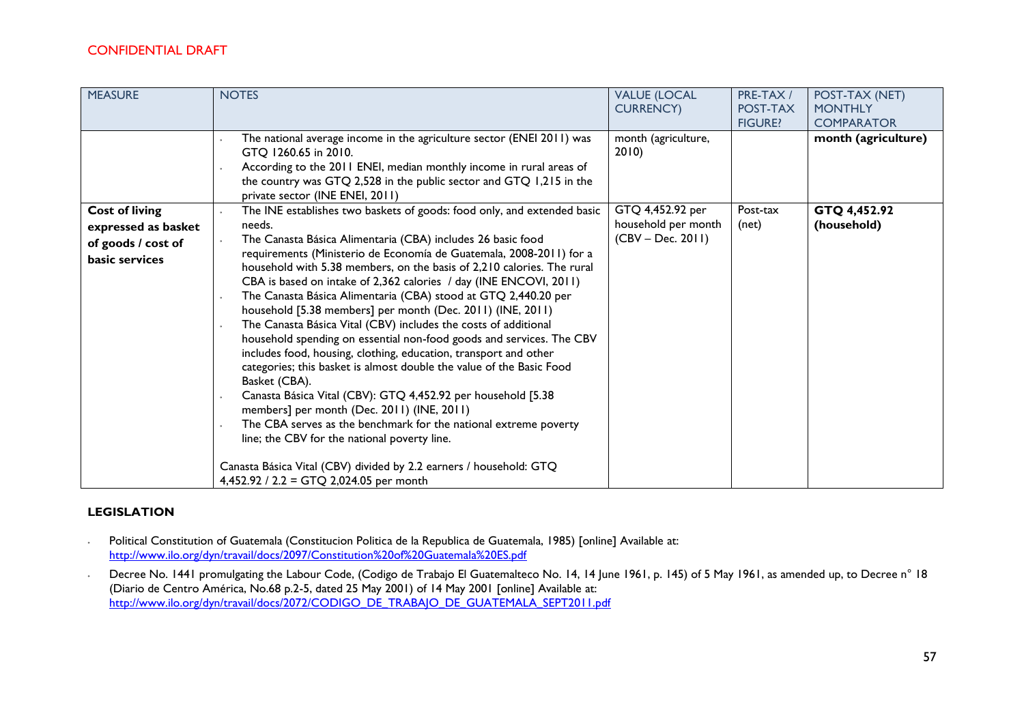| <b>MEASURE</b>                                                                       | <b>NOTES</b>                                                                                                                                                                                                                                                                                                                                                                                                                                                                                                                                                                                                                                                                                                                                                                                                                                                                                                                                                                                                                                                                                                                                                      | <b>VALUE (LOCAL</b><br><b>CURRENCY</b> )                       | PRE-TAX /<br>POST-TAX<br><b>FIGURE?</b> | POST-TAX (NET)<br><b>MONTHLY</b><br><b>COMPARATOR</b> |
|--------------------------------------------------------------------------------------|-------------------------------------------------------------------------------------------------------------------------------------------------------------------------------------------------------------------------------------------------------------------------------------------------------------------------------------------------------------------------------------------------------------------------------------------------------------------------------------------------------------------------------------------------------------------------------------------------------------------------------------------------------------------------------------------------------------------------------------------------------------------------------------------------------------------------------------------------------------------------------------------------------------------------------------------------------------------------------------------------------------------------------------------------------------------------------------------------------------------------------------------------------------------|----------------------------------------------------------------|-----------------------------------------|-------------------------------------------------------|
|                                                                                      | The national average income in the agriculture sector (ENEI 2011) was<br>GTQ 1260.65 in 2010.<br>According to the 2011 ENEI, median monthly income in rural areas of<br>the country was GTQ 2,528 in the public sector and GTQ 1,215 in the<br>private sector (INE ENEI, 2011)                                                                                                                                                                                                                                                                                                                                                                                                                                                                                                                                                                                                                                                                                                                                                                                                                                                                                    | month (agriculture,<br>2010                                    |                                         | month (agriculture)                                   |
| <b>Cost of living</b><br>expressed as basket<br>of goods / cost of<br>basic services | The INE establishes two baskets of goods: food only, and extended basic<br>needs.<br>The Canasta Básica Alimentaria (CBA) includes 26 basic food<br>requirements (Ministerio de Economía de Guatemala, 2008-2011) for a<br>household with 5.38 members, on the basis of 2,210 calories. The rural<br>CBA is based on intake of 2,362 calories / day (INE ENCOVI, 2011)<br>The Canasta Básica Alimentaria (CBA) stood at GTQ 2,440.20 per<br>household [5.38 members] per month (Dec. 2011) (INE, 2011)<br>The Canasta Básica Vital (CBV) includes the costs of additional<br>household spending on essential non-food goods and services. The CBV<br>includes food, housing, clothing, education, transport and other<br>categories; this basket is almost double the value of the Basic Food<br>Basket (CBA).<br>Canasta Básica Vital (CBV): GTQ 4,452.92 per household [5.38<br>members] per month (Dec. 2011) (INE, 2011)<br>The CBA serves as the benchmark for the national extreme poverty<br>line; the CBV for the national poverty line.<br>Canasta Básica Vital (CBV) divided by 2.2 earners / household: GTQ<br>4,452.92 / 2.2 = GTQ 2,024.05 per month | GTQ 4,452.92 per<br>household per month<br>$(CBV - Dec. 2011)$ | Post-tax<br>(net)                       | GTQ 4,452.92<br>(household)                           |

#### **LEGISLATION**

- ∙ Political Constitution of Guatemala (Constitucion Politica de la Republica de Guatemala, 1985) [online] Available at: <http://www.ilo.org/dyn/travail/docs/2097/Constitution%20of%20Guatemala%20ES.pdf>
- ∙ Decree No. 1441 promulgating the Labour Code, (Codigo de Trabajo El Guatemalteco No. 14, 14 June 1961, p. 145) of 5 May 1961, as amended up, to Decree n° 18 (Diario de Centro América, No.68 p.2-5, dated 25 May 2001) of 14 May 2001 [online] Available at: [http://www.ilo.org/dyn/travail/docs/2072/CODIGO\\_DE\\_TRABAJO\\_DE\\_GUATEMALA\\_SEPT2011.pdf](http://www.ilo.org/dyn/travail/docs/2072/CODIGO_DE_TRABAJO_DE_GUATEMALA_SEPT2011.pdf)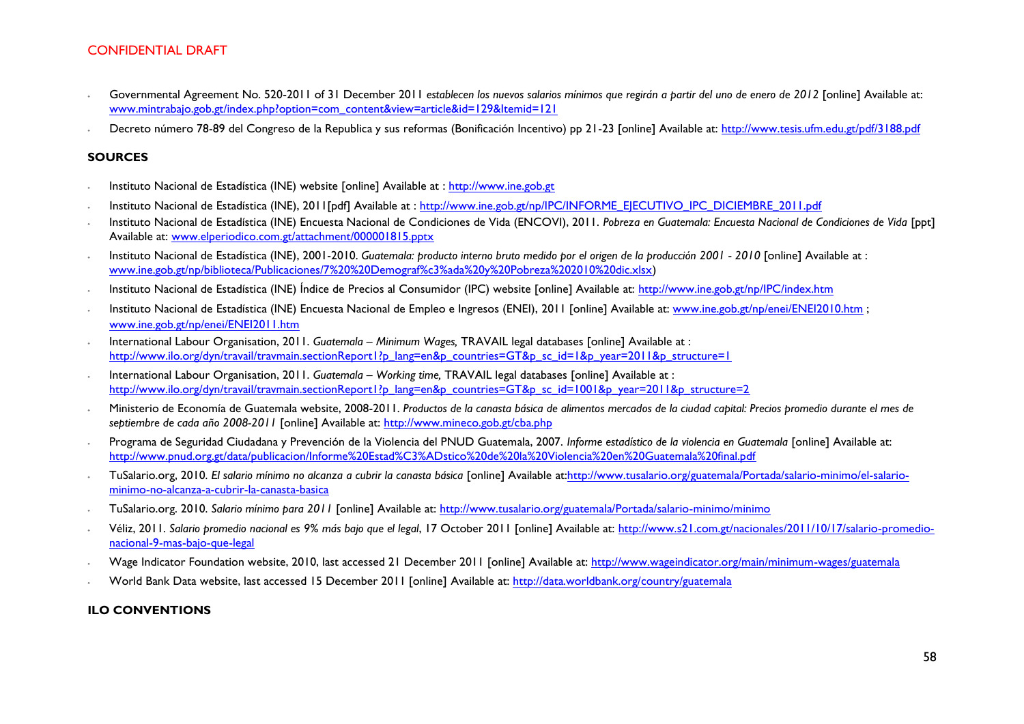- ∙ Governmental Agreement No. 520-2011 of 31 December 2011 *establecen los nuevos salarios mínimos que regirán a partir del uno de enero de 2012* [online] Available at: [www.mintrabajo.gob.gt/index.php?option=com\\_content&view=article&id=129&Itemid=121](http://www.mintrabajo.gob.gt/index.php?option=com_content&view=article&id=129&Itemid=121)
- ∙ Decreto número 78-89 del Congreso de la Republica y sus reformas (Bonificación Incentivo) pp 21-23 [online] Available at:<http://www.tesis.ufm.edu.gt/pdf/3188.pdf>

#### **SOURCES**

- ∙ Instituto Nacional de Estadística (INE) website [online] Available at : [http://www.ine.gob.gt](http://www.ine.gob.gt/)
- ∙ Instituto Nacional de Estadística (INE), 2011[pdf] Available at : [http://www.ine.gob.gt/np/IPC/INFORME\\_EJECUTIVO\\_IPC\\_DICIEMBRE\\_2011.pdf](http://www.ine.gob.gt/np/IPC/INFORME_EJECUTIVO_IPC_DICIEMBRE_2011.pdf)
- ∙ Instituto Nacional de Estadística (INE) Encuesta Nacional de Condiciones de Vida (ENCOVI), 2011. *Pobreza en Guatemala: Encuesta Nacional de Condiciones de Vida* [ppt] Available at: [www.elperiodico.com.gt/attachment/000001815.pptx](http://www.elperiodico.com.gt/attachment/000001815.pptx)
- ∙ Instituto Nacional de Estadística (INE), 2001-2010. *Guatemala: producto interno bruto medido por el origen de la producción 2001 - 2010* [online] Available at : [www.ine.gob.gt/np/biblioteca/Publicaciones/7%20%20Demograf%c3%ada%20y%20Pobreza%202010%20dic.xlsx\)](http://www.ine.gob.gt/np/biblioteca/Publicaciones/7%20%20Demograf%c3%ada%20y%20Pobreza%202010%20dic.xlsx)
- ∙ Instituto Nacional de Estadística (INE) Índice de Precios al Consumidor (IPC) website [online] Available at:<http://www.ine.gob.gt/np/IPC/index.htm>
- ∙ Instituto Nacional de Estadística (INE) Encuesta Nacional de Empleo e Ingresos (ENEI), 2011 [online] Available at: [www.ine.gob.gt/np/enei/ENEI2010.htm](http://www.ine.gob.gt/np/enei/ENEI2010.htm) ; [www.ine.gob.gt/np/enei/ENEI2011.htm](http://www.ine.gob.gt/np/enei/ENEI2011.htm)
- ∙ International Labour Organisation, 2011. *Guatemala – Minimum Wages,* TRAVAIL legal databases [online] Available at : [http://www.ilo.org/dyn/travail/travmain.sectionReport1?p\\_lang=en&p\\_countries=GT&p\\_sc\\_id=1&p\\_year=2011&p\\_structure=1](http://www.ilo.org/dyn/travail/travmain.sectionReport1?p_lang=en&p_countries=GT&p_sc_id=1&p_year=2011&p_structure=1)
- ∙ International Labour Organisation, 2011. *Guatemala – Working time,* TRAVAIL legal databases [online] Available at : [http://www.ilo.org/dyn/travail/travmain.sectionReport1?p\\_lang=en&p\\_countries=GT&p\\_sc\\_id=1001&p\\_year=2011&p\\_structure=2](http://www.ilo.org/dyn/travail/travmain.sectionReport1?p_lang=en&p_countries=GT&p_sc_id=1001&p_year=2011&p_structure=2)
- ∙ Ministerio de Economía de Guatemala website, 2008-2011. *Productos de la canasta básica de alimentos mercados de la ciudad capital: Precios promedio durante el mes de septiembre de cada año 2008-2011* [online] Available at:<http://www.mineco.gob.gt/cba.php>
- ∙ Programa de Seguridad Ciudadana y Prevención de la Violencia del PNUD Guatemala, 2007. *Informe estadístico de la violencia en Guatemala* [online] Available at: <http://www.pnud.org.gt/data/publicacion/Informe%20Estad%C3%ADstico%20de%20la%20Violencia%20en%20Guatemala%20final.pdf>
- ∙ TuSalario.org, 2010. *El salario mínimo no alcanza a cubrir la canasta básica* [online] Available a[t:http://www.tusalario.org/guatemala/Portada/salario-minimo/el-salario](http://www.tusalario.org/guatemala/Portada/salario-minimo/el-salario-minimo-no-alcanza-a-cubrir-la-canasta-basica)[minimo-no-alcanza-a-cubrir-la-canasta-basica](http://www.tusalario.org/guatemala/Portada/salario-minimo/el-salario-minimo-no-alcanza-a-cubrir-la-canasta-basica)
- ∙ TuSalario.org. 2010. *Salario mínimo para 2011* [online] Available at:<http://www.tusalario.org/guatemala/Portada/salario-minimo/minimo>
- ∙ Véliz, 2011. *Salario promedio nacional es 9% más bajo que el legal*, 17 October 2011 [online] Available at: [http://www.s21.com.gt/nacionales/2011/10/17/salario-promedio](http://www.s21.com.gt/nacionales/2011/10/17/salario-promedio-nacional-9-mas-bajo-que-legal)[nacional-9-mas-bajo-que-legal](http://www.s21.com.gt/nacionales/2011/10/17/salario-promedio-nacional-9-mas-bajo-que-legal)
- ∙ Wage Indicator Foundation website, 2010, last accessed 21 December 2011 [online] Available at: <http://www.wageindicator.org/main/minimum-wages/guatemala>
- ∙ World Bank Data website, last accessed 15 December 2011 [online] Available at:<http://data.worldbank.org/country/guatemala>

#### **ILO CONVENTIONS**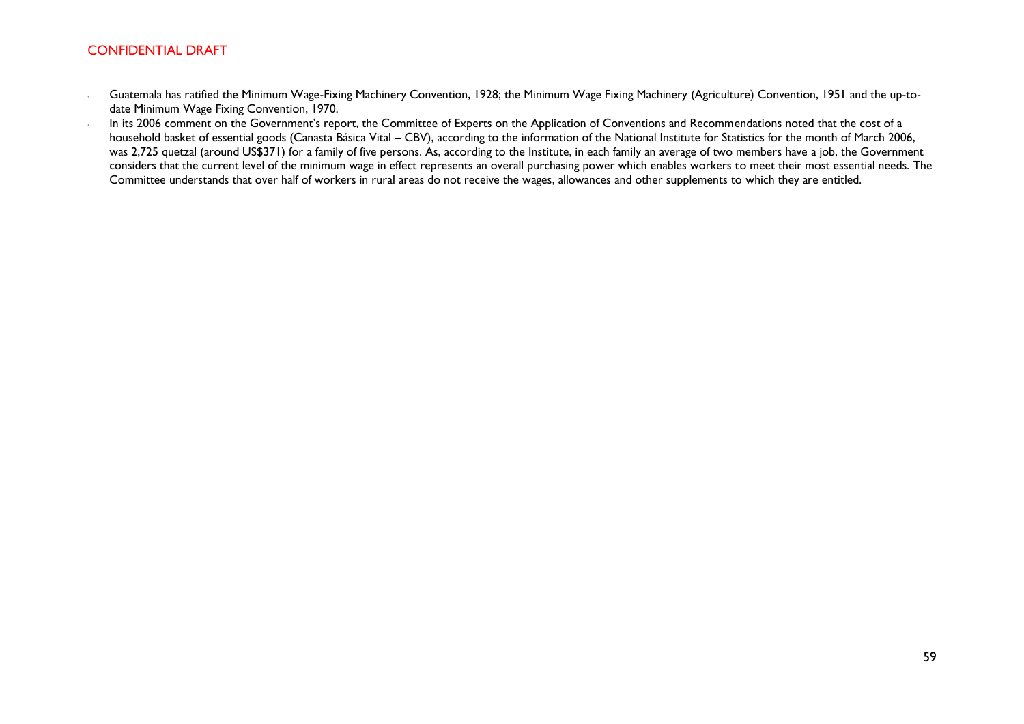- ∙ Guatemala has ratified the Minimum Wage-Fixing Machinery Convention, 1928; the Minimum Wage Fixing Machinery (Agriculture) Convention, 1951 and the up-todate Minimum Wage Fixing Convention, 1970.
- ∙ In its 2006 comment on the Government's report, the Committee of Experts on the Application of Conventions and Recommendations noted that the cost of a household basket of essential goods (Canasta Básica Vital – CBV), according to the information of the National Institute for Statistics for the month of March 2006, was 2,725 quetzal (around US\$371) for a family of five persons. As, according to the Institute, in each family an average of two members have a job, the Government considers that the current level of the minimum wage in effect represents an overall purchasing power which enables workers to meet their most essential needs. The Committee understands that over half of workers in rural areas do not receive the wages, allowances and other supplements to which they are entitled.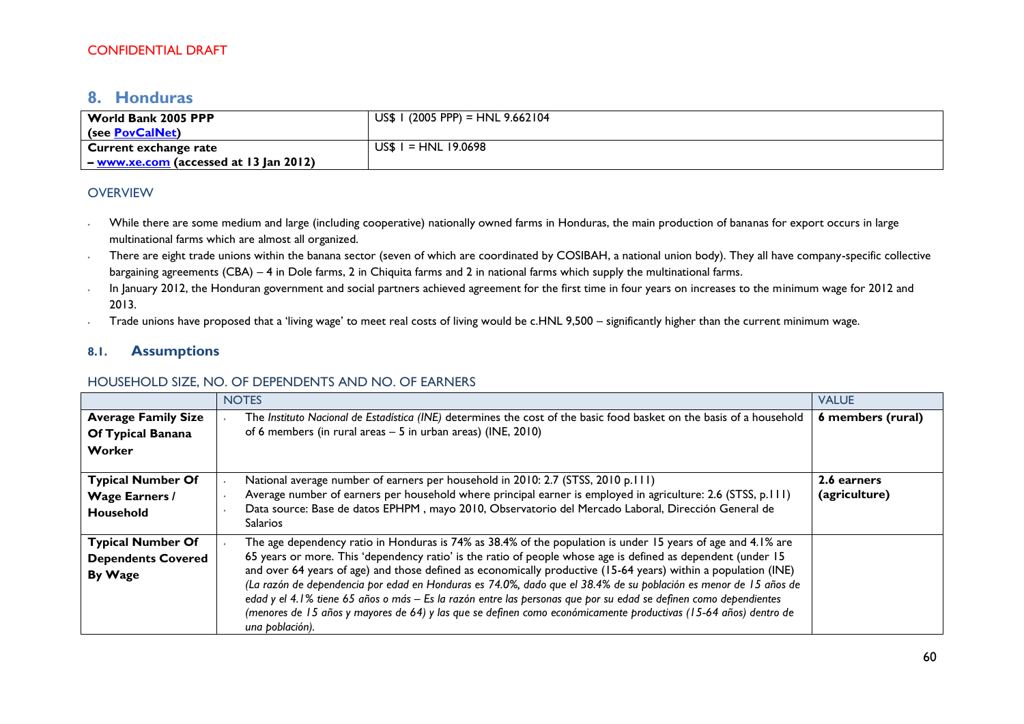# <span id="page-59-0"></span>**8. Honduras**

| World Bank 2005 PPP   | $US$$ I (2005 PPP) = HNL 9.662104 |
|-----------------------|-----------------------------------|
| (see PovCalNet)       |                                   |
| Current exchange rate | $I = HNL$ 19.0698<br>US\$.        |
|                       |                                   |

### **OVERVIEW**

- ∙ While there are some medium and large (including cooperative) nationally owned farms in Honduras, the main production of bananas for export occurs in large multinational farms which are almost all organized.
- ∙ There are eight trade unions within the banana sector (seven of which are coordinated by COSIBAH, a national union body). They all have company-specific collective bargaining agreements (CBA) – 4 in Dole farms, 2 in Chiquita farms and 2 in national farms which supply the multinational farms.
- ∙ In January 2012, the Honduran government and social partners achieved agreement for the first time in four years on increases to the minimum wage for 2012 and 2013.
- ∙ Trade unions have proposed that a 'living wage' to meet real costs of living would be c.HNL 9,500 significantly higher than the current minimum wage.

### **8.1. Assumptions**

### HOUSEHOLD SIZE, NO. OF DEPENDENTS AND NO. OF EARNERS

|                                                                  | <b>NOTES</b>                                                                                                                                                                                                                                                                                                                                                                                                                                                                                                                                                                                                                                                                                                                  | <b>VALUE</b>                 |
|------------------------------------------------------------------|-------------------------------------------------------------------------------------------------------------------------------------------------------------------------------------------------------------------------------------------------------------------------------------------------------------------------------------------------------------------------------------------------------------------------------------------------------------------------------------------------------------------------------------------------------------------------------------------------------------------------------------------------------------------------------------------------------------------------------|------------------------------|
| <b>Average Family Size</b><br>Of Typical Banana<br>Worker        | The Instituto Nacional de Estadística (INE) determines the cost of the basic food basket on the basis of a household<br>of 6 members (in rural areas $-5$ in urban areas) (INE, 2010)                                                                                                                                                                                                                                                                                                                                                                                                                                                                                                                                         | 6 members (rural)            |
| <b>Typical Number Of</b><br><b>Wage Earners /</b><br>Household   | National average number of earners per household in 2010: 2.7 (STSS, 2010 p.111)<br>Average number of earners per household where principal earner is employed in agriculture: 2.6 (STSS, p.111)<br>Data source: Base de datos EPHPM, mayo 2010, Observatorio del Mercado Laboral, Dirección General de<br>Salarios                                                                                                                                                                                                                                                                                                                                                                                                           | 2.6 earners<br>(agriculture) |
| <b>Typical Number Of</b><br><b>Dependents Covered</b><br>By Wage | The age dependency ratio in Honduras is 74% as 38.4% of the population is under 15 years of age and 4.1% are<br>65 years or more. This 'dependency ratio' is the ratio of people whose age is defined as dependent (under 15<br>and over 64 years of age) and those defined as economically productive (15-64 years) within a population (INE)<br>(La razón de dependencia por edad en Honduras es 74.0%, dado que el 38.4% de su población es menor de 15 años de<br>edad y el 4.1% tiene 65 años o más - Es la razón entre las personas que por su edad se definen como dependientes<br>(menores de 15 años y mayores de 64) y las que se definen como económicamente productivas (15-64 años) dentro de<br>una población). |                              |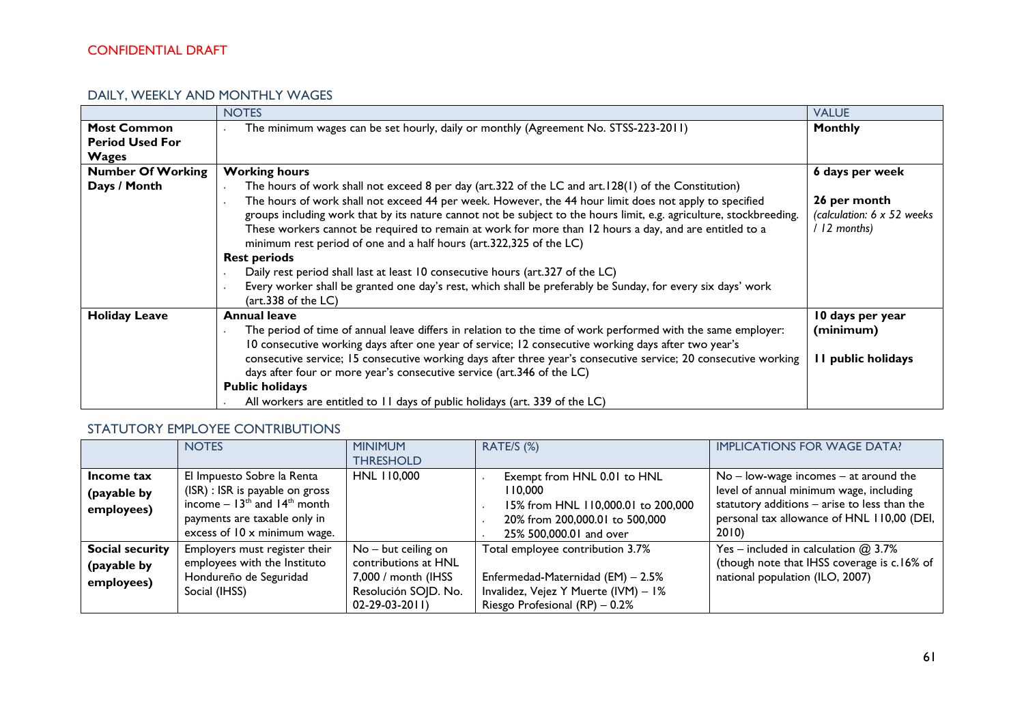### DAILY, WEEKLY AND MONTHLY WAGES

|                                                              | <b>NOTES</b>                                                                                                                                                                                                                                                                                                                                                                                                                                                                                                                                                                                                                                                                                                                                                                          | <b>VALUE</b>                                              |
|--------------------------------------------------------------|---------------------------------------------------------------------------------------------------------------------------------------------------------------------------------------------------------------------------------------------------------------------------------------------------------------------------------------------------------------------------------------------------------------------------------------------------------------------------------------------------------------------------------------------------------------------------------------------------------------------------------------------------------------------------------------------------------------------------------------------------------------------------------------|-----------------------------------------------------------|
| <b>Most Common</b><br><b>Period Used For</b><br><b>Wages</b> | The minimum wages can be set hourly, daily or monthly (Agreement No. STSS-223-2011)                                                                                                                                                                                                                                                                                                                                                                                                                                                                                                                                                                                                                                                                                                   | <b>Monthly</b>                                            |
| <b>Number Of Working</b>                                     | <b>Working hours</b>                                                                                                                                                                                                                                                                                                                                                                                                                                                                                                                                                                                                                                                                                                                                                                  | 6 days per week                                           |
| Days / Month                                                 | The hours of work shall not exceed 8 per day (art.322 of the LC and art.128(1) of the Constitution)<br>The hours of work shall not exceed 44 per week. However, the 44 hour limit does not apply to specified<br>groups including work that by its nature cannot not be subject to the hours limit, e.g. agriculture, stockbreeding.<br>These workers cannot be required to remain at work for more than 12 hours a day, and are entitled to a<br>minimum rest period of one and a half hours (art.322,325 of the LC)<br><b>Rest periods</b><br>Daily rest period shall last at least 10 consecutive hours (art.327 of the LC)<br>Every worker shall be granted one day's rest, which shall be preferably be Sunday, for every six days' work<br>$(\text{art.}338 \text{ of the LC})$ | 26 per month<br>(calculation: 6 x 52 weeks)<br>12 months) |
| <b>Holiday Leave</b>                                         | <b>Annual leave</b><br>The period of time of annual leave differs in relation to the time of work performed with the same employer:<br>10 consecutive working days after one year of service; 12 consecutive working days after two year's<br>consecutive service; 15 consecutive working days after three year's consecutive service; 20 consecutive working<br>days after four or more year's consecutive service (art.346 of the LC)<br><b>Public holidays</b><br>All workers are entitled to 11 days of public holidays (art. 339 of the LC)                                                                                                                                                                                                                                      | 10 days per year<br>(minimum)<br>I public holidays        |

### STATUTORY EMPLOYEE CONTRIBUTIONS

|                        | <b>NOTES</b>                                            | <b>MINIMUM</b>        | RATE/S (%)                           | <b>IMPLICATIONS FOR WAGE DATA?</b>           |
|------------------------|---------------------------------------------------------|-----------------------|--------------------------------------|----------------------------------------------|
|                        |                                                         | <b>THRESHOLD</b>      |                                      |                                              |
| Income tax             | El Impuesto Sobre la Renta                              | HNL 110,000           | Exempt from HNL 0.01 to HNL          | $No - low$ -wage incomes $-$ at around the   |
| (payable by            | (ISR) : ISR is payable on gross                         |                       | 110,000                              | level of annual minimum wage, including      |
| employees)             | income $-13$ <sup>th</sup> and $14$ <sup>th</sup> month |                       | 15% from HNL 110,000.01 to 200,000   | statutory additions - arise to less than the |
|                        | payments are taxable only in                            |                       | 20% from 200,000.01 to 500,000       | personal tax allowance of HNL 110,00 (DEI,   |
|                        | excess of $10 \times$ minimum wage.                     |                       | 25% 500,000.01 and over              | 2010)                                        |
| <b>Social security</b> | Employers must register their                           | $No - but ceiling on$ | Total employee contribution 3.7%     | Yes – included in calculation $@3.7\%$       |
| (payable by            | employees with the Instituto                            | contributions at HNL  |                                      | (though note that IHSS coverage is c.16% of  |
| employees)             | Hondureño de Seguridad                                  | 7,000 / month (IHSS   | Enfermedad-Maternidad (EM) - 2.5%    | national population (ILO, 2007)              |
|                        | Social (IHSS)                                           | Resolución SOJD. No.  | Invalidez, Vejez Y Muerte (IVM) - 1% |                                              |
|                        |                                                         | $02 - 29 - 03 - 2011$ | Riesgo Profesional $(RP) - 0.2%$     |                                              |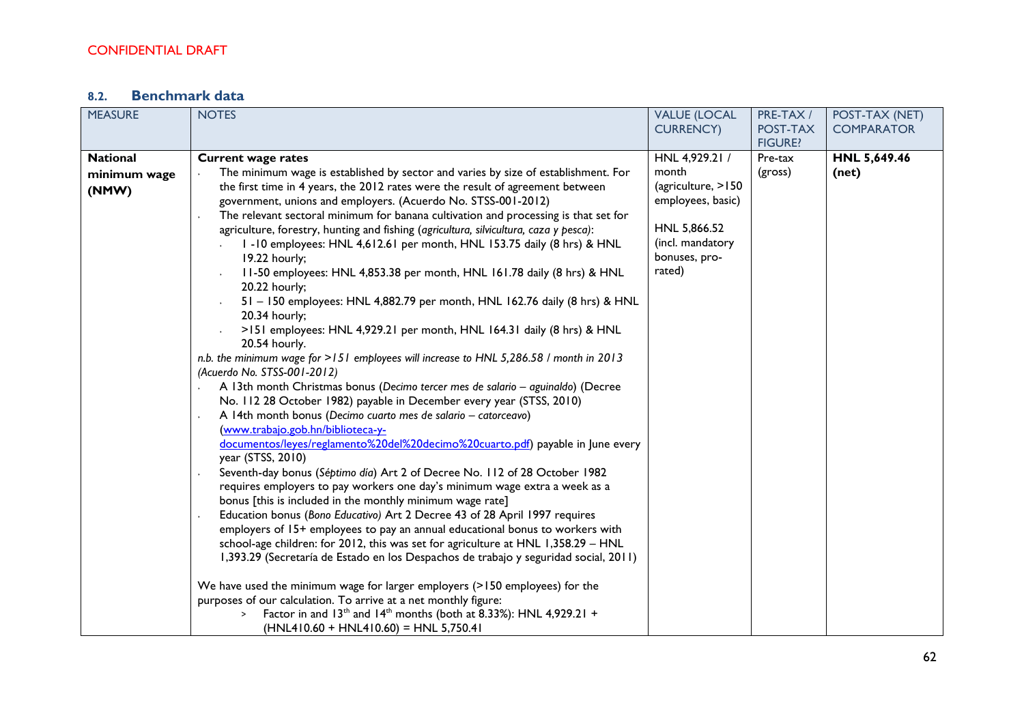# **8.2. Benchmark data**

| <b>MEASURE</b>                           | <b>NOTES</b>                                                                                                                                                                                                                                                                                                                                                                                                                                                                                                                                                                                                                                                                                                                                                                                                                                                                                                                                                                                                                                                                                                                                                                                                                                                                                                                                                                                                                                                                                                                                                                                                                                                                                                                                                                                                                                                                                                                                                                                                                                                                                                                                                                                                   | <b>VALUE (LOCAL</b><br><b>CURRENCY)</b>                                                                                           | PRE-TAX /<br>POST-TAX | POST-TAX (NET)<br><b>COMPARATOR</b> |
|------------------------------------------|----------------------------------------------------------------------------------------------------------------------------------------------------------------------------------------------------------------------------------------------------------------------------------------------------------------------------------------------------------------------------------------------------------------------------------------------------------------------------------------------------------------------------------------------------------------------------------------------------------------------------------------------------------------------------------------------------------------------------------------------------------------------------------------------------------------------------------------------------------------------------------------------------------------------------------------------------------------------------------------------------------------------------------------------------------------------------------------------------------------------------------------------------------------------------------------------------------------------------------------------------------------------------------------------------------------------------------------------------------------------------------------------------------------------------------------------------------------------------------------------------------------------------------------------------------------------------------------------------------------------------------------------------------------------------------------------------------------------------------------------------------------------------------------------------------------------------------------------------------------------------------------------------------------------------------------------------------------------------------------------------------------------------------------------------------------------------------------------------------------------------------------------------------------------------------------------------------------|-----------------------------------------------------------------------------------------------------------------------------------|-----------------------|-------------------------------------|
|                                          |                                                                                                                                                                                                                                                                                                                                                                                                                                                                                                                                                                                                                                                                                                                                                                                                                                                                                                                                                                                                                                                                                                                                                                                                                                                                                                                                                                                                                                                                                                                                                                                                                                                                                                                                                                                                                                                                                                                                                                                                                                                                                                                                                                                                                |                                                                                                                                   | <b>FIGURE?</b>        |                                     |
| <b>National</b><br>minimum wage<br>(NMW) | <b>Current wage rates</b><br>The minimum wage is established by sector and varies by size of establishment. For<br>the first time in 4 years, the 2012 rates were the result of agreement between<br>government, unions and employers. (Acuerdo No. STSS-001-2012)<br>The relevant sectoral minimum for banana cultivation and processing is that set for<br>agriculture, forestry, hunting and fishing (agricultura, silvicultura, caza y pesca):<br>I-I0 employees: HNL 4,612.61 per month, HNL 153.75 daily (8 hrs) & HNL<br>19.22 hourly;<br>11-50 employees: HNL 4,853.38 per month, HNL 161.78 daily (8 hrs) & HNL<br>20.22 hourly;<br>51 - 150 employees: HNL 4,882.79 per month, HNL 162.76 daily (8 hrs) & HNL<br>20.34 hourly;<br>>151 employees: HNL 4,929.21 per month, HNL 164.31 daily (8 hrs) & HNL<br>20.54 hourly.<br>n.b. the minimum wage for >151 employees will increase to HNL 5,286.58 / month in 2013<br>(Acuerdo No. STSS-001-2012)<br>A 13th month Christmas bonus (Decimo tercer mes de salario - aguinaldo) (Decree<br>No. 112 28 October 1982) payable in December every year (STSS, 2010)<br>A 14th month bonus (Decimo cuarto mes de salario - catorceavo)<br>(www.trabajo.gob.hn/biblioteca-y-<br>documentos/leyes/reglamento%20del%20decimo%20cuarto.pdf) payable in June every<br>year (STSS, 2010)<br>Seventh-day bonus (Séptimo día) Art 2 of Decree No. 112 of 28 October 1982<br>requires employers to pay workers one day's minimum wage extra a week as a<br>bonus [this is included in the monthly minimum wage rate]<br>Education bonus (Bono Educativo) Art 2 Decree 43 of 28 April 1997 requires<br>employers of 15+ employees to pay an annual educational bonus to workers with<br>school-age children: for 2012, this was set for agriculture at HNL 1,358.29 - HNL<br>1,393.29 (Secretaría de Estado en los Despachos de trabajo y seguridad social, 2011)<br>We have used the minimum wage for larger employers (>150 employees) for the<br>purposes of our calculation. To arrive at a net monthly figure:<br>Factor in and 13 <sup>th</sup> and 14 <sup>th</sup> months (both at 8.33%): HNL 4,929.21 +<br>$\,$<br>$(HNL410.60 + HNL410.60) = HNL 5,750.41$ | HNL 4,929.21 /<br>month<br>(agriculture, >150<br>employees, basic)<br>HNL 5,866.52<br>(incl. mandatory<br>bonuses, pro-<br>rated) | Pre-tax<br>(gross)    | HNL 5,649.46<br>(net)               |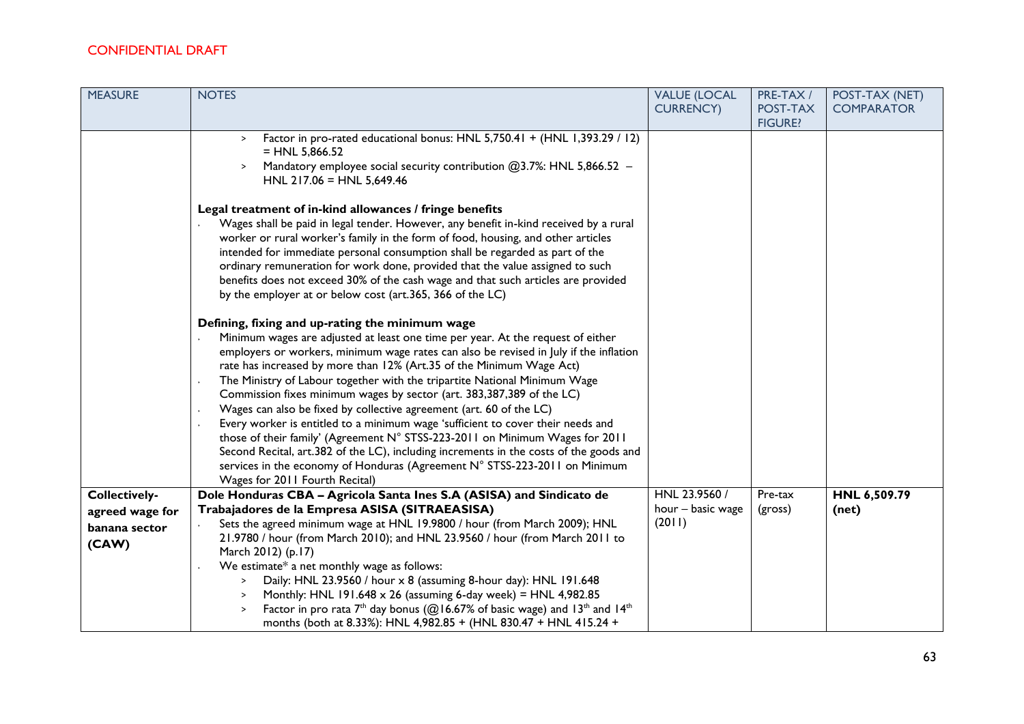| <b>MEASURE</b>                                             | <b>NOTES</b>                                                                                                                                                                                                                                                                                                                                                                                                                                                                                                                                                                                                                                                                                                                                                                                                                                                                                                  | <b>VALUE (LOCAL</b>                          | PRE-TAX /                  | POST-TAX (NET)        |
|------------------------------------------------------------|---------------------------------------------------------------------------------------------------------------------------------------------------------------------------------------------------------------------------------------------------------------------------------------------------------------------------------------------------------------------------------------------------------------------------------------------------------------------------------------------------------------------------------------------------------------------------------------------------------------------------------------------------------------------------------------------------------------------------------------------------------------------------------------------------------------------------------------------------------------------------------------------------------------|----------------------------------------------|----------------------------|-----------------------|
|                                                            |                                                                                                                                                                                                                                                                                                                                                                                                                                                                                                                                                                                                                                                                                                                                                                                                                                                                                                               | <b>CURRENCY)</b>                             | POST-TAX<br><b>FIGURE?</b> | <b>COMPARATOR</b>     |
|                                                            | Factor in pro-rated educational bonus: HNL 5,750.41 + (HNL 1,393.29 / 12)<br>$\geq$<br>$= HNL 5,866.52$<br>Mandatory employee social security contribution @3.7%: HNL 5,866.52 -<br>HNL $217.06$ = HNL 5,649.46                                                                                                                                                                                                                                                                                                                                                                                                                                                                                                                                                                                                                                                                                               |                                              |                            |                       |
|                                                            | Legal treatment of in-kind allowances / fringe benefits<br>Wages shall be paid in legal tender. However, any benefit in-kind received by a rural<br>worker or rural worker's family in the form of food, housing, and other articles<br>intended for immediate personal consumption shall be regarded as part of the<br>ordinary remuneration for work done, provided that the value assigned to such<br>benefits does not exceed 30% of the cash wage and that such articles are provided<br>by the employer at or below cost (art.365, 366 of the LC)                                                                                                                                                                                                                                                                                                                                                       |                                              |                            |                       |
|                                                            | Defining, fixing and up-rating the minimum wage<br>Minimum wages are adjusted at least one time per year. At the request of either<br>employers or workers, minimum wage rates can also be revised in July if the inflation<br>rate has increased by more than 12% (Art.35 of the Minimum Wage Act)<br>The Ministry of Labour together with the tripartite National Minimum Wage<br>Commission fixes minimum wages by sector (art. 383,387,389 of the LC)<br>Wages can also be fixed by collective agreement (art. 60 of the LC)<br>Every worker is entitled to a minimum wage 'sufficient to cover their needs and<br>those of their family' (Agreement N° STSS-223-2011 on Minimum Wages for 2011<br>Second Recital, art.382 of the LC), including increments in the costs of the goods and<br>services in the economy of Honduras (Agreement N° STSS-223-2011 on Minimum<br>Wages for 2011 Fourth Recital) |                                              |                            |                       |
| Collectively-<br>agreed wage for<br>banana sector<br>(CAW) | Dole Honduras CBA - Agricola Santa Ines S.A (ASISA) and Sindicato de<br>Trabajadores de la Empresa ASISA (SITRAEASISA)<br>Sets the agreed minimum wage at HNL 19.9800 / hour (from March 2009); HNL<br>21.9780 / hour (from March 2010); and HNL 23.9560 / hour (from March 2011 to<br>March 2012) (p.17)<br>We estimate* a net monthly wage as follows:<br>Daily: HNL 23.9560 / hour x 8 (assuming 8-hour day): HNL 191.648<br>Monthly: HNL 191.648 x 26 (assuming 6-day week) = HNL 4,982.85<br>$\geq$<br>Factor in pro rata $7th$ day bonus (@16.67% of basic wage) and 13 <sup>th</sup> and 14 <sup>th</sup><br>months (both at 8.33%): HNL 4,982.85 + (HNL 830.47 + HNL 415.24 +                                                                                                                                                                                                                         | HNL 23.9560 /<br>hour - basic wage<br>(2011) | Pre-tax<br>(gross)         | HNL 6,509.79<br>(net) |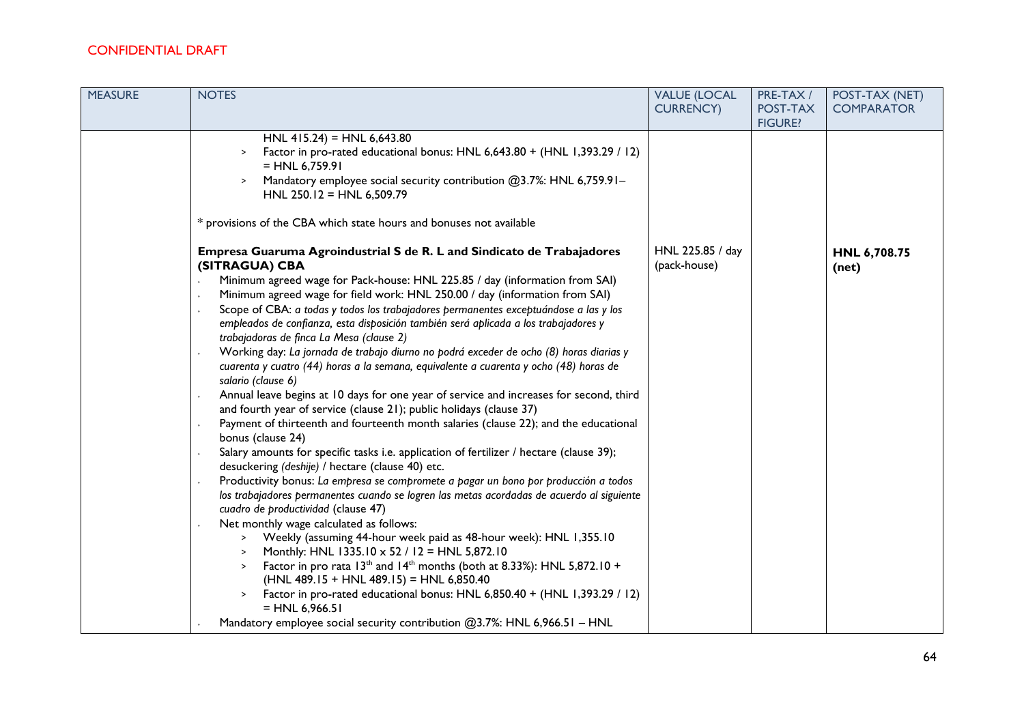| <b>MEASURE</b> | <b>NOTES</b>                                                                                                                                                                                                                                                                                                                                                                                                                                                                                                                                                                                                                                                                                                                                                                                                                                                                                                                                                                                                                                                                                                                                                                                                                                                                                                                                                                                                                                                                                                                                                                                                                                                                                                                                                                                 | <b>VALUE (LOCAL</b><br><b>CURRENCY)</b> | PRE-TAX /<br>POST-TAX<br><b>FIGURE?</b> | POST-TAX (NET)<br><b>COMPARATOR</b> |
|----------------|----------------------------------------------------------------------------------------------------------------------------------------------------------------------------------------------------------------------------------------------------------------------------------------------------------------------------------------------------------------------------------------------------------------------------------------------------------------------------------------------------------------------------------------------------------------------------------------------------------------------------------------------------------------------------------------------------------------------------------------------------------------------------------------------------------------------------------------------------------------------------------------------------------------------------------------------------------------------------------------------------------------------------------------------------------------------------------------------------------------------------------------------------------------------------------------------------------------------------------------------------------------------------------------------------------------------------------------------------------------------------------------------------------------------------------------------------------------------------------------------------------------------------------------------------------------------------------------------------------------------------------------------------------------------------------------------------------------------------------------------------------------------------------------------|-----------------------------------------|-----------------------------------------|-------------------------------------|
|                | HNL 415.24) = HNL 6,643.80<br>Factor in pro-rated educational bonus: HNL 6,643.80 + (HNL 1,393.29 / 12)<br>$\geq$<br>$= HNL 6,759.91$<br>Mandatory employee social security contribution @3.7%: HNL 6,759.91-<br>HNL 250.12 = HNL 6,509.79<br>* provisions of the CBA which state hours and bonuses not available<br>Empresa Guaruma Agroindustrial S de R. L and Sindicato de Trabajadores                                                                                                                                                                                                                                                                                                                                                                                                                                                                                                                                                                                                                                                                                                                                                                                                                                                                                                                                                                                                                                                                                                                                                                                                                                                                                                                                                                                                  | HNL 225.85 / day                        |                                         | HNL 6,708.75                        |
|                | (SITRAGUA) CBA<br>Minimum agreed wage for Pack-house: HNL 225.85 / day (information from SAI)<br>Minimum agreed wage for field work: HNL 250.00 / day (information from SAI)<br>Scope of CBA: a todas y todos los trabajadores permanentes exceptuándose a las y los<br>empleados de confianza, esta disposición también será aplicada a los trabajadores y<br>trabajadoras de finca La Mesa (clause 2)<br>Working day: La jornada de trabajo diurno no podrá exceder de ocho (8) horas diarias y<br>cuarenta y cuatro (44) horas a la semana, equivalente a cuarenta y ocho (48) horas de<br>salario (clause 6)<br>Annual leave begins at 10 days for one year of service and increases for second, third<br>and fourth year of service (clause 21); public holidays (clause 37)<br>Payment of thirteenth and fourteenth month salaries (clause 22); and the educational<br>bonus (clause 24)<br>Salary amounts for specific tasks i.e. application of fertilizer / hectare (clause 39);<br>desuckering (deshije) / hectare (clause 40) etc.<br>Productivity bonus: La empresa se compromete a pagar un bono por producción a todos<br>los trabajadores permanentes cuando se logren las metas acordadas de acuerdo al siguiente<br>cuadro de productividad (clause 47)<br>Net monthly wage calculated as follows:<br>Weekly (assuming 44-hour week paid as 48-hour week): HNL 1,355.10<br>$\geq$<br>Monthly: HNL 1335.10 x 52 / 12 = HNL 5,872.10<br>$\geq$<br>Factor in pro rata $13th$ and $14th$ months (both at 8.33%): HNL 5,872.10 +<br>$\geq$<br>$(HNL 489.15 + HNL 489.15) = HNL 6,850.40$<br>Factor in pro-rated educational bonus: HNL 6,850.40 + (HNL 1,393.29 / 12)<br>$\geq$<br>$= HNL 6,966.51$<br>Mandatory employee social security contribution @3.7%: HNL 6,966.51 - HNL | (pack-house)                            |                                         | (net)                               |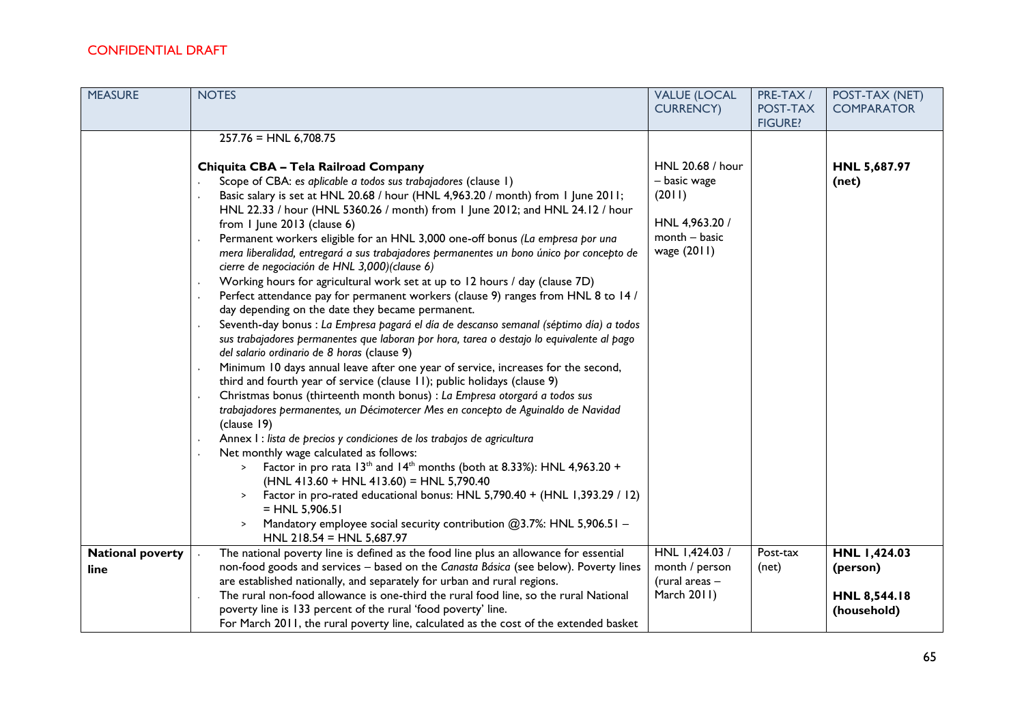| <b>MEASURE</b>          | <b>NOTES</b>                                                                                           | <b>VALUE (LOCAL</b> | PRE-TAX /      | POST-TAX (NET)    |
|-------------------------|--------------------------------------------------------------------------------------------------------|---------------------|----------------|-------------------|
|                         |                                                                                                        | <b>CURRENCY)</b>    | POST-TAX       | <b>COMPARATOR</b> |
|                         |                                                                                                        |                     | <b>FIGURE?</b> |                   |
|                         | $257.76 = HNL 6,708.75$                                                                                |                     |                |                   |
|                         |                                                                                                        |                     |                |                   |
|                         | Chiquita CBA - Tela Railroad Company                                                                   | HNL 20.68 / hour    |                | HNL 5,687.97      |
|                         | Scope of CBA: es aplicable a todos sus trabajadores (clause 1)                                         | - basic wage        |                | (net)             |
|                         | Basic salary is set at HNL 20.68 / hour (HNL 4,963.20 / month) from 1 June 2011;                       | (2011)              |                |                   |
|                         | HNL 22.33 / hour (HNL 5360.26 / month) from 1 June 2012; and HNL 24.12 / hour                          |                     |                |                   |
|                         | from 1 June 2013 (clause 6)                                                                            | HNL 4,963.20 /      |                |                   |
|                         | Permanent workers eligible for an HNL 3,000 one-off bonus (La empresa por una                          | $month - basic$     |                |                   |
|                         | mera liberalidad, entregará a sus trabajadores permanentes un bono único por concepto de               | wage (2011)         |                |                   |
|                         | cierre de negociación de HNL 3,000)(clause 6)                                                          |                     |                |                   |
|                         | Working hours for agricultural work set at up to 12 hours / day (clause 7D)                            |                     |                |                   |
|                         | Perfect attendance pay for permanent workers (clause 9) ranges from HNL 8 to 14 /                      |                     |                |                   |
|                         | day depending on the date they became permanent.                                                       |                     |                |                   |
|                         | Seventh-day bonus : La Empresa pagará el día de descanso semanal (séptimo día) a todos                 |                     |                |                   |
|                         | sus trabajadores permanentes que laboran por hora, tarea o destajo lo equivalente al pago              |                     |                |                   |
|                         | del salario ordinario de 8 horas (clause 9)                                                            |                     |                |                   |
|                         | Minimum 10 days annual leave after one year of service, increases for the second,                      |                     |                |                   |
|                         | third and fourth year of service (clause 11); public holidays (clause 9)                               |                     |                |                   |
|                         | Christmas bonus (thirteenth month bonus) : La Empresa otorgará a todos sus                             |                     |                |                   |
|                         | trabajadores permanentes, un Décimotercer Mes en concepto de Aguinaldo de Navidad                      |                     |                |                   |
|                         | (clause 19)                                                                                            |                     |                |                   |
|                         | Annex I : lista de precios y condiciones de los trabajos de agricultura                                |                     |                |                   |
|                         | Net monthly wage calculated as follows:                                                                |                     |                |                   |
|                         | Factor in pro rata $13th$ and $14th$ months (both at 8.33%): HNL 4,963.20 +<br>$\geq$                  |                     |                |                   |
|                         | $(HNL 413.60 + HNL 413.60) = HNL 5,790.40$                                                             |                     |                |                   |
|                         | Factor in pro-rated educational bonus: HNL 5,790.40 + (HNL 1,393.29 / 12)                              |                     |                |                   |
|                         | $=$ HNL 5,906.51                                                                                       |                     |                |                   |
|                         | Mandatory employee social security contribution $@3.7\%$ : HNL 5,906.51 -<br>HNL 218.54 = HNL 5,687.97 |                     |                |                   |
| <b>National poverty</b> | The national poverty line is defined as the food line plus an allowance for essential                  | HNL 1,424.03 /      | Post-tax       | HNL 1,424.03      |
| line                    | non-food goods and services - based on the Canasta Básica (see below). Poverty lines                   | month / person      | (net)          | (person)          |
|                         | are established nationally, and separately for urban and rural regions.                                | (rural areas $-$    |                |                   |
|                         | The rural non-food allowance is one-third the rural food line, so the rural National                   | March 2011)         |                | HNL 8,544.18      |
|                         | poverty line is 133 percent of the rural 'food poverty' line.                                          |                     |                | (household)       |
|                         | For March 2011, the rural poverty line, calculated as the cost of the extended basket                  |                     |                |                   |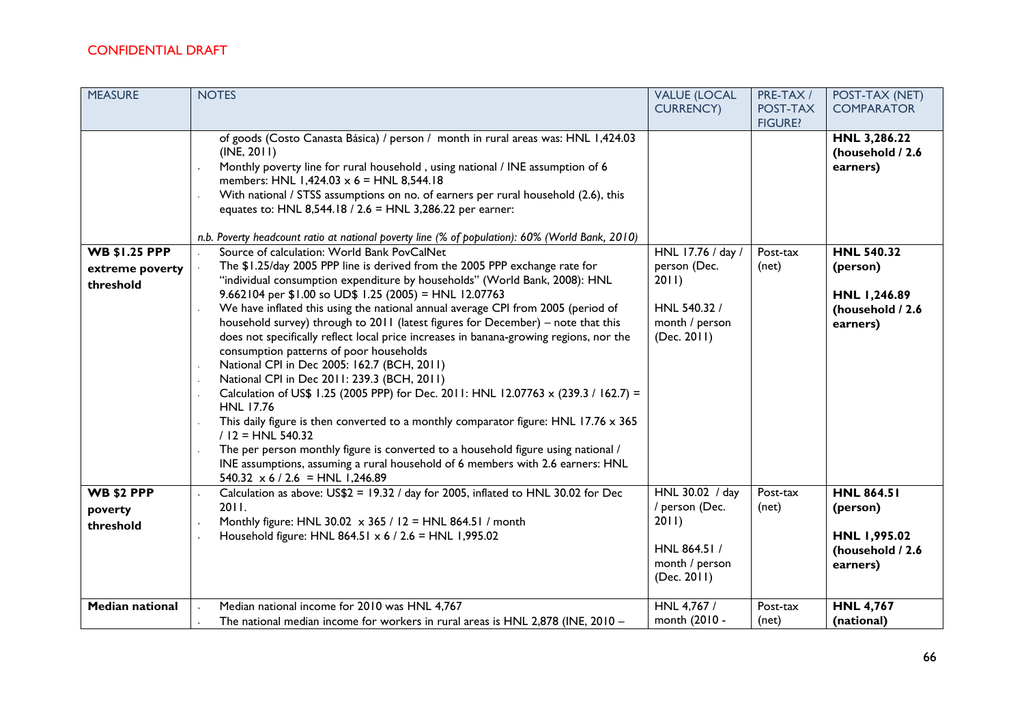| <b>MEASURE</b>                                       | <b>NOTES</b>                                                                                                                                                                                                                                                                                                                                                                                                                                                                                                                                                                                                                                                                                                                                                                                                                                                                                                                                                                                                                                                                                                            | <b>VALUE (LOCAL</b><br><b>CURRENCY)</b>                                                     | PRE-TAX /<br>POST-TAX<br><b>FIGURE?</b> | POST-TAX (NET)<br><b>COMPARATOR</b>                                           |
|------------------------------------------------------|-------------------------------------------------------------------------------------------------------------------------------------------------------------------------------------------------------------------------------------------------------------------------------------------------------------------------------------------------------------------------------------------------------------------------------------------------------------------------------------------------------------------------------------------------------------------------------------------------------------------------------------------------------------------------------------------------------------------------------------------------------------------------------------------------------------------------------------------------------------------------------------------------------------------------------------------------------------------------------------------------------------------------------------------------------------------------------------------------------------------------|---------------------------------------------------------------------------------------------|-----------------------------------------|-------------------------------------------------------------------------------|
|                                                      | of goods (Costo Canasta Básica) / person / month in rural areas was: HNL 1,424.03<br>(INE, 2011)<br>Monthly poverty line for rural household, using national / INE assumption of 6<br>members: HNL 1,424.03 $\times$ 6 = HNL 8,544.18<br>With national / STSS assumptions on no. of earners per rural household (2.6), this<br>equates to: HNL 8,544.18 / 2.6 = HNL 3,286.22 per earner:<br>n.b. Poverty headcount ratio at national poverty line (% of population): 60% (World Bank, 2010)                                                                                                                                                                                                                                                                                                                                                                                                                                                                                                                                                                                                                             |                                                                                             |                                         | HNL 3,286.22<br>(household / 2.6<br>earners)                                  |
| <b>WB \$1.25 PPP</b><br>extreme poverty<br>threshold | Source of calculation: World Bank PovCalNet<br>The \$1.25/day 2005 PPP line is derived from the 2005 PPP exchange rate for<br>"individual consumption expenditure by households" (World Bank, 2008): HNL<br>9.662104 per \$1.00 so UD\$ 1.25 (2005) = HNL 12.07763<br>We have inflated this using the national annual average CPI from 2005 (period of<br>household survey) through to 2011 (latest figures for December) - note that this<br>does not specifically reflect local price increases in banana-growing regions, nor the<br>consumption patterns of poor households<br>National CPI in Dec 2005: 162.7 (BCH, 2011)<br>National CPI in Dec 2011: 239.3 (BCH, 2011)<br>Calculation of US\$ 1.25 (2005 PPP) for Dec. 2011: HNL 12.07763 x (239.3 / 162.7) =<br><b>HNL 17.76</b><br>This daily figure is then converted to a monthly comparator figure: HNL 17.76 x 365<br>$/$  2 = HNL 540.32<br>The per person monthly figure is converted to a household figure using national /<br>INE assumptions, assuming a rural household of 6 members with 2.6 earners: HNL<br>$540.32 \times 6 / 2.6 = HNL 1,246.89$ | HNL 17.76 / day /<br>person (Dec.<br>2011)<br>HNL 540.32 /<br>month / person<br>(Dec. 2011) | Post-tax<br>(net)                       | <b>HNL 540.32</b><br>(person)<br>HNL 1,246.89<br>(household / 2.6<br>earners) |
| <b>WB \$2 PPP</b><br>poverty<br>threshold            | Calculation as above: US\$2 = 19.32 / day for 2005, inflated to HNL 30.02 for Dec<br>2011.<br>Monthly figure: HNL 30.02 $\times$ 365 / 12 = HNL 864.51 / month<br>Household figure: HNL 864.51 x 6 / 2.6 = HNL 1,995.02                                                                                                                                                                                                                                                                                                                                                                                                                                                                                                                                                                                                                                                                                                                                                                                                                                                                                                 | HNL 30.02 / day<br>/ person (Dec.<br>2011<br>HNL 864.51 /<br>month / person<br>(Dec. 2011)  | Post-tax<br>(net)                       | <b>HNL 864.51</b><br>(person)<br>HNL 1,995.02<br>(household / 2.6<br>earners) |
| <b>Median national</b>                               | Median national income for 2010 was HNL 4,767<br>The national median income for workers in rural areas is $HNL 2,878$ (INE, 2010 –                                                                                                                                                                                                                                                                                                                                                                                                                                                                                                                                                                                                                                                                                                                                                                                                                                                                                                                                                                                      | HNL 4,767 /<br>month (2010 -                                                                | Post-tax<br>(net)                       | <b>HNL 4,767</b><br>(national)                                                |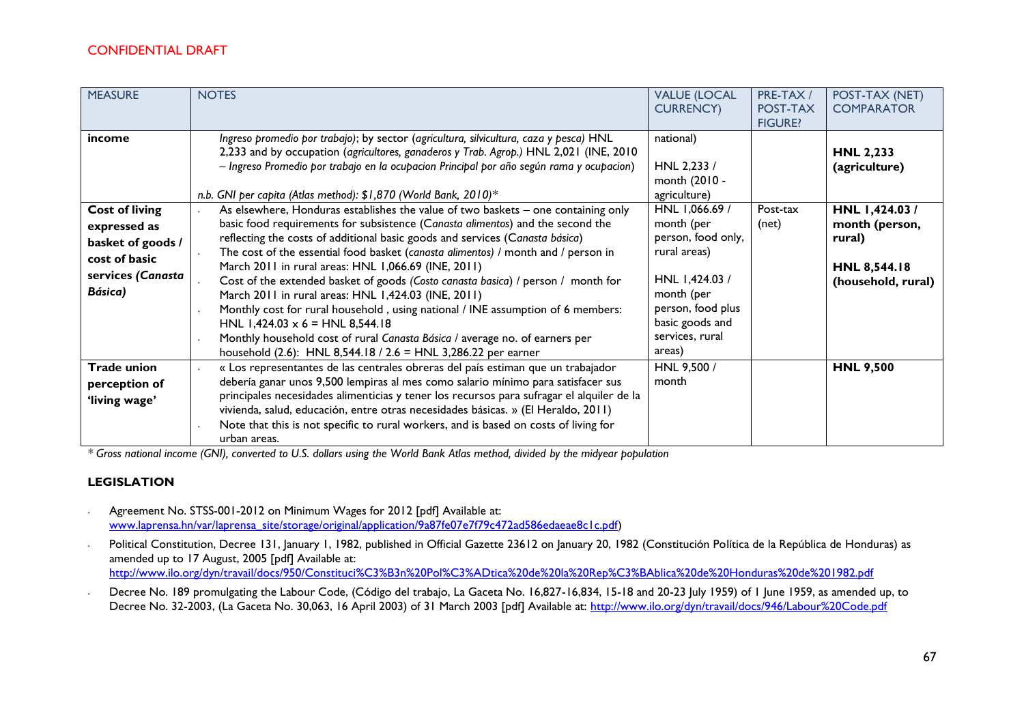| <b>MEASURE</b>                                                                                              | <b>NOTES</b>                                                                                                                                                                                                                                                                                                                                                                                                                                                                                                                                                                                                                                                                                                                                                                                                            | <b>VALUE (LOCAL</b><br><b>CURRENCY)</b>                                                                                                                                 | PRE-TAX /<br>POST-TAX<br><b>FIGURE?</b> | POST-TAX (NET)<br><b>COMPARATOR</b>                                             |
|-------------------------------------------------------------------------------------------------------------|-------------------------------------------------------------------------------------------------------------------------------------------------------------------------------------------------------------------------------------------------------------------------------------------------------------------------------------------------------------------------------------------------------------------------------------------------------------------------------------------------------------------------------------------------------------------------------------------------------------------------------------------------------------------------------------------------------------------------------------------------------------------------------------------------------------------------|-------------------------------------------------------------------------------------------------------------------------------------------------------------------------|-----------------------------------------|---------------------------------------------------------------------------------|
| income                                                                                                      | Ingreso promedio por trabajo); by sector (agricultura, silvicultura, caza y pesca) HNL<br>2,233 and by occupation (agricultores, ganaderos y Trab. Agrop.) HNL 2,021 (INE, 2010<br>- Ingreso Promedio por trabajo en la ocupacion Principal por año según rama y ocupacion)<br>n.b. GNI per capita (Atlas method): \$1,870 (World Bank, 2010)*                                                                                                                                                                                                                                                                                                                                                                                                                                                                          | national)<br>HNL 2,233 /<br>month (2010 -<br>agriculture)                                                                                                               |                                         | <b>HNL 2,233</b><br>(agriculture)                                               |
| <b>Cost of living</b><br>expressed as<br>basket of goods /<br>cost of basic<br>services (Canasta<br>Básica) | As elsewhere, Honduras establishes the value of two baskets – one containing only<br>basic food requirements for subsistence (Canasta alimentos) and the second the<br>reflecting the costs of additional basic goods and services (Canasta básica)<br>The cost of the essential food basket (canasta alimentos) / month and / person in<br>March 2011 in rural areas: HNL 1,066.69 (INE, 2011)<br>Cost of the extended basket of goods (Costo canasta basica) / person / month for<br>March 2011 in rural areas: HNL 1,424.03 (INE, 2011)<br>Monthly cost for rural household, using national / INE assumption of 6 members:<br>HNL $1,424.03 \times 6 =$ HNL 8,544.18<br>Monthly household cost of rural Canasta Básica / average no. of earners per<br>household (2.6): HNL 8,544.18 / 2.6 = HNL 3,286.22 per earner | HNL 1,066.69 /<br>month (per<br>person, food only,<br>rural areas)<br>HNL 1,424.03 /<br>month (per<br>person, food plus<br>basic goods and<br>services, rural<br>areas) | Post-tax<br>(net)                       | HNL 1,424.03/<br>month (person,<br>rural)<br>HNL 8,544.18<br>(household, rural) |
| <b>Trade union</b><br>perception of<br>'living wage'                                                        | « Los representantes de las centrales obreras del país estiman que un trabajador<br>debería ganar unos 9,500 lempiras al mes como salario mínimo para satisfacer sus<br>principales necesidades alimenticias y tener los recursos para sufragar el alquiler de la<br>vivienda, salud, educación, entre otras necesidades básicas. » (El Heraldo, 2011)<br>Note that this is not specific to rural workers, and is based on costs of living for<br>urban areas.                                                                                                                                                                                                                                                                                                                                                          | HNL 9,500 /<br>month                                                                                                                                                    |                                         | <b>HNL 9,500</b>                                                                |

*\* Gross national income (GNI), converted to U.S. dollars using the World Bank Atlas method, divided by the midyear population*

#### **LEGISLATION**

- ∙ Agreement No. STSS-001-2012 on Minimum Wages for 2012 [pdf] Available at: [www.laprensa.hn/var/laprensa\\_site/storage/original/application/9a87fe07e7f79c472ad586edaeae8c1c.pdf\)](http://www.laprensa.hn/var/laprensa_site/storage/original/application/9a87fe07e7f79c472ad586edaeae8c1c.pdf)
- ∙ Political Constitution, Decree 131, January 1, 1982, published in Official Gazette 23612 on January 20, 1982 (Constitución Política de la República de Honduras) as amended up to 17 August, 2005 [pdf] Available at: <http://www.ilo.org/dyn/travail/docs/950/Constituci%C3%B3n%20Pol%C3%ADtica%20de%20la%20Rep%C3%BAblica%20de%20Honduras%20de%201982.pdf>
- ∙ Decree No. 189 promulgating the Labour Code, (Código del trabajo, La Gaceta No. 16,827-16,834, 15-18 and 20-23 July 1959) of 1 June 1959, as amended up, to Decree No. 32-2003, (La Gaceta No. 30,063, 16 April 2003) of 31 March 2003 [pdf] Available at:<http://www.ilo.org/dyn/travail/docs/946/Labour%20Code.pdf>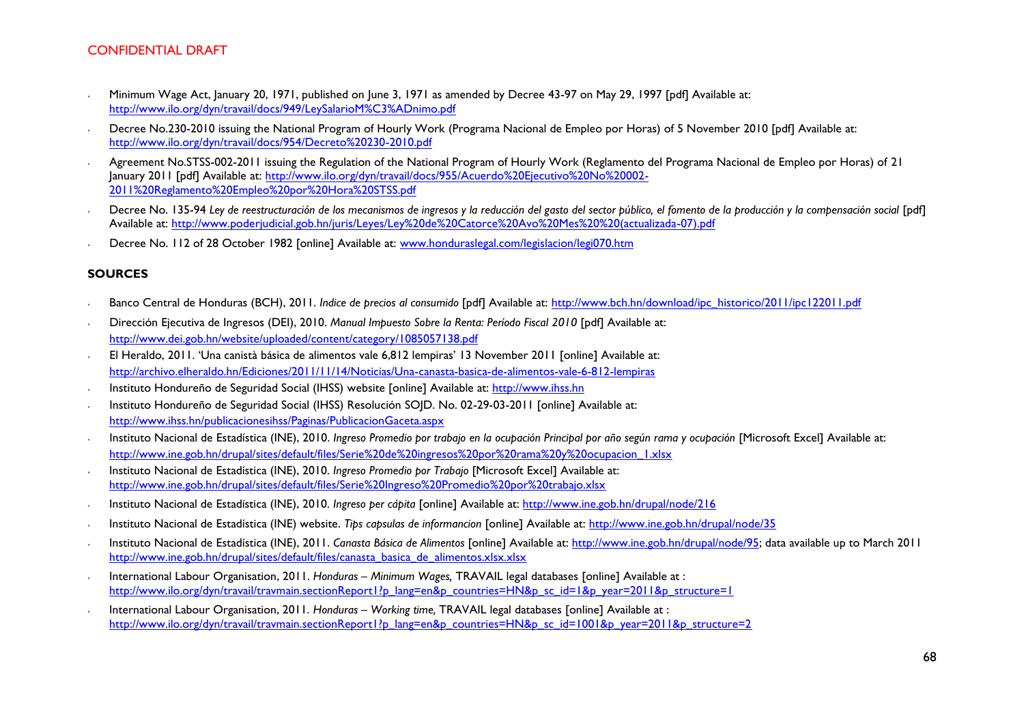- ∙ Minimum Wage Act, January 20, 1971, published on June 3, 1971 as amended by Decree 43-97 on May 29, 1997 [pdf] Available at: <http://www.ilo.org/dyn/travail/docs/949/LeySalarioM%C3%ADnimo.pdf>
- ∙ Decree No.230-2010 issuing the National Program of Hourly Work (Programa Nacional de Empleo por Horas) of 5 November 2010 [pdf] Available at: <http://www.ilo.org/dyn/travail/docs/954/Decreto%20230-2010.pdf>
- ∙ Agreement No.STSS-002-2011 issuing the Regulation of the National Program of Hourly Work (Reglamento del Programa Nacional de Empleo por Horas) of 21 January 2011 [pdf] Available at: [http://www.ilo.org/dyn/travail/docs/955/Acuerdo%20Ejecutivo%20No%20002-](http://www.ilo.org/dyn/travail/docs/955/Acuerdo%20Ejecutivo%20No%20002-2011%20Reglamento%20Empleo%20por%20Hora%20STSS.pdf) [2011%20Reglamento%20Empleo%20por%20Hora%20STSS.pdf](http://www.ilo.org/dyn/travail/docs/955/Acuerdo%20Ejecutivo%20No%20002-2011%20Reglamento%20Empleo%20por%20Hora%20STSS.pdf)
- ∙ Decree No. 135-94 *Ley de reestructuración de los mecanismos de ingresos y la reducción del gasto del sector público, el fomento de la producción y la compensación social* [pdf] Available at: [http://www.poderjudicial.gob.hn/juris/Leyes/Ley%20de%20Catorce%20Avo%20Mes%20%20\(actualizada-07\).pdf](http://www.poderjudicial.gob.hn/juris/Leyes/Ley%20de%20Catorce%20Avo%20Mes%20%20(actualizada-07).pdf)
- Decree No. 112 of 28 October 1982 [online] Available at: [www.honduraslegal.com/legislacion/legi070.htm](http://www.honduraslegal.com/legislacion/legi070.htm)

#### **SOURCES**

- ∙ Banco Central de Honduras (BCH), 2011. *Indice de precios al consumido* [pdf] Available at: [http://www.bch.hn/download/ipc\\_historico/2011/ipc122011.pdf](http://www.bch.hn/download/ipc_historico/2011/ipc122011.pdf)
- ∙ Dirección Ejecutiva de Ingresos (DEI), 2010. *Manual Impuesto Sobre la Renta: Período Fiscal 2010* [pdf] Available at: <http://www.dei.gob.hn/website/uploaded/content/category/1085057138.pdf>
- ∙ El Heraldo, 2011. 'Una canistà básica de alimentos vale 6,812 lempiras' 13 November 2011 [online] Available at: <http://archivo.elheraldo.hn/Ediciones/2011/11/14/Noticias/Una-canasta-basica-de-alimentos-vale-6-812-lempiras>
- ∙ Instituto Hondureño de Seguridad Social (IHSS) website [online] Available at: [http://www.ihss.hn](http://www.ihss.hn/)
- ∙ Instituto Hondureño de Seguridad Social (IHSS) Resolución SOJD. No. 02-29-03-2011 [online] Available at: <http://www.ihss.hn/publicacionesihss/Paginas/PublicacionGaceta.aspx>
- ∙ Instituto Nacional de Estadística (INE), 2010. *Ingreso Promedio por trabajo en la ocupación Principal por año según rama y ocupación* [Microsoft Excel] Available at: [http://www.ine.gob.hn/drupal/sites/default/files/Serie%20de%20ingresos%20por%20rama%20y%20ocupacion\\_1.xlsx](http://www.ine.gob.hn/drupal/sites/default/files/Serie%20de%20ingresos%20por%20rama%20y%20ocupacion_1.xlsx)
- ∙ Instituto Nacional de Estadística (INE), 2010. *Ingreso Promedio por Trabajo* [Microsoft Excel] Available at: <http://www.ine.gob.hn/drupal/sites/default/files/Serie%20Ingreso%20Promedio%20por%20trabajo.xlsx>
- ∙ Instituto Nacional de Estadística (INE), 2010. *Ingreso per cápita* [online] Available at:<http://www.ine.gob.hn/drupal/node/216>
- ∙ Instituto Nacional de Estadística (INE) website. *Tips capsulas de informancion* [online] Available at:<http://www.ine.gob.hn/drupal/node/35>
- ∙ Instituto Nacional de Estadística (INE), 2011. *Canasta Básica de Alimentos* [online] Available at: [http://www.ine.gob.hn/drupal/node/95;](http://www.ine.gob.hn/drupal/node/95) data available up to March 2011 [http://www.ine.gob.hn/drupal/sites/default/files/canasta\\_basica\\_de\\_alimentos.xlsx.xlsx](http://www.ine.gob.hn/drupal/sites/default/files/canasta_basica_de_alimentos.xlsx.xlsx)
- ∙ International Labour Organisation, 2011. *Honduras – Minimum Wages,* TRAVAIL legal databases [online] Available at : [http://www.ilo.org/dyn/travail/travmain.sectionReport1?p\\_lang=en&p\\_countries=HN&p\\_sc\\_id=1&p\\_year=2011&p\\_structure=1](http://www.ilo.org/dyn/travail/travmain.sectionReport1?p_lang=en&p_countries=HN&p_sc_id=1&p_year=2011&p_structure=1)
- ∙ International Labour Organisation, 2011. *Honduras – Working time,* TRAVAIL legal databases [online] Available at : [http://www.ilo.org/dyn/travail/travmain.sectionReport1?p\\_lang=en&p\\_countries=HN&p\\_sc\\_id=1001&p\\_year=2011&p\\_structure=2](http://www.ilo.org/dyn/travail/travmain.sectionReport1?p_lang=en&p_countries=HN&p_sc_id=1001&p_year=2011&p_structure=2)